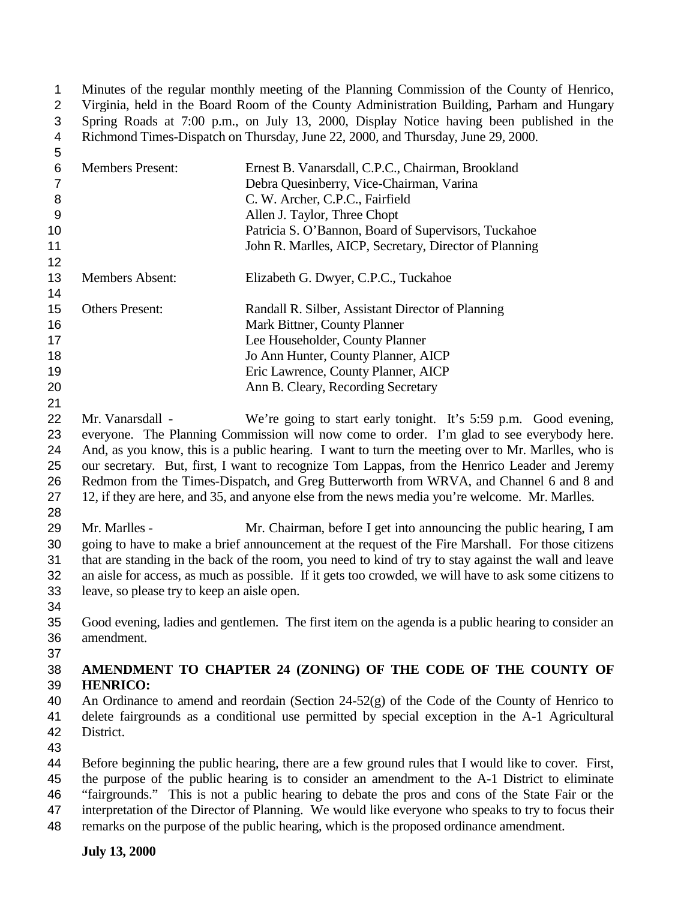Minutes of the regular monthly meeting of the Planning Commission of the County of Henrico, Virginia, held in the Board Room of the County Administration Building, Parham and Hungary Spring Roads at 7:00 p.m., on July 13, 2000, Display Notice having been published in the Richmond Times-Dispatch on Thursday, June 22, 2000, and Thursday, June 29, 2000.

| 5                |                                                                                                       |                                                                                                        |
|------------------|-------------------------------------------------------------------------------------------------------|--------------------------------------------------------------------------------------------------------|
| $\,6\,$          | <b>Members Present:</b>                                                                               | Ernest B. Vanarsdall, C.P.C., Chairman, Brookland                                                      |
| $\overline{7}$   |                                                                                                       | Debra Quesinberry, Vice-Chairman, Varina                                                               |
| $\,8\,$          |                                                                                                       | C. W. Archer, C.P.C., Fairfield                                                                        |
| $\boldsymbol{9}$ |                                                                                                       | Allen J. Taylor, Three Chopt                                                                           |
| 10               |                                                                                                       | Patricia S. O'Bannon, Board of Supervisors, Tuckahoe                                                   |
| 11               |                                                                                                       | John R. Marlles, AICP, Secretary, Director of Planning                                                 |
| 12               |                                                                                                       |                                                                                                        |
| 13               | <b>Members Absent:</b>                                                                                | Elizabeth G. Dwyer, C.P.C., Tuckahoe                                                                   |
| 14               |                                                                                                       |                                                                                                        |
| 15               | <b>Others Present:</b>                                                                                | Randall R. Silber, Assistant Director of Planning                                                      |
| 16               |                                                                                                       | Mark Bittner, County Planner                                                                           |
| 17               |                                                                                                       | Lee Householder, County Planner                                                                        |
| 18               |                                                                                                       | Jo Ann Hunter, County Planner, AICP                                                                    |
| 19               |                                                                                                       | Eric Lawrence, County Planner, AICP                                                                    |
| 20               |                                                                                                       | Ann B. Cleary, Recording Secretary                                                                     |
| 21               |                                                                                                       |                                                                                                        |
| 22               | Mr. Vanarsdall -                                                                                      | We're going to start early tonight. It's 5:59 p.m. Good evening,                                       |
| 23               |                                                                                                       | everyone. The Planning Commission will now come to order. I'm glad to see everybody here.              |
| 24               |                                                                                                       | And, as you know, this is a public hearing. I want to turn the meeting over to Mr. Marlles, who is     |
| 25               |                                                                                                       | our secretary. But, first, I want to recognize Tom Lappas, from the Henrico Leader and Jeremy          |
| 26               |                                                                                                       | Redmon from the Times-Dispatch, and Greg Butterworth from WRVA, and Channel 6 and 8 and                |
| 27               |                                                                                                       | 12, if they are here, and 35, and anyone else from the news media you're welcome. Mr. Marlles.         |
| 28               |                                                                                                       |                                                                                                        |
| 29               | Mr. Marlles -                                                                                         | Mr. Chairman, before I get into announcing the public hearing, I am                                    |
| 30               |                                                                                                       | going to have to make a brief announcement at the request of the Fire Marshall. For those citizens     |
| 31               | that are standing in the back of the room, you need to kind of try to stay against the wall and leave |                                                                                                        |
| 32               |                                                                                                       | an aisle for access, as much as possible. If it gets too crowded, we will have to ask some citizens to |
| 33               | leave, so please try to keep an aisle open.                                                           |                                                                                                        |
| 34               |                                                                                                       |                                                                                                        |
| 35               |                                                                                                       | Good evening, ladies and gentlemen. The first item on the agenda is a public hearing to consider an    |
| 36               | amendment.                                                                                            |                                                                                                        |
| 37               |                                                                                                       |                                                                                                        |
| 38               |                                                                                                       | AMENDMENT TO CHAPTER 24 (ZONING) OF THE CODE OF THE COUNTY OF                                          |
| 39               | <b>HENRICO:</b>                                                                                       |                                                                                                        |
| 40               |                                                                                                       | An Ordinance to amend and reordain (Section $24-52(g)$ of the Code of the County of Henrico to         |
| 41               |                                                                                                       | delete fairgrounds as a conditional use permitted by special exception in the A-1 Agricultural         |
| 42               | District.                                                                                             |                                                                                                        |
| 43               |                                                                                                       |                                                                                                        |
| 44               |                                                                                                       | Before beginning the public hearing, there are a few ground rules that I would like to cover. First,   |
|                  |                                                                                                       |                                                                                                        |

- the purpose of the public hearing is to consider an amendment to the A-1 District to eliminate "fairgrounds." This is not a public hearing to debate the pros and cons of the State Fair or the
- interpretation of the Director of Planning. We would like everyone who speaks to try to focus their
- remarks on the purpose of the public hearing, which is the proposed ordinance amendment.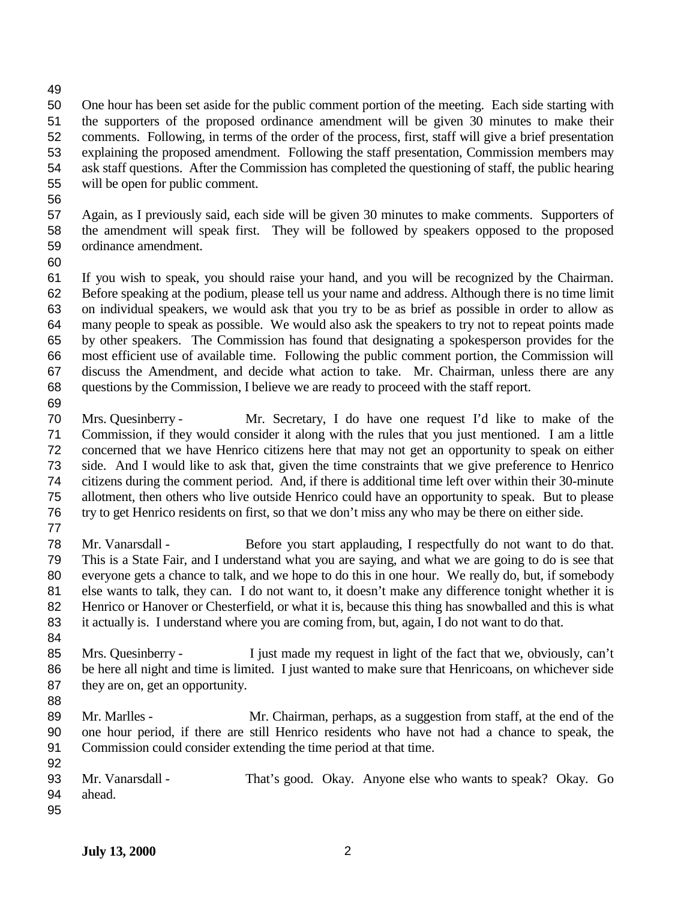One hour has been set aside for the public comment portion of the meeting. Each side starting with the supporters of the proposed ordinance amendment will be given 30 minutes to make their comments. Following, in terms of the order of the process, first, staff will give a brief presentation explaining the proposed amendment. Following the staff presentation, Commission members may ask staff questions. After the Commission has completed the questioning of staff, the public hearing will be open for public comment.

 Again, as I previously said, each side will be given 30 minutes to make comments. Supporters of the amendment will speak first. They will be followed by speakers opposed to the proposed ordinance amendment.

 If you wish to speak, you should raise your hand, and you will be recognized by the Chairman. Before speaking at the podium, please tell us your name and address. Although there is no time limit on individual speakers, we would ask that you try to be as brief as possible in order to allow as many people to speak as possible. We would also ask the speakers to try not to repeat points made by other speakers. The Commission has found that designating a spokesperson provides for the most efficient use of available time. Following the public comment portion, the Commission will discuss the Amendment, and decide what action to take. Mr. Chairman, unless there are any questions by the Commission, I believe we are ready to proceed with the staff report.

 Mrs. Quesinberry - Mr. Secretary, I do have one request I'd like to make of the Commission, if they would consider it along with the rules that you just mentioned. I am a little concerned that we have Henrico citizens here that may not get an opportunity to speak on either side. And I would like to ask that, given the time constraints that we give preference to Henrico citizens during the comment period. And, if there is additional time left over within their 30-minute allotment, then others who live outside Henrico could have an opportunity to speak. But to please try to get Henrico residents on first, so that we don't miss any who may be there on either side. 

 Mr. Vanarsdall - Before you start applauding, I respectfully do not want to do that. This is a State Fair, and I understand what you are saying, and what we are going to do is see that everyone gets a chance to talk, and we hope to do this in one hour. We really do, but, if somebody else wants to talk, they can. I do not want to, it doesn't make any difference tonight whether it is Henrico or Hanover or Chesterfield, or what it is, because this thing has snowballed and this is what it actually is. I understand where you are coming from, but, again, I do not want to do that.

- Mrs. Quesinberry I just made my request in light of the fact that we, obviously, can't be here all night and time is limited. I just wanted to make sure that Henricoans, on whichever side 87 they are on, get an opportunity.
- 

 Mr. Marlles - Mr. Chairman, perhaps, as a suggestion from staff, at the end of the one hour period, if there are still Henrico residents who have not had a chance to speak, the Commission could consider extending the time period at that time. 

 Mr. Vanarsdall - That's good. Okay. Anyone else who wants to speak? Okay. Go ahead.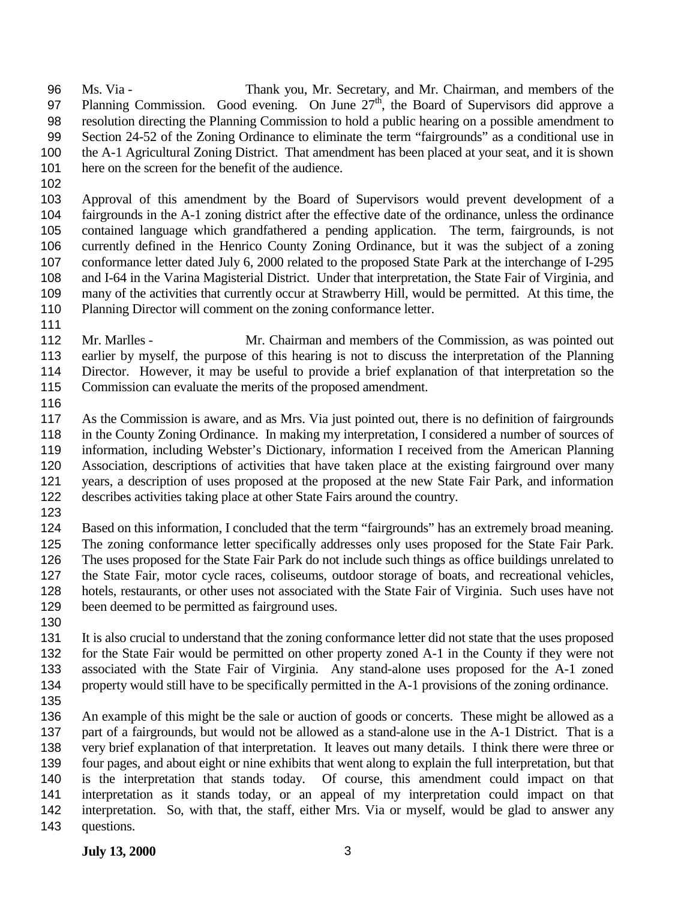Ms. Via - Thank you, Mr. Secretary, and Mr. Chairman, and members of the 97 Planning Commission. Good evening. On June  $27<sup>th</sup>$ , the Board of Supervisors did approve a resolution directing the Planning Commission to hold a public hearing on a possible amendment to Section 24-52 of the Zoning Ordinance to eliminate the term "fairgrounds" as a conditional use in the A-1 Agricultural Zoning District. That amendment has been placed at your seat, and it is shown here on the screen for the benefit of the audience.

 Approval of this amendment by the Board of Supervisors would prevent development of a fairgrounds in the A-1 zoning district after the effective date of the ordinance, unless the ordinance contained language which grandfathered a pending application. The term, fairgrounds, is not currently defined in the Henrico County Zoning Ordinance, but it was the subject of a zoning conformance letter dated July 6, 2000 related to the proposed State Park at the interchange of I-295 and I-64 in the Varina Magisterial District. Under that interpretation, the State Fair of Virginia, and many of the activities that currently occur at Strawberry Hill, would be permitted. At this time, the Planning Director will comment on the zoning conformance letter.

 Mr. Marlles - Mr. Chairman and members of the Commission, as was pointed out earlier by myself, the purpose of this hearing is not to discuss the interpretation of the Planning Director. However, it may be useful to provide a brief explanation of that interpretation so the Commission can evaluate the merits of the proposed amendment.

 As the Commission is aware, and as Mrs. Via just pointed out, there is no definition of fairgrounds in the County Zoning Ordinance. In making my interpretation, I considered a number of sources of information, including Webster's Dictionary, information I received from the American Planning Association, descriptions of activities that have taken place at the existing fairground over many years, a description of uses proposed at the proposed at the new State Fair Park, and information describes activities taking place at other State Fairs around the country.

 Based on this information, I concluded that the term "fairgrounds" has an extremely broad meaning. The zoning conformance letter specifically addresses only uses proposed for the State Fair Park. The uses proposed for the State Fair Park do not include such things as office buildings unrelated to the State Fair, motor cycle races, coliseums, outdoor storage of boats, and recreational vehicles, hotels, restaurants, or other uses not associated with the State Fair of Virginia. Such uses have not been deemed to be permitted as fairground uses.

 It is also crucial to understand that the zoning conformance letter did not state that the uses proposed for the State Fair would be permitted on other property zoned A-1 in the County if they were not associated with the State Fair of Virginia. Any stand-alone uses proposed for the A-1 zoned property would still have to be specifically permitted in the A-1 provisions of the zoning ordinance.

 An example of this might be the sale or auction of goods or concerts. These might be allowed as a part of a fairgrounds, but would not be allowed as a stand-alone use in the A-1 District. That is a very brief explanation of that interpretation. It leaves out many details. I think there were three or four pages, and about eight or nine exhibits that went along to explain the full interpretation, but that is the interpretation that stands today. Of course, this amendment could impact on that interpretation as it stands today, or an appeal of my interpretation could impact on that interpretation. So, with that, the staff, either Mrs. Via or myself, would be glad to answer any questions.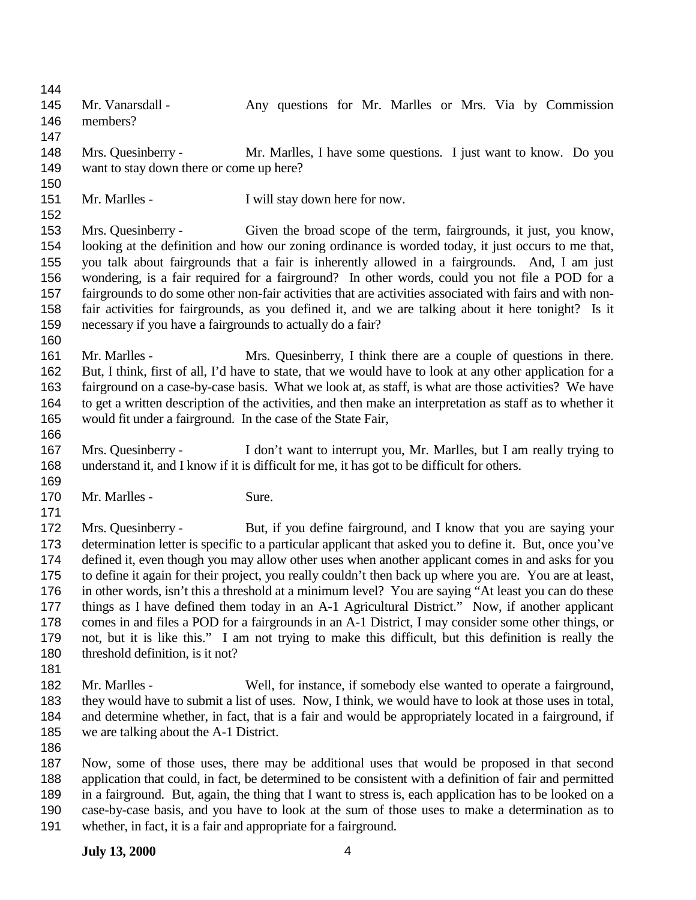145 Mr. Vanarsdall - Any questions for Mr. Marlles or Mrs. Via by Commission members? Mrs. Quesinberry - Mr. Marlles, I have some questions. I just want to know. Do you want to stay down there or come up here? 151 Mr. Marlles - I will stay down here for now. Mrs. Quesinberry - Given the broad scope of the term, fairgrounds, it just, you know, looking at the definition and how our zoning ordinance is worded today, it just occurs to me that, you talk about fairgrounds that a fair is inherently allowed in a fairgrounds. And, I am just wondering, is a fair required for a fairground? In other words, could you not file a POD for a fairgrounds to do some other non-fair activities that are activities associated with fairs and with non- fair activities for fairgrounds, as you defined it, and we are talking about it here tonight? Is it necessary if you have a fairgrounds to actually do a fair? Mr. Marlles - Mrs. Quesinberry, I think there are a couple of questions in there. But, I think, first of all, I'd have to state, that we would have to look at any other application for a fairground on a case-by-case basis. What we look at, as staff, is what are those activities? We have to get a written description of the activities, and then make an interpretation as staff as to whether it would fit under a fairground. In the case of the State Fair, Mrs. Quesinberry - I don't want to interrupt you, Mr. Marlles, but I am really trying to understand it, and I know if it is difficult for me, it has got to be difficult for others. 170 Mr. Marlles - Sure. Mrs. Quesinberry - But, if you define fairground, and I know that you are saying your determination letter is specific to a particular applicant that asked you to define it. But, once you've defined it, even though you may allow other uses when another applicant comes in and asks for you to define it again for their project, you really couldn't then back up where you are. You are at least, in other words, isn't this a threshold at a minimum level? You are saying "At least you can do these things as I have defined them today in an A-1 Agricultural District." Now, if another applicant comes in and files a POD for a fairgrounds in an A-1 District, I may consider some other things, or not, but it is like this." I am not trying to make this difficult, but this definition is really the threshold definition, is it not? Mr. Marlles - Well, for instance, if somebody else wanted to operate a fairground, they would have to submit a list of uses. Now, I think, we would have to look at those uses in total, and determine whether, in fact, that is a fair and would be appropriately located in a fairground, if we are talking about the A-1 District. Now, some of those uses, there may be additional uses that would be proposed in that second application that could, in fact, be determined to be consistent with a definition of fair and permitted in a fairground. But, again, the thing that I want to stress is, each application has to be looked on a

- case-by-case basis, and you have to look at the sum of those uses to make a determination as to
- whether, in fact, it is a fair and appropriate for a fairground.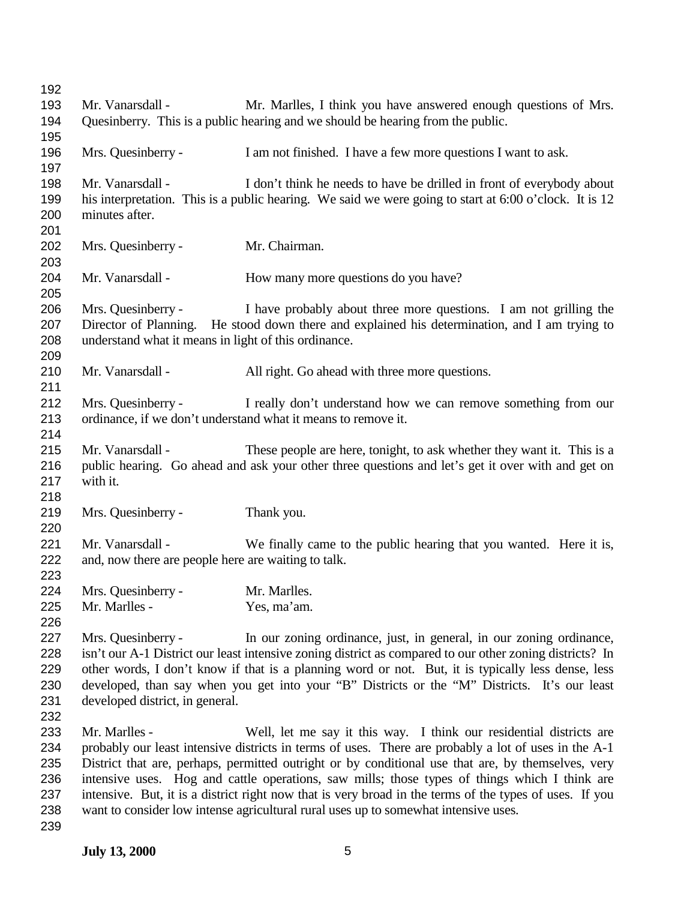| 192               |                                                                                 |                                                                                                                                                                                                            |  |
|-------------------|---------------------------------------------------------------------------------|------------------------------------------------------------------------------------------------------------------------------------------------------------------------------------------------------------|--|
| 193               | Mr. Vanarsdall -                                                                | Mr. Marlles, I think you have answered enough questions of Mrs.                                                                                                                                            |  |
| 194               | Quesinberry. This is a public hearing and we should be hearing from the public. |                                                                                                                                                                                                            |  |
| 195<br>196<br>197 | Mrs. Quesinberry -                                                              | I am not finished. I have a few more questions I want to ask.                                                                                                                                              |  |
| 198               | Mr. Vanarsdall -                                                                | I don't think he needs to have be drilled in front of everybody about                                                                                                                                      |  |
| 199               |                                                                                 | his interpretation. This is a public hearing. We said we were going to start at 6:00 o'clock. It is 12                                                                                                     |  |
| 200               | minutes after.                                                                  |                                                                                                                                                                                                            |  |
| 201               |                                                                                 |                                                                                                                                                                                                            |  |
| 202               | Mrs. Quesinberry -                                                              | Mr. Chairman.                                                                                                                                                                                              |  |
| 203               |                                                                                 |                                                                                                                                                                                                            |  |
| 204               | Mr. Vanarsdall -                                                                | How many more questions do you have?                                                                                                                                                                       |  |
| 205               |                                                                                 |                                                                                                                                                                                                            |  |
| 206               | Mrs. Quesinberry -                                                              | I have probably about three more questions. I am not grilling the                                                                                                                                          |  |
| 207<br>208        | understand what it means in light of this ordinance.                            | Director of Planning. He stood down there and explained his determination, and I am trying to                                                                                                              |  |
| 209               |                                                                                 |                                                                                                                                                                                                            |  |
| 210               | Mr. Vanarsdall -                                                                | All right. Go ahead with three more questions.                                                                                                                                                             |  |
| 211               |                                                                                 |                                                                                                                                                                                                            |  |
| 212               | Mrs. Quesinberry -                                                              | I really don't understand how we can remove something from our                                                                                                                                             |  |
| 213               |                                                                                 | ordinance, if we don't understand what it means to remove it.                                                                                                                                              |  |
| 214               |                                                                                 |                                                                                                                                                                                                            |  |
| 215               | Mr. Vanarsdall -                                                                | These people are here, tonight, to ask whether they want it. This is a                                                                                                                                     |  |
| 216               |                                                                                 | public hearing. Go ahead and ask your other three questions and let's get it over with and get on                                                                                                          |  |
| 217               | with it.                                                                        |                                                                                                                                                                                                            |  |
| 218               |                                                                                 |                                                                                                                                                                                                            |  |
| 219               | Mrs. Quesinberry -                                                              | Thank you.                                                                                                                                                                                                 |  |
| 220               |                                                                                 |                                                                                                                                                                                                            |  |
| 221<br>222        | Mr. Vanarsdall -<br>and, now there are people here are waiting to talk.         | We finally came to the public hearing that you wanted. Here it is,                                                                                                                                         |  |
| 223               |                                                                                 |                                                                                                                                                                                                            |  |
| 224               | Mrs. Quesinberry -                                                              | Mr. Marlles.                                                                                                                                                                                               |  |
| 225               | Mr. Marlles -                                                                   | Yes, ma'am.                                                                                                                                                                                                |  |
| 226               |                                                                                 |                                                                                                                                                                                                            |  |
| 227               | Mrs. Quesinberry -                                                              | In our zoning ordinance, just, in general, in our zoning ordinance,                                                                                                                                        |  |
| 228               |                                                                                 | isn't our A-1 District our least intensive zoning district as compared to our other zoning districts? In                                                                                                   |  |
| 229               |                                                                                 | other words, I don't know if that is a planning word or not. But, it is typically less dense, less                                                                                                         |  |
| 230               |                                                                                 | developed, than say when you get into your "B" Districts or the "M" Districts. It's our least                                                                                                              |  |
| 231               | developed district, in general.                                                 |                                                                                                                                                                                                            |  |
| 232               |                                                                                 |                                                                                                                                                                                                            |  |
| 233               | Mr. Marlles -                                                                   | Well, let me say it this way. I think our residential districts are                                                                                                                                        |  |
| 234<br>235        |                                                                                 | probably our least intensive districts in terms of uses. There are probably a lot of uses in the A-1<br>District that are, perhaps, permitted outright or by conditional use that are, by themselves, very |  |
| 236               |                                                                                 | intensive uses. Hog and cattle operations, saw mills; those types of things which I think are                                                                                                              |  |
| 237               |                                                                                 | intensive. But, it is a district right now that is very broad in the terms of the types of uses. If you                                                                                                    |  |
| 238               |                                                                                 | want to consider low intense agricultural rural uses up to somewhat intensive uses.                                                                                                                        |  |
| 239               |                                                                                 |                                                                                                                                                                                                            |  |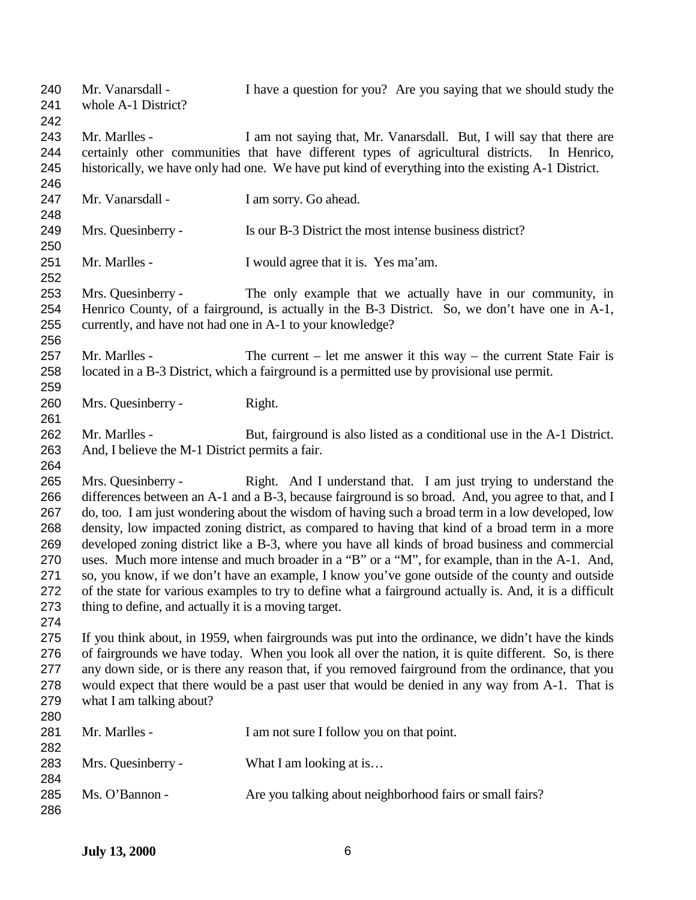Mr. Vanarsdall - I have a question for you? Are you saying that we should study the whole A-1 District? Mr. Marlles - I am not saying that, Mr. Vanarsdall. But, I will say that there are certainly other communities that have different types of agricultural districts. In Henrico, historically, we have only had one. We have put kind of everything into the existing A-1 District. 247 Mr. Vanarsdall - I am sorry. Go ahead. Mrs. Quesinberry - Is our B-3 District the most intense business district? Mr. Marlles - I would agree that it is. Yes ma'am. Mrs. Quesinberry - The only example that we actually have in our community, in Henrico County, of a fairground, is actually in the B-3 District. So, we don't have one in A-1, currently, and have not had one in A-1 to your knowledge? Mr. Marlles - The current – let me answer it this way – the current State Fair is located in a B-3 District, which a fairground is a permitted use by provisional use permit. Mrs. Quesinberry - Right. Mr. Marlles - But, fairground is also listed as a conditional use in the A-1 District. And, I believe the M-1 District permits a fair. Mrs. Quesinberry - Right. And I understand that. I am just trying to understand the differences between an A-1 and a B-3, because fairground is so broad. And, you agree to that, and I do, too. I am just wondering about the wisdom of having such a broad term in a low developed, low density, low impacted zoning district, as compared to having that kind of a broad term in a more developed zoning district like a B-3, where you have all kinds of broad business and commercial uses. Much more intense and much broader in a "B" or a "M", for example, than in the A-1. And, so, you know, if we don't have an example, I know you've gone outside of the county and outside of the state for various examples to try to define what a fairground actually is. And, it is a difficult thing to define, and actually it is a moving target. If you think about, in 1959, when fairgrounds was put into the ordinance, we didn't have the kinds of fairgrounds we have today. When you look all over the nation, it is quite different. So, is there any down side, or is there any reason that, if you removed fairground from the ordinance, that you would expect that there would be a past user that would be denied in any way from A-1. That is what I am talking about? 281 Mr. Marlles - I am not sure I follow you on that point. 283 Mrs. Quesinberry - What I am looking at is... 285 Ms. O'Bannon - Are you talking about neighborhood fairs or small fairs?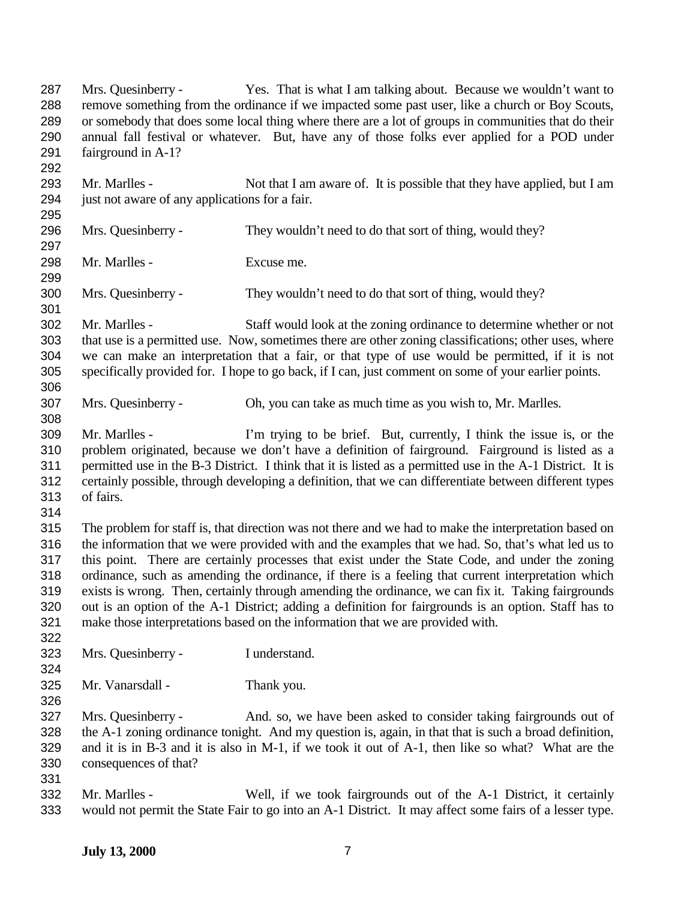Mrs. Quesinberry - Yes. That is what I am talking about. Because we wouldn't want to remove something from the ordinance if we impacted some past user, like a church or Boy Scouts, or somebody that does some local thing where there are a lot of groups in communities that do their annual fall festival or whatever. But, have any of those folks ever applied for a POD under fairground in A-1? 293 Mr. Marlles - Not that I am aware of. It is possible that they have applied, but I am just not aware of any applications for a fair. Mrs. Quesinberry - They wouldn't need to do that sort of thing, would they? Mr. Marlles - Excuse me. Mrs. Quesinberry - They wouldn't need to do that sort of thing, would they? Mr. Marlles - Staff would look at the zoning ordinance to determine whether or not that use is a permitted use. Now, sometimes there are other zoning classifications; other uses, where we can make an interpretation that a fair, or that type of use would be permitted, if it is not specifically provided for. I hope to go back, if I can, just comment on some of your earlier points. Mrs. Quesinberry - Oh, you can take as much time as you wish to, Mr. Marlles. Mr. Marlles - I'm trying to be brief. But, currently, I think the issue is, or the problem originated, because we don't have a definition of fairground. Fairground is listed as a permitted use in the B-3 District. I think that it is listed as a permitted use in the A-1 District. It is certainly possible, through developing a definition, that we can differentiate between different types of fairs. The problem for staff is, that direction was not there and we had to make the interpretation based on the information that we were provided with and the examples that we had. So, that's what led us to this point. There are certainly processes that exist under the State Code, and under the zoning ordinance, such as amending the ordinance, if there is a feeling that current interpretation which exists is wrong. Then, certainly through amending the ordinance, we can fix it. Taking fairgrounds out is an option of the A-1 District; adding a definition for fairgrounds is an option. Staff has to make those interpretations based on the information that we are provided with. Mrs. Quesinberry - I understand. Mr. Vanarsdall - Thank you. Mrs. Quesinberry - And. so, we have been asked to consider taking fairgrounds out of the A-1 zoning ordinance tonight. And my question is, again, in that that is such a broad definition, and it is in B-3 and it is also in M-1, if we took it out of A-1, then like so what? What are the consequences of that? Mr. Marlles - Well, if we took fairgrounds out of the A-1 District, it certainly would not permit the State Fair to go into an A-1 District. It may affect some fairs of a lesser type.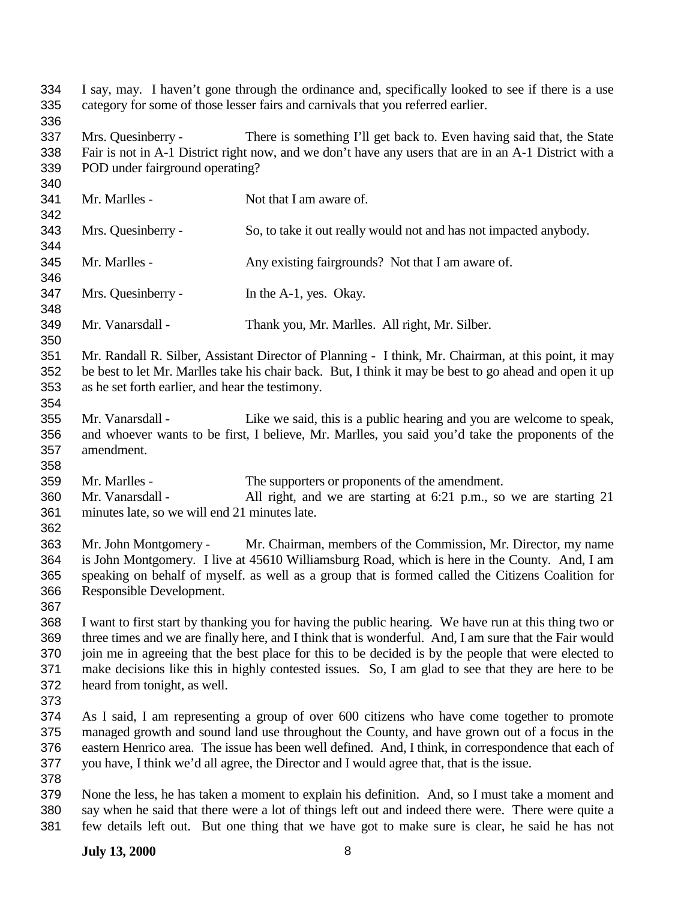I say, may. I haven't gone through the ordinance and, specifically looked to see if there is a use category for some of those lesser fairs and carnivals that you referred earlier. Mrs. Quesinberry - There is something I'll get back to. Even having said that, the State Fair is not in A-1 District right now, and we don't have any users that are in an A-1 District with a POD under fairground operating? 341 Mr. Marlles - Not that I am aware of. Mrs. Quesinberry - So, to take it out really would not and has not impacted anybody. 345 Mr. Marlles - Any existing fairgrounds? Not that I am aware of. Mrs. Quesinberry - In the A-1, yes. Okay. Mr. Vanarsdall - Thank you, Mr. Marlles. All right, Mr. Silber. Mr. Randall R. Silber, Assistant Director of Planning - I think, Mr. Chairman, at this point, it may be best to let Mr. Marlles take his chair back. But, I think it may be best to go ahead and open it up as he set forth earlier, and hear the testimony. Mr. Vanarsdall - Like we said, this is a public hearing and you are welcome to speak, and whoever wants to be first, I believe, Mr. Marlles, you said you'd take the proponents of the amendment. Mr. Marlles - The supporters or proponents of the amendment. Mr. Vanarsdall - All right, and we are starting at 6:21 p.m., so we are starting 21 minutes late, so we will end 21 minutes late. Mr. John Montgomery - Mr. Chairman, members of the Commission, Mr. Director, my name is John Montgomery. I live at 45610 Williamsburg Road, which is here in the County. And, I am speaking on behalf of myself. as well as a group that is formed called the Citizens Coalition for Responsible Development. I want to first start by thanking you for having the public hearing. We have run at this thing two or three times and we are finally here, and I think that is wonderful. And, I am sure that the Fair would join me in agreeing that the best place for this to be decided is by the people that were elected to make decisions like this in highly contested issues. So, I am glad to see that they are here to be heard from tonight, as well. As I said, I am representing a group of over 600 citizens who have come together to promote managed growth and sound land use throughout the County, and have grown out of a focus in the eastern Henrico area. The issue has been well defined. And, I think, in correspondence that each of you have, I think we'd all agree, the Director and I would agree that, that is the issue. None the less, he has taken a moment to explain his definition. And, so I must take a moment and say when he said that there were a lot of things left out and indeed there were. There were quite a few details left out. But one thing that we have got to make sure is clear, he said he has not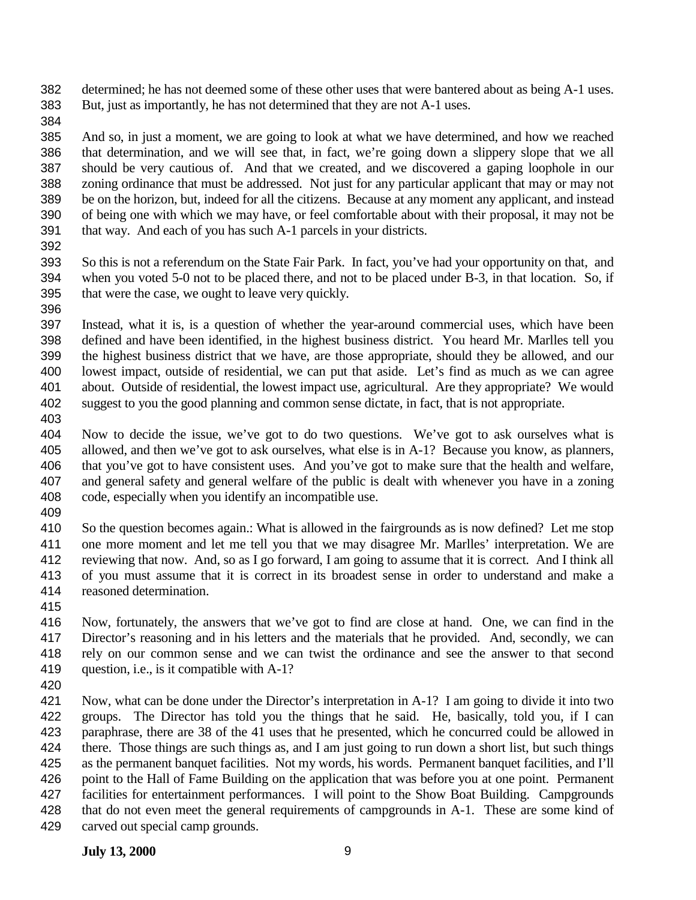determined; he has not deemed some of these other uses that were bantered about as being A-1 uses. But, just as importantly, he has not determined that they are not A-1 uses.

 And so, in just a moment, we are going to look at what we have determined, and how we reached that determination, and we will see that, in fact, we're going down a slippery slope that we all should be very cautious of. And that we created, and we discovered a gaping loophole in our zoning ordinance that must be addressed. Not just for any particular applicant that may or may not be on the horizon, but, indeed for all the citizens. Because at any moment any applicant, and instead of being one with which we may have, or feel comfortable about with their proposal, it may not be that way. And each of you has such A-1 parcels in your districts.

 So this is not a referendum on the State Fair Park. In fact, you've had your opportunity on that, and when you voted 5-0 not to be placed there, and not to be placed under B-3, in that location. So, if that were the case, we ought to leave very quickly.

 Instead, what it is, is a question of whether the year-around commercial uses, which have been defined and have been identified, in the highest business district. You heard Mr. Marlles tell you the highest business district that we have, are those appropriate, should they be allowed, and our lowest impact, outside of residential, we can put that aside. Let's find as much as we can agree about. Outside of residential, the lowest impact use, agricultural. Are they appropriate? We would suggest to you the good planning and common sense dictate, in fact, that is not appropriate.

 Now to decide the issue, we've got to do two questions. We've got to ask ourselves what is allowed, and then we've got to ask ourselves, what else is in A-1? Because you know, as planners, that you've got to have consistent uses. And you've got to make sure that the health and welfare, and general safety and general welfare of the public is dealt with whenever you have in a zoning code, especially when you identify an incompatible use.

 So the question becomes again.: What is allowed in the fairgrounds as is now defined? Let me stop one more moment and let me tell you that we may disagree Mr. Marlles' interpretation. We are reviewing that now. And, so as I go forward, I am going to assume that it is correct. And I think all of you must assume that it is correct in its broadest sense in order to understand and make a reasoned determination.

 Now, fortunately, the answers that we've got to find are close at hand. One, we can find in the Director's reasoning and in his letters and the materials that he provided. And, secondly, we can rely on our common sense and we can twist the ordinance and see the answer to that second question, i.e., is it compatible with A-1?

 Now, what can be done under the Director's interpretation in A-1? I am going to divide it into two groups. The Director has told you the things that he said. He, basically, told you, if I can paraphrase, there are 38 of the 41 uses that he presented, which he concurred could be allowed in there. Those things are such things as, and I am just going to run down a short list, but such things as the permanent banquet facilities. Not my words, his words. Permanent banquet facilities, and I'll point to the Hall of Fame Building on the application that was before you at one point. Permanent facilities for entertainment performances. I will point to the Show Boat Building. Campgrounds that do not even meet the general requirements of campgrounds in A-1. These are some kind of carved out special camp grounds.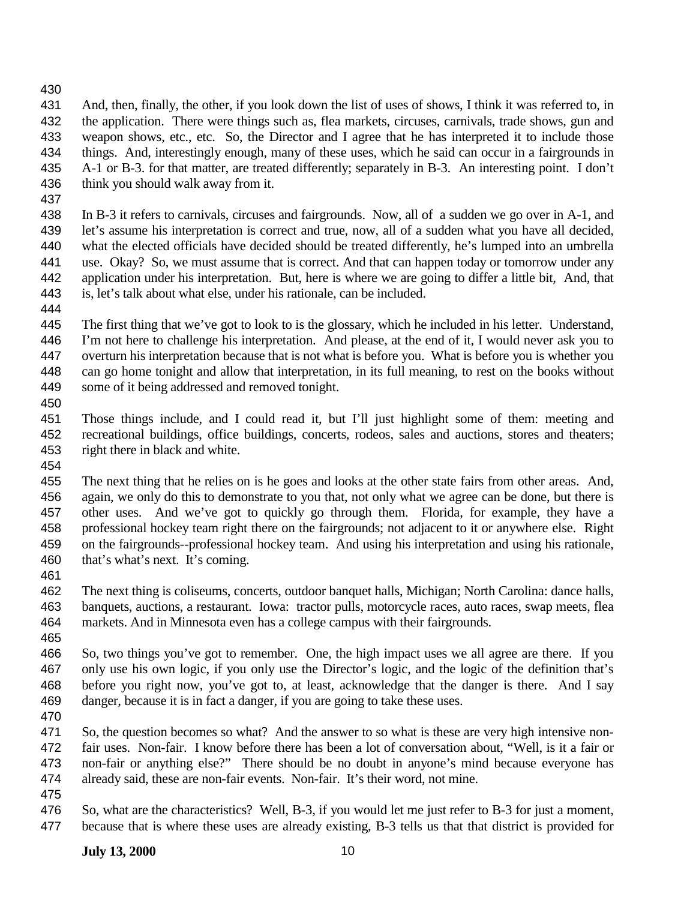- And, then, finally, the other, if you look down the list of uses of shows, I think it was referred to, in the application. There were things such as, flea markets, circuses, carnivals, trade shows, gun and weapon shows, etc., etc. So, the Director and I agree that he has interpreted it to include those things. And, interestingly enough, many of these uses, which he said can occur in a fairgrounds in A-1 or B-3. for that matter, are treated differently; separately in B-3. An interesting point. I don't think you should walk away from it.
- 

 In B-3 it refers to carnivals, circuses and fairgrounds. Now, all of a sudden we go over in A-1, and let's assume his interpretation is correct and true, now, all of a sudden what you have all decided, what the elected officials have decided should be treated differently, he's lumped into an umbrella use. Okay? So, we must assume that is correct. And that can happen today or tomorrow under any application under his interpretation. But, here is where we are going to differ a little bit, And, that is, let's talk about what else, under his rationale, can be included.

 The first thing that we've got to look to is the glossary, which he included in his letter. Understand, I'm not here to challenge his interpretation. And please, at the end of it, I would never ask you to overturn his interpretation because that is not what is before you. What is before you is whether you can go home tonight and allow that interpretation, in its full meaning, to rest on the books without some of it being addressed and removed tonight.

 Those things include, and I could read it, but I'll just highlight some of them: meeting and recreational buildings, office buildings, concerts, rodeos, sales and auctions, stores and theaters; right there in black and white.

 The next thing that he relies on is he goes and looks at the other state fairs from other areas. And, again, we only do this to demonstrate to you that, not only what we agree can be done, but there is other uses. And we've got to quickly go through them. Florida, for example, they have a professional hockey team right there on the fairgrounds; not adjacent to it or anywhere else. Right on the fairgrounds--professional hockey team. And using his interpretation and using his rationale, that's what's next. It's coming.

 The next thing is coliseums, concerts, outdoor banquet halls, Michigan; North Carolina: dance halls, banquets, auctions, a restaurant. Iowa: tractor pulls, motorcycle races, auto races, swap meets, flea markets. And in Minnesota even has a college campus with their fairgrounds.

 So, two things you've got to remember. One, the high impact uses we all agree are there. If you only use his own logic, if you only use the Director's logic, and the logic of the definition that's before you right now, you've got to, at least, acknowledge that the danger is there. And I say danger, because it is in fact a danger, if you are going to take these uses.

 So, the question becomes so what? And the answer to so what is these are very high intensive non- fair uses. Non-fair. I know before there has been a lot of conversation about, "Well, is it a fair or non-fair or anything else?" There should be no doubt in anyone's mind because everyone has already said, these are non-fair events. Non-fair. It's their word, not mine.

 So, what are the characteristics? Well, B-3, if you would let me just refer to B-3 for just a moment, because that is where these uses are already existing, B-3 tells us that that district is provided for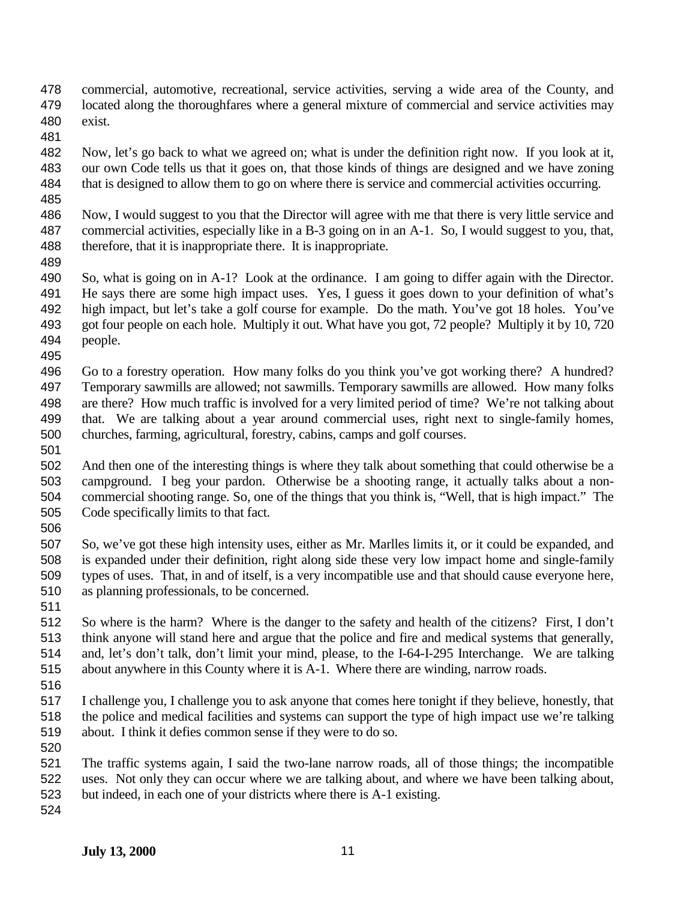- commercial, automotive, recreational, service activities, serving a wide area of the County, and located along the thoroughfares where a general mixture of commercial and service activities may exist.
- 

 Now, let's go back to what we agreed on; what is under the definition right now. If you look at it, our own Code tells us that it goes on, that those kinds of things are designed and we have zoning that is designed to allow them to go on where there is service and commercial activities occurring.

- Now, I would suggest to you that the Director will agree with me that there is very little service and commercial activities, especially like in a B-3 going on in an A-1. So, I would suggest to you, that, 488 therefore, that it is inappropriate there. It is inappropriate.
- 

 So, what is going on in A-1? Look at the ordinance. I am going to differ again with the Director. He says there are some high impact uses. Yes, I guess it goes down to your definition of what's high impact, but let's take a golf course for example. Do the math. You've got 18 holes. You've got four people on each hole. Multiply it out. What have you got, 72 people? Multiply it by 10, 720 people. 

- Go to a forestry operation. How many folks do you think you've got working there? A hundred? Temporary sawmills are allowed; not sawmills. Temporary sawmills are allowed. How many folks are there? How much traffic is involved for a very limited period of time? We're not talking about that. We are talking about a year around commercial uses, right next to single-family homes, churches, farming, agricultural, forestry, cabins, camps and golf courses.
- 

 And then one of the interesting things is where they talk about something that could otherwise be a campground. I beg your pardon. Otherwise be a shooting range, it actually talks about a non- commercial shooting range. So, one of the things that you think is, "Well, that is high impact." The Code specifically limits to that fact.

 So, we've got these high intensity uses, either as Mr. Marlles limits it, or it could be expanded, and is expanded under their definition, right along side these very low impact home and single-family types of uses. That, in and of itself, is a very incompatible use and that should cause everyone here, as planning professionals, to be concerned.

- So where is the harm? Where is the danger to the safety and health of the citizens? First, I don't think anyone will stand here and argue that the police and fire and medical systems that generally, and, let's don't talk, don't limit your mind, please, to the I-64-I-295 Interchange. We are talking about anywhere in this County where it is A-1. Where there are winding, narrow roads.
- 

- I challenge you, I challenge you to ask anyone that comes here tonight if they believe, honestly, that the police and medical facilities and systems can support the type of high impact use we're talking about. I think it defies common sense if they were to do so.
- The traffic systems again, I said the two-lane narrow roads, all of those things; the incompatible uses. Not only they can occur where we are talking about, and where we have been talking about, but indeed, in each one of your districts where there is A-1 existing.
-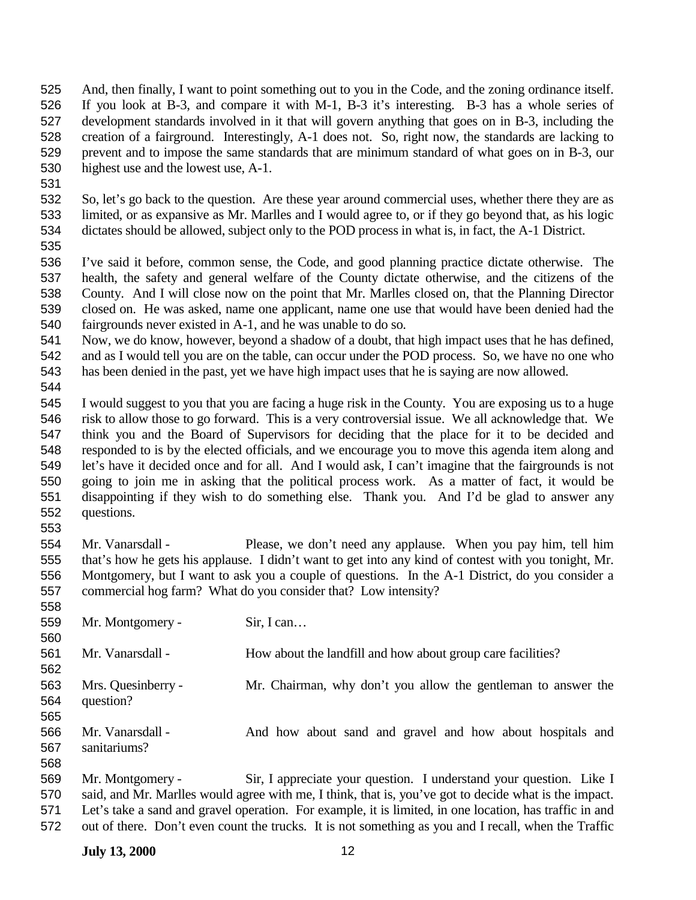- And, then finally, I want to point something out to you in the Code, and the zoning ordinance itself. If you look at B-3, and compare it with M-1, B-3 it's interesting. B-3 has a whole series of development standards involved in it that will govern anything that goes on in B-3, including the creation of a fairground. Interestingly, A-1 does not. So, right now, the standards are lacking to prevent and to impose the same standards that are minimum standard of what goes on in B-3, our highest use and the lowest use, A-1.
- 
- So, let's go back to the question. Are these year around commercial uses, whether there they are as limited, or as expansive as Mr. Marlles and I would agree to, or if they go beyond that, as his logic dictates should be allowed, subject only to the POD process in what is, in fact, the A-1 District.
- 

 I've said it before, common sense, the Code, and good planning practice dictate otherwise. The health, the safety and general welfare of the County dictate otherwise, and the citizens of the County. And I will close now on the point that Mr. Marlles closed on, that the Planning Director closed on. He was asked, name one applicant, name one use that would have been denied had the fairgrounds never existed in A-1, and he was unable to do so.

 Now, we do know, however, beyond a shadow of a doubt, that high impact uses that he has defined, and as I would tell you are on the table, can occur under the POD process. So, we have no one who has been denied in the past, yet we have high impact uses that he is saying are now allowed.

 I would suggest to you that you are facing a huge risk in the County. You are exposing us to a huge risk to allow those to go forward. This is a very controversial issue. We all acknowledge that. We think you and the Board of Supervisors for deciding that the place for it to be decided and responded to is by the elected officials, and we encourage you to move this agenda item along and let's have it decided once and for all. And I would ask, I can't imagine that the fairgrounds is not going to join me in asking that the political process work. As a matter of fact, it would be disappointing if they wish to do something else. Thank you. And I'd be glad to answer any questions. 

 Mr. Vanarsdall - Please, we don't need any applause. When you pay him, tell him that's how he gets his applause. I didn't want to get into any kind of contest with you tonight, Mr. Montgomery, but I want to ask you a couple of questions. In the A-1 District, do you consider a commercial hog farm? What do you consider that? Low intensity?

| 559 | Mr. Montgomery -   | Sir, I can                                                                                              |
|-----|--------------------|---------------------------------------------------------------------------------------------------------|
| 560 |                    |                                                                                                         |
| 561 | Mr. Vanarsdall -   | How about the landfill and how about group care facilities?                                             |
| 562 |                    |                                                                                                         |
| 563 | Mrs. Quesinberry - | Mr. Chairman, why don't you allow the gentleman to answer the                                           |
| 564 | question?          |                                                                                                         |
| 565 |                    |                                                                                                         |
| 566 | Mr. Vanarsdall -   | And how about sand and gravel and how about hospitals and                                               |
| 567 | sanitariums?       |                                                                                                         |
| 568 |                    |                                                                                                         |
| 569 | Mr. Montgomery -   | Sir, I appreciate your question. I understand your question. Like I                                     |
| 570 |                    | said, and Mr. Marlles would agree with me, I think, that is, you've got to decide what is the impact.   |
| 571 |                    | Let's take a sand and gravel operation. For example, it is limited, in one location, has traffic in and |

out of there. Don't even count the trucks. It is not something as you and I recall, when the Traffic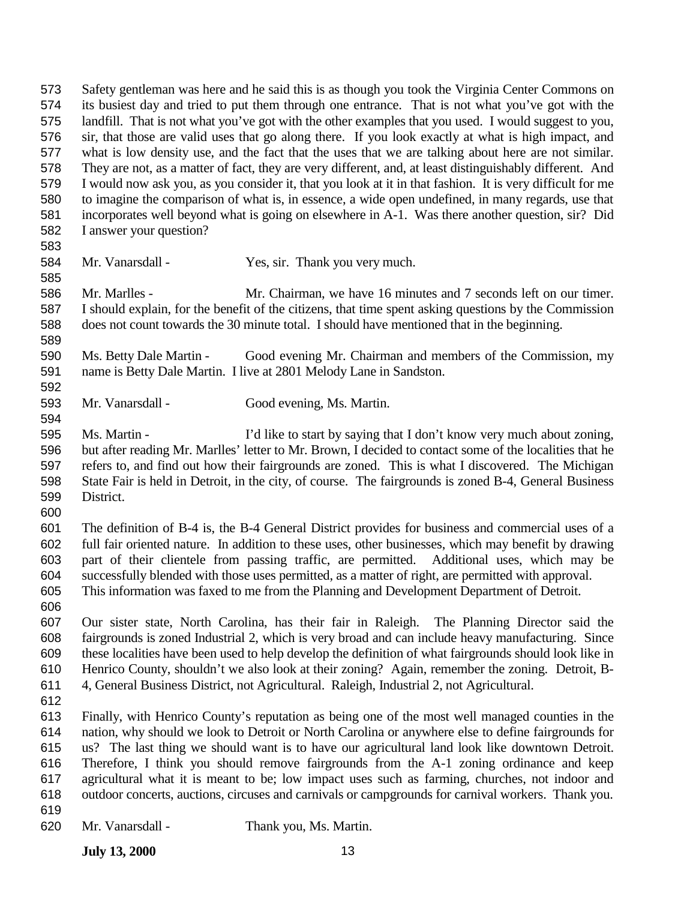Safety gentleman was here and he said this is as though you took the Virginia Center Commons on its busiest day and tried to put them through one entrance. That is not what you've got with the landfill. That is not what you've got with the other examples that you used. I would suggest to you, sir, that those are valid uses that go along there. If you look exactly at what is high impact, and what is low density use, and the fact that the uses that we are talking about here are not similar. They are not, as a matter of fact, they are very different, and, at least distinguishably different. And I would now ask you, as you consider it, that you look at it in that fashion. It is very difficult for me to imagine the comparison of what is, in essence, a wide open undefined, in many regards, use that incorporates well beyond what is going on elsewhere in A-1. Was there another question, sir? Did I answer your question? Mr. Vanarsdall - Yes, sir. Thank you very much.

 Mr. Marlles - Mr. Chairman, we have 16 minutes and 7 seconds left on our timer. I should explain, for the benefit of the citizens, that time spent asking questions by the Commission does not count towards the 30 minute total. I should have mentioned that in the beginning. 

 Ms. Betty Dale Martin - Good evening Mr. Chairman and members of the Commission, my name is Betty Dale Martin. I live at 2801 Melody Lane in Sandston. 

- Mr. Vanarsdall Good evening, Ms. Martin.
- Ms. Martin I'd like to start by saying that I don't know very much about zoning, but after reading Mr. Marlles' letter to Mr. Brown, I decided to contact some of the localities that he refers to, and find out how their fairgrounds are zoned. This is what I discovered. The Michigan State Fair is held in Detroit, in the city, of course. The fairgrounds is zoned B-4, General Business District.
- 

 The definition of B-4 is, the B-4 General District provides for business and commercial uses of a full fair oriented nature. In addition to these uses, other businesses, which may benefit by drawing part of their clientele from passing traffic, are permitted. Additional uses, which may be successfully blended with those uses permitted, as a matter of right, are permitted with approval. This information was faxed to me from the Planning and Development Department of Detroit.

 Our sister state, North Carolina, has their fair in Raleigh. The Planning Director said the fairgrounds is zoned Industrial 2, which is very broad and can include heavy manufacturing. Since these localities have been used to help develop the definition of what fairgrounds should look like in Henrico County, shouldn't we also look at their zoning? Again, remember the zoning. Detroit, B-4, General Business District, not Agricultural. Raleigh, Industrial 2, not Agricultural.

 Finally, with Henrico County's reputation as being one of the most well managed counties in the nation, why should we look to Detroit or North Carolina or anywhere else to define fairgrounds for us? The last thing we should want is to have our agricultural land look like downtown Detroit. Therefore, I think you should remove fairgrounds from the A-1 zoning ordinance and keep agricultural what it is meant to be; low impact uses such as farming, churches, not indoor and outdoor concerts, auctions, circuses and carnivals or campgrounds for carnival workers. Thank you.

- 
- Mr. Vanarsdall Thank you, Ms. Martin.

**July 13, 2000** 13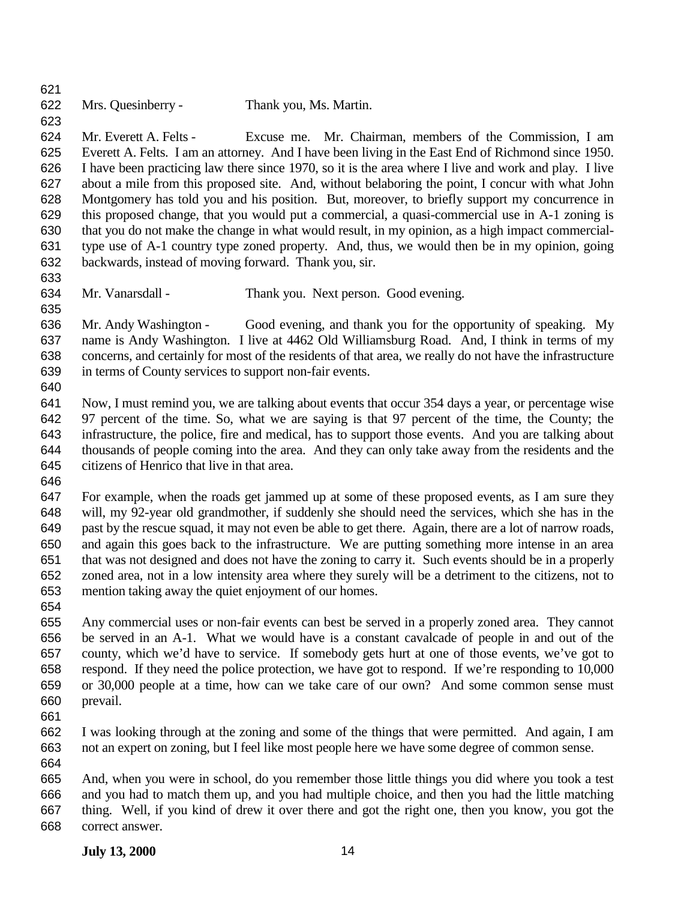Mrs. Quesinberry - Thank you, Ms. Martin. 

 Mr. Everett A. Felts - Excuse me. Mr. Chairman, members of the Commission, I am Everett A. Felts. I am an attorney. And I have been living in the East End of Richmond since 1950. I have been practicing law there since 1970, so it is the area where I live and work and play. I live about a mile from this proposed site. And, without belaboring the point, I concur with what John Montgomery has told you and his position. But, moreover, to briefly support my concurrence in this proposed change, that you would put a commercial, a quasi-commercial use in A-1 zoning is that you do not make the change in what would result, in my opinion, as a high impact commercial- type use of A-1 country type zoned property. And, thus, we would then be in my opinion, going backwards, instead of moving forward. Thank you, sir.

Mr. Vanarsdall - Thank you. Next person. Good evening.

 Mr. Andy Washington - Good evening, and thank you for the opportunity of speaking. My name is Andy Washington. I live at 4462 Old Williamsburg Road. And, I think in terms of my concerns, and certainly for most of the residents of that area, we really do not have the infrastructure in terms of County services to support non-fair events.

 Now, I must remind you, we are talking about events that occur 354 days a year, or percentage wise 97 percent of the time. So, what we are saying is that 97 percent of the time, the County; the infrastructure, the police, fire and medical, has to support those events. And you are talking about thousands of people coming into the area. And they can only take away from the residents and the citizens of Henrico that live in that area.

 For example, when the roads get jammed up at some of these proposed events, as I am sure they will, my 92-year old grandmother, if suddenly she should need the services, which she has in the past by the rescue squad, it may not even be able to get there. Again, there are a lot of narrow roads, and again this goes back to the infrastructure. We are putting something more intense in an area that was not designed and does not have the zoning to carry it. Such events should be in a properly zoned area, not in a low intensity area where they surely will be a detriment to the citizens, not to mention taking away the quiet enjoyment of our homes. 

- Any commercial uses or non-fair events can best be served in a properly zoned area. They cannot be served in an A-1. What we would have is a constant cavalcade of people in and out of the county, which we'd have to service. If somebody gets hurt at one of those events, we've got to respond. If they need the police protection, we have got to respond. If we're responding to 10,000 or 30,000 people at a time, how can we take care of our own? And some common sense must prevail.
- I was looking through at the zoning and some of the things that were permitted. And again, I am not an expert on zoning, but I feel like most people here we have some degree of common sense.
- And, when you were in school, do you remember those little things you did where you took a test and you had to match them up, and you had multiple choice, and then you had the little matching thing. Well, if you kind of drew it over there and got the right one, then you know, you got the correct answer.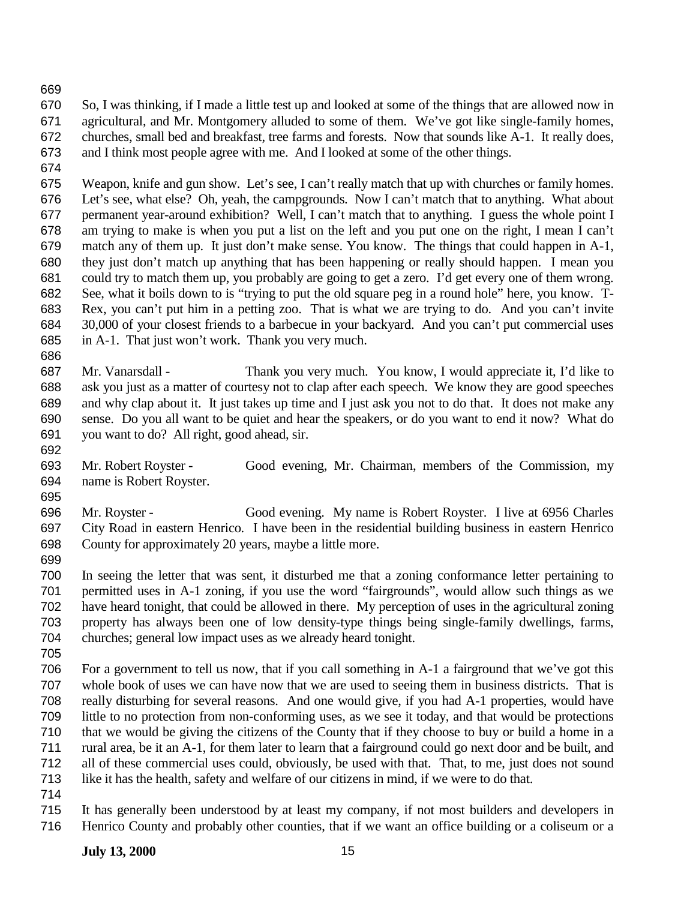So, I was thinking, if I made a little test up and looked at some of the things that are allowed now in agricultural, and Mr. Montgomery alluded to some of them. We've got like single-family homes, churches, small bed and breakfast, tree farms and forests. Now that sounds like A-1. It really does, and I think most people agree with me. And I looked at some of the other things.

 Weapon, knife and gun show. Let's see, I can't really match that up with churches or family homes. Let's see, what else? Oh, yeah, the campgrounds. Now I can't match that to anything. What about permanent year-around exhibition? Well, I can't match that to anything. I guess the whole point I am trying to make is when you put a list on the left and you put one on the right, I mean I can't match any of them up. It just don't make sense. You know. The things that could happen in A-1, they just don't match up anything that has been happening or really should happen. I mean you could try to match them up, you probably are going to get a zero. I'd get every one of them wrong. See, what it boils down to is "trying to put the old square peg in a round hole" here, you know. T- Rex, you can't put him in a petting zoo. That is what we are trying to do. And you can't invite 30,000 of your closest friends to a barbecue in your backyard. And you can't put commercial uses in A-1. That just won't work. Thank you very much.

 Mr. Vanarsdall - Thank you very much. You know, I would appreciate it, I'd like to ask you just as a matter of courtesy not to clap after each speech. We know they are good speeches and why clap about it. It just takes up time and I just ask you not to do that. It does not make any sense. Do you all want to be quiet and hear the speakers, or do you want to end it now? What do you want to do? All right, good ahead, sir.

 Mr. Robert Royster - Good evening, Mr. Chairman, members of the Commission, my name is Robert Royster.

 Mr. Royster - Good evening. My name is Robert Royster. I live at 6956 Charles City Road in eastern Henrico. I have been in the residential building business in eastern Henrico County for approximately 20 years, maybe a little more.

 In seeing the letter that was sent, it disturbed me that a zoning conformance letter pertaining to permitted uses in A-1 zoning, if you use the word "fairgrounds", would allow such things as we have heard tonight, that could be allowed in there. My perception of uses in the agricultural zoning property has always been one of low density-type things being single-family dwellings, farms, churches; general low impact uses as we already heard tonight.

 For a government to tell us now, that if you call something in A-1 a fairground that we've got this whole book of uses we can have now that we are used to seeing them in business districts. That is really disturbing for several reasons. And one would give, if you had A-1 properties, would have little to no protection from non-conforming uses, as we see it today, and that would be protections that we would be giving the citizens of the County that if they choose to buy or build a home in a rural area, be it an A-1, for them later to learn that a fairground could go next door and be built, and all of these commercial uses could, obviously, be used with that. That, to me, just does not sound like it has the health, safety and welfare of our citizens in mind, if we were to do that.

 It has generally been understood by at least my company, if not most builders and developers in Henrico County and probably other counties, that if we want an office building or a coliseum or a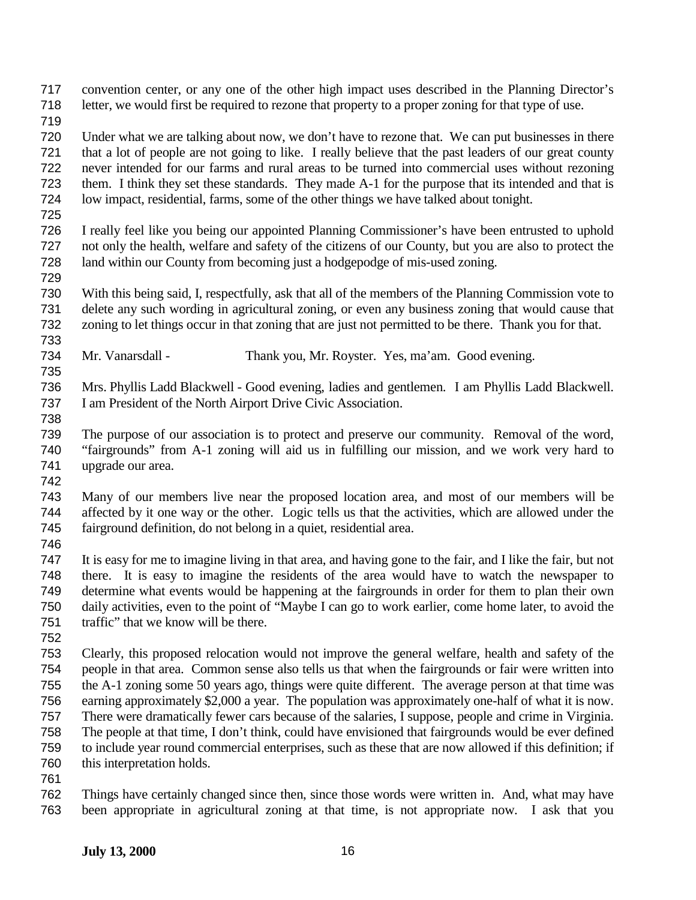convention center, or any one of the other high impact uses described in the Planning Director's letter, we would first be required to rezone that property to a proper zoning for that type of use.

 Under what we are talking about now, we don't have to rezone that. We can put businesses in there that a lot of people are not going to like. I really believe that the past leaders of our great county never intended for our farms and rural areas to be turned into commercial uses without rezoning them. I think they set these standards. They made A-1 for the purpose that its intended and that is low impact, residential, farms, some of the other things we have talked about tonight.

 I really feel like you being our appointed Planning Commissioner's have been entrusted to uphold not only the health, welfare and safety of the citizens of our County, but you are also to protect the land within our County from becoming just a hodgepodge of mis-used zoning. 

 With this being said, I, respectfully, ask that all of the members of the Planning Commission vote to delete any such wording in agricultural zoning, or even any business zoning that would cause that zoning to let things occur in that zoning that are just not permitted to be there. Thank you for that.

Mr. Vanarsdall - Thank you, Mr. Royster. Yes, ma'am. Good evening.

 Mrs. Phyllis Ladd Blackwell - Good evening, ladies and gentlemen. I am Phyllis Ladd Blackwell. I am President of the North Airport Drive Civic Association.

 The purpose of our association is to protect and preserve our community. Removal of the word, "fairgrounds" from A-1 zoning will aid us in fulfilling our mission, and we work very hard to upgrade our area.

 Many of our members live near the proposed location area, and most of our members will be affected by it one way or the other. Logic tells us that the activities, which are allowed under the fairground definition, do not belong in a quiet, residential area.

 It is easy for me to imagine living in that area, and having gone to the fair, and I like the fair, but not there. It is easy to imagine the residents of the area would have to watch the newspaper to determine what events would be happening at the fairgrounds in order for them to plan their own daily activities, even to the point of "Maybe I can go to work earlier, come home later, to avoid the traffic" that we know will be there.

 Clearly, this proposed relocation would not improve the general welfare, health and safety of the people in that area. Common sense also tells us that when the fairgrounds or fair were written into the A-1 zoning some 50 years ago, things were quite different. The average person at that time was earning approximately \$2,000 a year. The population was approximately one-half of what it is now. There were dramatically fewer cars because of the salaries, I suppose, people and crime in Virginia. The people at that time, I don't think, could have envisioned that fairgrounds would be ever defined to include year round commercial enterprises, such as these that are now allowed if this definition; if this interpretation holds.

 Things have certainly changed since then, since those words were written in. And, what may have been appropriate in agricultural zoning at that time, is not appropriate now. I ask that you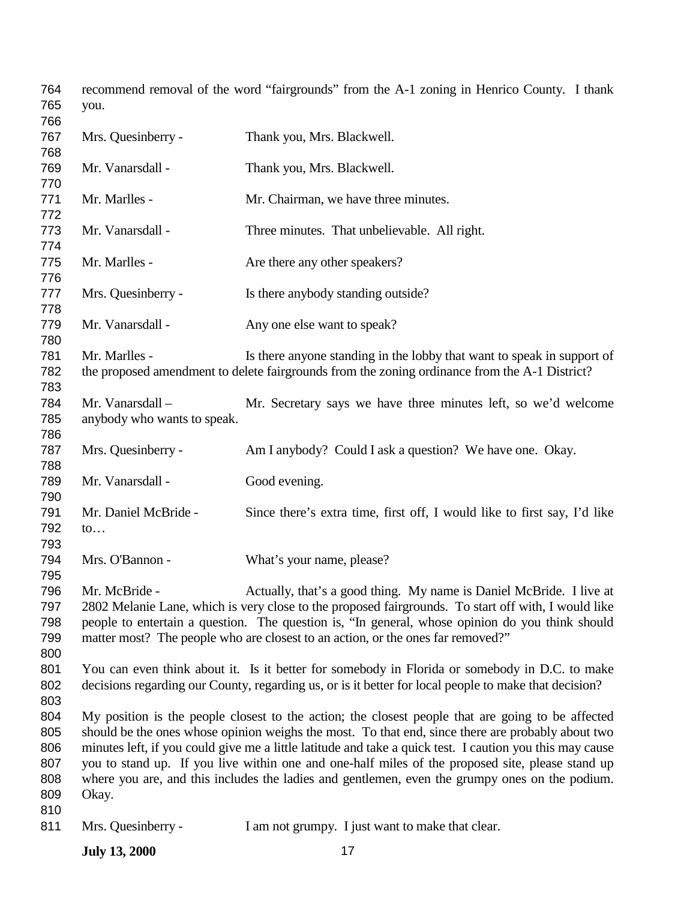| 765<br>you.                                                                                                     |  |
|-----------------------------------------------------------------------------------------------------------------|--|
| 766                                                                                                             |  |
| 767<br>Mrs. Quesinberry -<br>Thank you, Mrs. Blackwell.                                                         |  |
| 768                                                                                                             |  |
| 769<br>Mr. Vanarsdall -<br>Thank you, Mrs. Blackwell.                                                           |  |
| 770                                                                                                             |  |
| 771<br>Mr. Marlles -<br>Mr. Chairman, we have three minutes.                                                    |  |
| 772                                                                                                             |  |
| 773<br>Mr. Vanarsdall -<br>Three minutes. That unbelievable. All right.                                         |  |
| 774                                                                                                             |  |
| Mr. Marlles -<br>775<br>Are there any other speakers?                                                           |  |
| 776                                                                                                             |  |
| 777<br>Mrs. Quesinberry -<br>Is there anybody standing outside?                                                 |  |
| 778                                                                                                             |  |
| 779<br>Mr. Vanarsdall -<br>Any one else want to speak?                                                          |  |
| 780                                                                                                             |  |
| Mr. Marlles -<br>Is there anyone standing in the lobby that want to speak in support of<br>781                  |  |
| 782<br>the proposed amendment to delete fairgrounds from the zoning ordinance from the A-1 District?            |  |
| 783                                                                                                             |  |
| Mr. Vanarsdall-<br>784<br>Mr. Secretary says we have three minutes left, so we'd welcome                        |  |
| 785<br>anybody who wants to speak.                                                                              |  |
| 786                                                                                                             |  |
| Mrs. Quesinberry -<br>Am I anybody? Could I ask a question? We have one. Okay.<br>787                           |  |
| 788                                                                                                             |  |
| 789<br>Mr. Vanarsdall -<br>Good evening.                                                                        |  |
| 790<br>791<br>Mr. Daniel McBride -                                                                              |  |
| Since there's extra time, first off, I would like to first say, I'd like<br>792                                 |  |
| $\mathfrak{to} \dots$<br>793                                                                                    |  |
| Mrs. O'Bannon -<br>794                                                                                          |  |
| What's your name, please?<br>795                                                                                |  |
| 796<br>Mr. McBride -<br>Actually, that's a good thing. My name is Daniel McBride. I live at                     |  |
| 2802 Melanie Lane, which is very close to the proposed fairgrounds. To start off with, I would like<br>797      |  |
| people to entertain a question. The question is, "In general, whose opinion do you think should<br>798          |  |
| 799<br>matter most? The people who are closest to an action, or the ones far removed?"                          |  |
| 800                                                                                                             |  |
| 801<br>You can even think about it. Is it better for somebody in Florida or somebody in D.C. to make            |  |
| decisions regarding our County, regarding us, or is it better for local people to make that decision?<br>802    |  |
| 803                                                                                                             |  |
| 804<br>My position is the people closest to the action; the closest people that are going to be affected        |  |
| should be the ones whose opinion weighs the most. To that end, since there are probably about two<br>805        |  |
| 806<br>minutes left, if you could give me a little latitude and take a quick test. I caution you this may cause |  |
| 807<br>you to stand up. If you live within one and one-half miles of the proposed site, please stand up         |  |
| where you are, and this includes the ladies and gentlemen, even the grumpy ones on the podium.<br>808           |  |
| 809<br>Okay.                                                                                                    |  |
| 810                                                                                                             |  |
| 811<br>Mrs. Quesinberry -<br>I am not grumpy. I just want to make that clear.                                   |  |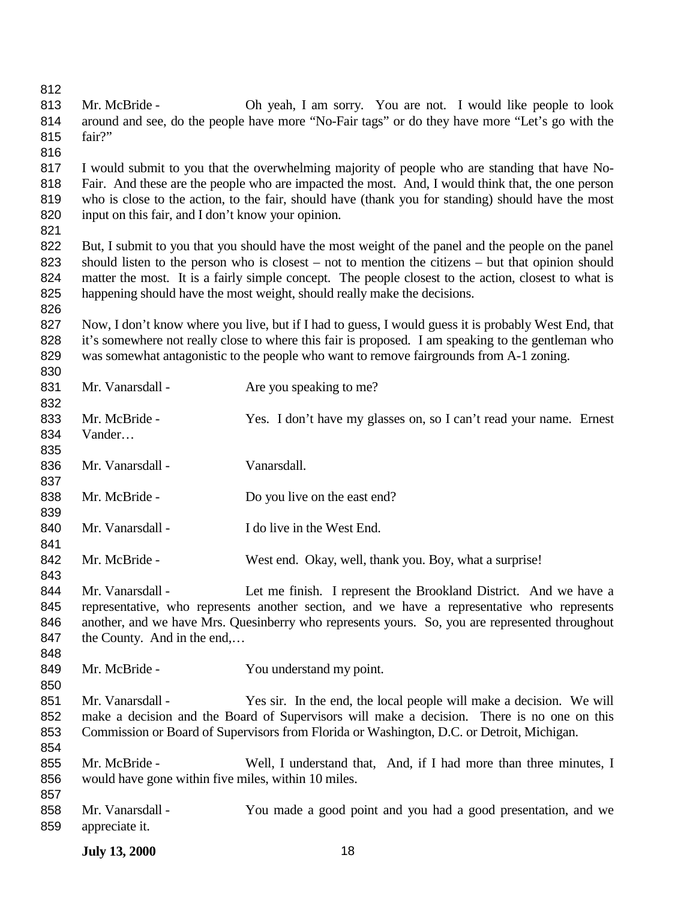812<br>813

| 814<br>815 | around and see, do the people have more "No-Fair tags" or do they have more "Let's go with the<br>fair?"                                                                                                |                                                                                                        |  |
|------------|---------------------------------------------------------------------------------------------------------------------------------------------------------------------------------------------------------|--------------------------------------------------------------------------------------------------------|--|
| 816        |                                                                                                                                                                                                         |                                                                                                        |  |
| 817        | I would submit to you that the overwhelming majority of people who are standing that have No-                                                                                                           |                                                                                                        |  |
| 818<br>819 | Fair. And these are the people who are impacted the most. And, I would think that, the one person<br>who is close to the action, to the fair, should have (thank you for standing) should have the most |                                                                                                        |  |
| 820        | input on this fair, and I don't know your opinion.                                                                                                                                                      |                                                                                                        |  |
| 821        |                                                                                                                                                                                                         |                                                                                                        |  |
| 822        |                                                                                                                                                                                                         | But, I submit to you that you should have the most weight of the panel and the people on the panel     |  |
| 823        |                                                                                                                                                                                                         | should listen to the person who is closest $-$ not to mention the citizens $-$ but that opinion should |  |
| 824        |                                                                                                                                                                                                         | matter the most. It is a fairly simple concept. The people closest to the action, closest to what is   |  |
| 825        |                                                                                                                                                                                                         | happening should have the most weight, should really make the decisions.                               |  |
| 826        |                                                                                                                                                                                                         |                                                                                                        |  |
| 827        |                                                                                                                                                                                                         | Now, I don't know where you live, but if I had to guess, I would guess it is probably West End, that   |  |
| 828        |                                                                                                                                                                                                         | it's somewhere not really close to where this fair is proposed. I am speaking to the gentleman who     |  |
| 829        |                                                                                                                                                                                                         | was somewhat antagonistic to the people who want to remove fairgrounds from A-1 zoning.                |  |
| 830        |                                                                                                                                                                                                         |                                                                                                        |  |
| 831        | Mr. Vanarsdall -                                                                                                                                                                                        | Are you speaking to me?                                                                                |  |
| 832        |                                                                                                                                                                                                         |                                                                                                        |  |
| 833        | Mr. McBride -                                                                                                                                                                                           | Yes. I don't have my glasses on, so I can't read your name. Ernest                                     |  |
| 834        | Vander                                                                                                                                                                                                  |                                                                                                        |  |
| 835        |                                                                                                                                                                                                         |                                                                                                        |  |
| 836        | Mr. Vanarsdall -                                                                                                                                                                                        | Vanarsdall.                                                                                            |  |
| 837        |                                                                                                                                                                                                         |                                                                                                        |  |
| 838        | Mr. McBride -                                                                                                                                                                                           | Do you live on the east end?                                                                           |  |
| 839        |                                                                                                                                                                                                         |                                                                                                        |  |
| 840        | Mr. Vanarsdall -                                                                                                                                                                                        | I do live in the West End.                                                                             |  |
| 841        |                                                                                                                                                                                                         |                                                                                                        |  |
| 842<br>843 | Mr. McBride -                                                                                                                                                                                           | West end. Okay, well, thank you. Boy, what a surprise!                                                 |  |
| 844        | Mr. Vanarsdall -                                                                                                                                                                                        | Let me finish. I represent the Brookland District. And we have a                                       |  |
| 845        |                                                                                                                                                                                                         | representative, who represents another section, and we have a representative who represents            |  |
| 846        |                                                                                                                                                                                                         | another, and we have Mrs. Quesinberry who represents yours. So, you are represented throughout         |  |
| 847        | the County. And in the end,                                                                                                                                                                             |                                                                                                        |  |
| 848        |                                                                                                                                                                                                         |                                                                                                        |  |
| 849        | Mr. McBride -                                                                                                                                                                                           | You understand my point.                                                                               |  |
| 850        |                                                                                                                                                                                                         |                                                                                                        |  |
| 851        | Mr. Vanarsdall -                                                                                                                                                                                        | Yes sir. In the end, the local people will make a decision. We will                                    |  |
| 852        |                                                                                                                                                                                                         | make a decision and the Board of Supervisors will make a decision. There is no one on this             |  |
| 853        |                                                                                                                                                                                                         | Commission or Board of Supervisors from Florida or Washington, D.C. or Detroit, Michigan.              |  |
| 854        |                                                                                                                                                                                                         |                                                                                                        |  |
| 855        | Mr. McBride -                                                                                                                                                                                           | Well, I understand that, And, if I had more than three minutes, I                                      |  |
| 856        |                                                                                                                                                                                                         | would have gone within five miles, within 10 miles.                                                    |  |
| 857        |                                                                                                                                                                                                         |                                                                                                        |  |

Mr. McBride - Oh yeah, I am sorry. You are not. I would like people to look

858 Mr. Vanarsdall - You made a good point and you had a good presentation, and we appreciate it. appreciate it.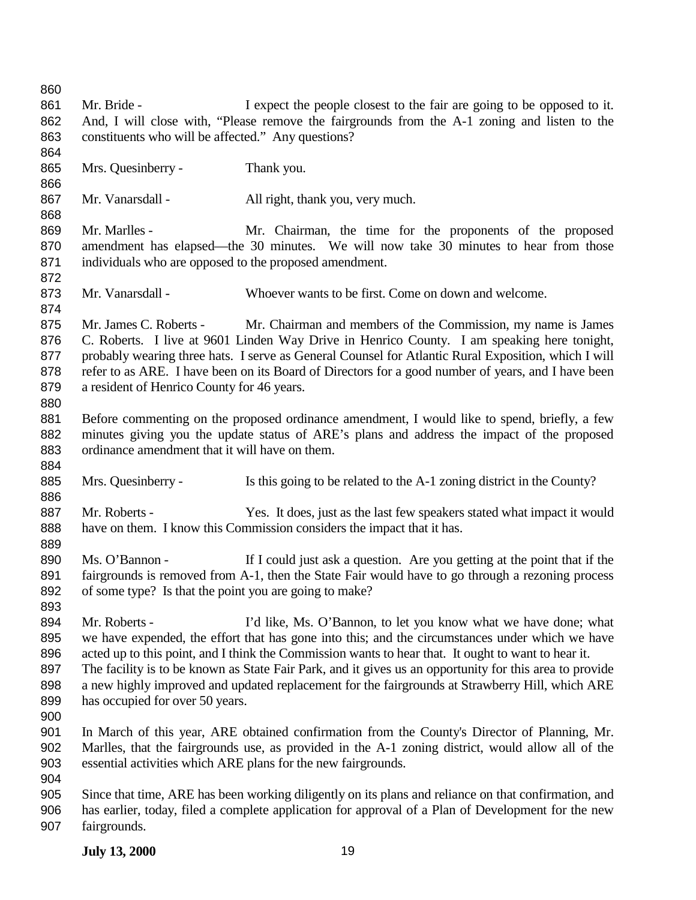861 Mr. Bride - I expect the people closest to the fair are going to be opposed to it. And, I will close with, "Please remove the fairgrounds from the A-1 zoning and listen to the constituents who will be affected." Any questions? Mrs. Quesinberry - Thank you. 867 Mr. Vanarsdall - All right, thank you, very much. 869 Mr. Marlles - Mr. Chairman, the time for the proponents of the proposed amendment has elapsed—the 30 minutes. We will now take 30 minutes to hear from those individuals who are opposed to the proposed amendment. Mr. Vanarsdall - Whoever wants to be first. Come on down and welcome. Mr. James C. Roberts - Mr. Chairman and members of the Commission, my name is James C. Roberts. I live at 9601 Linden Way Drive in Henrico County. I am speaking here tonight, probably wearing three hats. I serve as General Counsel for Atlantic Rural Exposition, which I will refer to as ARE. I have been on its Board of Directors for a good number of years, and I have been a resident of Henrico County for 46 years. Before commenting on the proposed ordinance amendment, I would like to spend, briefly, a few minutes giving you the update status of ARE's plans and address the impact of the proposed ordinance amendment that it will have on them. 885 Mrs. Quesinberry - Is this going to be related to the A-1 zoning district in the County? 887 Mr. Roberts - Yes. It does, just as the last few speakers stated what impact it would have on them. I know this Commission considers the impact that it has. Ms. O'Bannon - If I could just ask a question. Are you getting at the point that if the 891 fairgrounds is removed from A-1, then the State Fair would have to go through a rezoning process of some type? Is that the point you are going to make? Mr. Roberts - I'd like, Ms. O'Bannon, to let you know what we have done; what we have expended, the effort that has gone into this; and the circumstances under which we have acted up to this point, and I think the Commission wants to hear that. It ought to want to hear it. The facility is to be known as State Fair Park, and it gives us an opportunity for this area to provide 898 a new highly improved and updated replacement for the fairgrounds at Strawberry Hill, which ARE has occupied for over 50 years. In March of this year, ARE obtained confirmation from the County's Director of Planning, Mr. Marlles, that the fairgrounds use, as provided in the A-1 zoning district, would allow all of the essential activities which ARE plans for the new fairgrounds. Since that time, ARE has been working diligently on its plans and reliance on that confirmation, and has earlier, today, filed a complete application for approval of a Plan of Development for the new fairgrounds.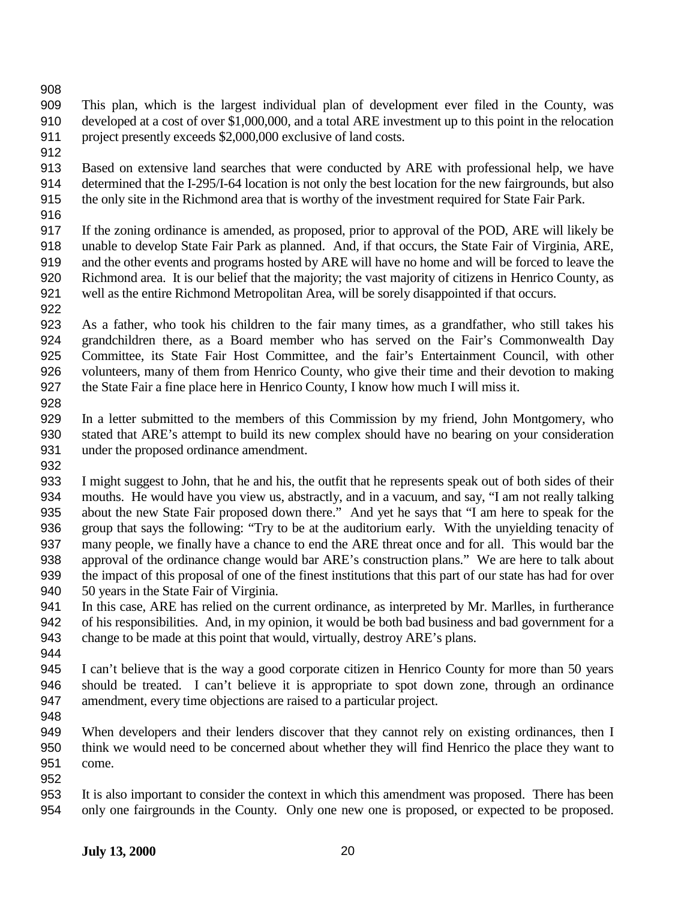This plan, which is the largest individual plan of development ever filed in the County, was developed at a cost of over \$1,000,000, and a total ARE investment up to this point in the relocation project presently exceeds \$2,000,000 exclusive of land costs.

 Based on extensive land searches that were conducted by ARE with professional help, we have determined that the I-295/I-64 location is not only the best location for the new fairgrounds, but also the only site in the Richmond area that is worthy of the investment required for State Fair Park.

 If the zoning ordinance is amended, as proposed, prior to approval of the POD, ARE will likely be unable to develop State Fair Park as planned. And, if that occurs, the State Fair of Virginia, ARE, and the other events and programs hosted by ARE will have no home and will be forced to leave the Richmond area. It is our belief that the majority; the vast majority of citizens in Henrico County, as well as the entire Richmond Metropolitan Area, will be sorely disappointed if that occurs.

 As a father, who took his children to the fair many times, as a grandfather, who still takes his grandchildren there, as a Board member who has served on the Fair's Commonwealth Day Committee, its State Fair Host Committee, and the fair's Entertainment Council, with other volunteers, many of them from Henrico County, who give their time and their devotion to making the State Fair a fine place here in Henrico County, I know how much I will miss it. 

 In a letter submitted to the members of this Commission by my friend, John Montgomery, who stated that ARE's attempt to build its new complex should have no bearing on your consideration under the proposed ordinance amendment.

 I might suggest to John, that he and his, the outfit that he represents speak out of both sides of their mouths. He would have you view us, abstractly, and in a vacuum, and say, "I am not really talking about the new State Fair proposed down there." And yet he says that "I am here to speak for the group that says the following: "Try to be at the auditorium early. With the unyielding tenacity of many people, we finally have a chance to end the ARE threat once and for all. This would bar the approval of the ordinance change would bar ARE's construction plans." We are here to talk about the impact of this proposal of one of the finest institutions that this part of our state has had for over 50 years in the State Fair of Virginia.

 In this case, ARE has relied on the current ordinance, as interpreted by Mr. Marlles, in furtherance of his responsibilities. And, in my opinion, it would be both bad business and bad government for a change to be made at this point that would, virtually, destroy ARE's plans.

 I can't believe that is the way a good corporate citizen in Henrico County for more than 50 years should be treated. I can't believe it is appropriate to spot down zone, through an ordinance amendment, every time objections are raised to a particular project.

- 949 When developers and their lenders discover that they cannot rely on existing ordinances, then I think we would need to be concerned about whether they will find Henrico the place they want to come.
	-

 It is also important to consider the context in which this amendment was proposed. There has been only one fairgrounds in the County. Only one new one is proposed, or expected to be proposed.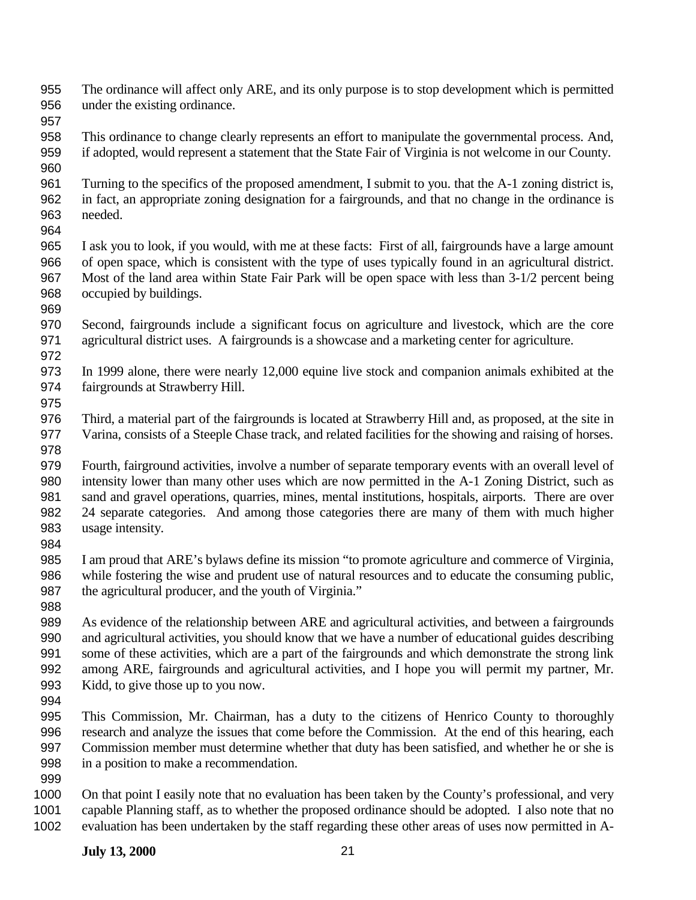- The ordinance will affect only ARE, and its only purpose is to stop development which is permitted under the existing ordinance.
- 

- This ordinance to change clearly represents an effort to manipulate the governmental process. And, if adopted, would represent a statement that the State Fair of Virginia is not welcome in our County.
- Turning to the specifics of the proposed amendment, I submit to you. that the A-1 zoning district is, in fact, an appropriate zoning designation for a fairgrounds, and that no change in the ordinance is needed.
- I ask you to look, if you would, with me at these facts: First of all, fairgrounds have a large amount of open space, which is consistent with the type of uses typically found in an agricultural district. Most of the land area within State Fair Park will be open space with less than 3-1/2 percent being occupied by buildings.
- Second, fairgrounds include a significant focus on agriculture and livestock, which are the core agricultural district uses. A fairgrounds is a showcase and a marketing center for agriculture.
- In 1999 alone, there were nearly 12,000 equine live stock and companion animals exhibited at the fairgrounds at Strawberry Hill.
- Third, a material part of the fairgrounds is located at Strawberry Hill and, as proposed, at the site in Varina, consists of a Steeple Chase track, and related facilities for the showing and raising of horses.
- Fourth, fairground activities, involve a number of separate temporary events with an overall level of intensity lower than many other uses which are now permitted in the A-1 Zoning District, such as sand and gravel operations, quarries, mines, mental institutions, hospitals, airports. There are over 24 separate categories. And among those categories there are many of them with much higher usage intensity.
- 

- I am proud that ARE's bylaws define its mission "to promote agriculture and commerce of Virginia, while fostering the wise and prudent use of natural resources and to educate the consuming public, 987 the agricultural producer, and the youth of Virginia."
- As evidence of the relationship between ARE and agricultural activities, and between a fairgrounds and agricultural activities, you should know that we have a number of educational guides describing some of these activities, which are a part of the fairgrounds and which demonstrate the strong link among ARE, fairgrounds and agricultural activities, and I hope you will permit my partner, Mr. Kidd, to give those up to you now.
- 
- This Commission, Mr. Chairman, has a duty to the citizens of Henrico County to thoroughly research and analyze the issues that come before the Commission. At the end of this hearing, each Commission member must determine whether that duty has been satisfied, and whether he or she is in a position to make a recommendation.
- 
- On that point I easily note that no evaluation has been taken by the County's professional, and very capable Planning staff, as to whether the proposed ordinance should be adopted. I also note that no evaluation has been undertaken by the staff regarding these other areas of uses now permitted in A-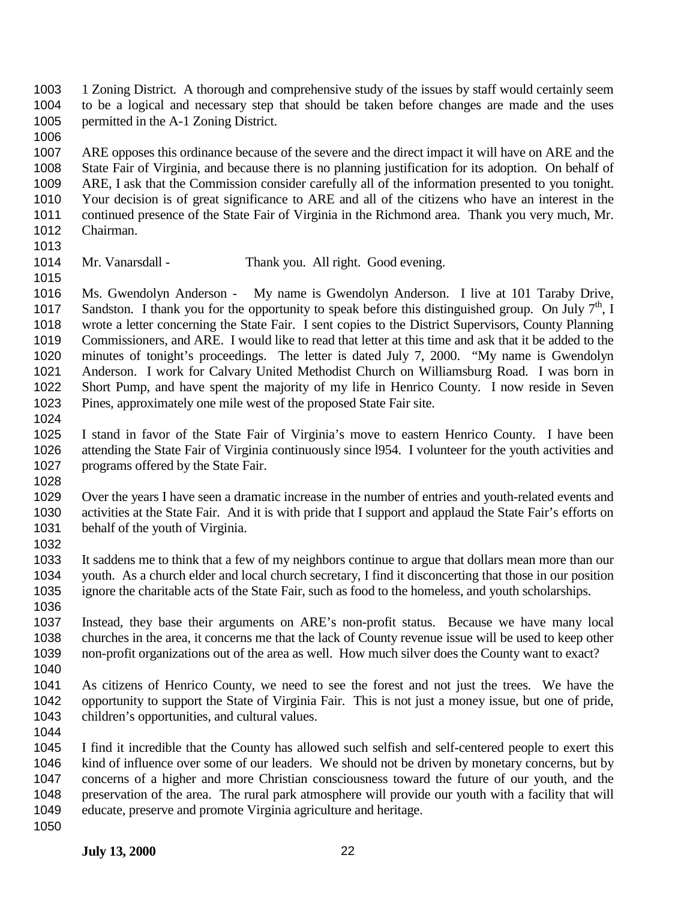1 Zoning District. A thorough and comprehensive study of the issues by staff would certainly seem to be a logical and necessary step that should be taken before changes are made and the uses permitted in the A-1 Zoning District.

 ARE opposes this ordinance because of the severe and the direct impact it will have on ARE and the State Fair of Virginia, and because there is no planning justification for its adoption. On behalf of ARE, I ask that the Commission consider carefully all of the information presented to you tonight. Your decision is of great significance to ARE and all of the citizens who have an interest in the continued presence of the State Fair of Virginia in the Richmond area. Thank you very much, Mr. Chairman.

- 
- Mr. Vanarsdall Thank you. All right. Good evening.

 Ms. Gwendolyn Anderson - My name is Gwendolyn Anderson. I live at 101 Taraby Drive, 1017 Sandston. I thank you for the opportunity to speak before this distinguished group. On July  $7<sup>th</sup>$ , I wrote a letter concerning the State Fair. I sent copies to the District Supervisors, County Planning Commissioners, and ARE. I would like to read that letter at this time and ask that it be added to the minutes of tonight's proceedings. The letter is dated July 7, 2000. "My name is Gwendolyn Anderson. I work for Calvary United Methodist Church on Williamsburg Road. I was born in Short Pump, and have spent the majority of my life in Henrico County. I now reside in Seven Pines, approximately one mile west of the proposed State Fair site. 

- I stand in favor of the State Fair of Virginia's move to eastern Henrico County. I have been attending the State Fair of Virginia continuously since l954. I volunteer for the youth activities and 1027 programs offered by the State Fair.
- 

 Over the years I have seen a dramatic increase in the number of entries and youth-related events and activities at the State Fair. And it is with pride that I support and applaud the State Fair's efforts on behalf of the youth of Virginia.

 It saddens me to think that a few of my neighbors continue to argue that dollars mean more than our youth. As a church elder and local church secretary, I find it disconcerting that those in our position ignore the charitable acts of the State Fair, such as food to the homeless, and youth scholarships. 

 Instead, they base their arguments on ARE's non-profit status. Because we have many local churches in the area, it concerns me that the lack of County revenue issue will be used to keep other non-profit organizations out of the area as well. How much silver does the County want to exact? 

 As citizens of Henrico County, we need to see the forest and not just the trees. We have the opportunity to support the State of Virginia Fair. This is not just a money issue, but one of pride, children's opportunities, and cultural values.

 I find it incredible that the County has allowed such selfish and self-centered people to exert this kind of influence over some of our leaders. We should not be driven by monetary concerns, but by concerns of a higher and more Christian consciousness toward the future of our youth, and the preservation of the area. The rural park atmosphere will provide our youth with a facility that will educate, preserve and promote Virginia agriculture and heritage.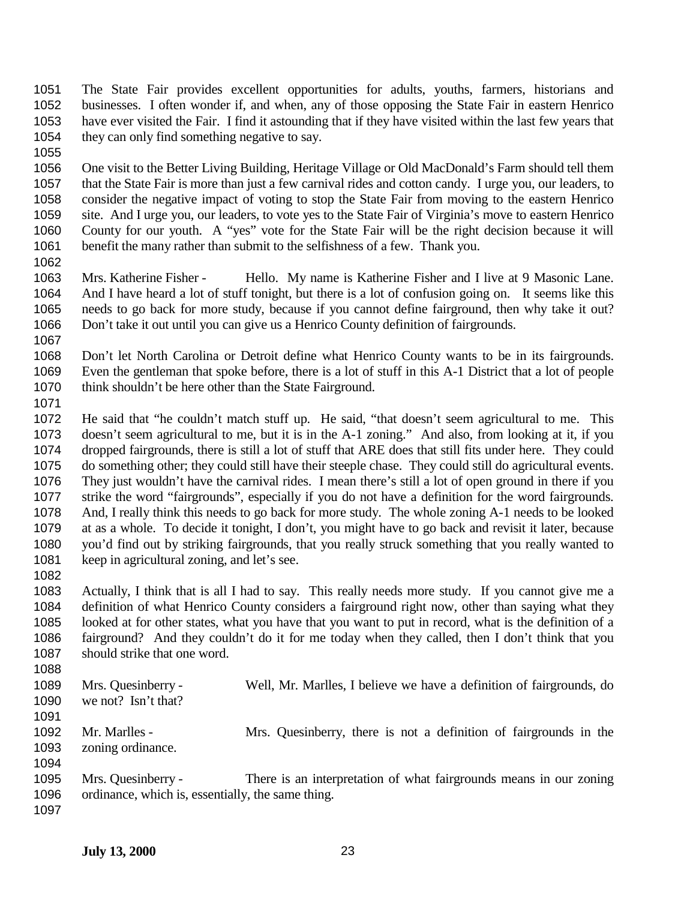The State Fair provides excellent opportunities for adults, youths, farmers, historians and businesses. I often wonder if, and when, any of those opposing the State Fair in eastern Henrico have ever visited the Fair. I find it astounding that if they have visited within the last few years that 1054 they can only find something negative to say.

 One visit to the Better Living Building, Heritage Village or Old MacDonald's Farm should tell them that the State Fair is more than just a few carnival rides and cotton candy. I urge you, our leaders, to consider the negative impact of voting to stop the State Fair from moving to the eastern Henrico site. And I urge you, our leaders, to vote yes to the State Fair of Virginia's move to eastern Henrico County for our youth. A "yes" vote for the State Fair will be the right decision because it will benefit the many rather than submit to the selfishness of a few. Thank you.

 Mrs. Katherine Fisher - Hello. My name is Katherine Fisher and I live at 9 Masonic Lane. And I have heard a lot of stuff tonight, but there is a lot of confusion going on. It seems like this needs to go back for more study, because if you cannot define fairground, then why take it out? Don't take it out until you can give us a Henrico County definition of fairgrounds.

 Don't let North Carolina or Detroit define what Henrico County wants to be in its fairgrounds. Even the gentleman that spoke before, there is a lot of stuff in this A-1 District that a lot of people think shouldn't be here other than the State Fairground. 

 He said that "he couldn't match stuff up. He said, "that doesn't seem agricultural to me. This doesn't seem agricultural to me, but it is in the A-1 zoning." And also, from looking at it, if you dropped fairgrounds, there is still a lot of stuff that ARE does that still fits under here. They could do something other; they could still have their steeple chase. They could still do agricultural events. They just wouldn't have the carnival rides. I mean there's still a lot of open ground in there if you strike the word "fairgrounds", especially if you do not have a definition for the word fairgrounds. And, I really think this needs to go back for more study. The whole zoning A-1 needs to be looked at as a whole. To decide it tonight, I don't, you might have to go back and revisit it later, because you'd find out by striking fairgrounds, that you really struck something that you really wanted to keep in agricultural zoning, and let's see.

 Actually, I think that is all I had to say. This really needs more study. If you cannot give me a definition of what Henrico County considers a fairground right now, other than saying what they looked at for other states, what you have that you want to put in record, what is the definition of a fairground? And they couldn't do it for me today when they called, then I don't think that you should strike that one word. 

| 1089 | Mrs. Quesinberry -                                | Well, Mr. Marlles, I believe we have a definition of fairgrounds, do |
|------|---------------------------------------------------|----------------------------------------------------------------------|
| 1090 | we not? Isn't that?                               |                                                                      |
| 1091 |                                                   |                                                                      |
| 1092 | Mr. Marlles -                                     | Mrs. Quesinberry, there is not a definition of fairgrounds in the    |
| 1093 | zoning ordinance.                                 |                                                                      |
| 1094 |                                                   |                                                                      |
| 1095 | Mrs. Quesinberry -                                | There is an interpretation of what fairgrounds means in our zoning   |
| 1096 | ordinance, which is, essentially, the same thing. |                                                                      |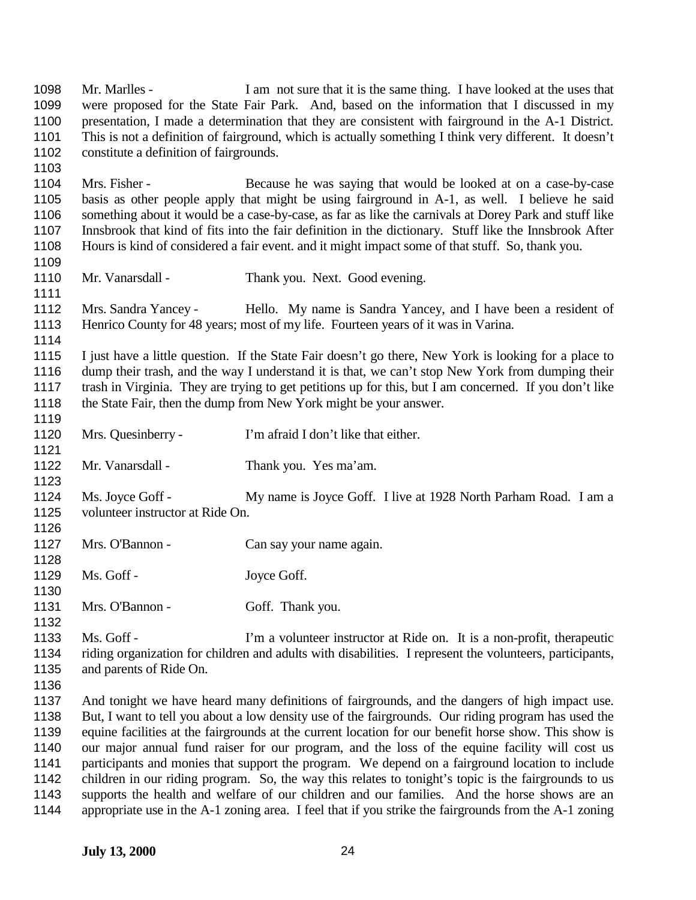Mr. Marlles - I am not sure that it is the same thing. I have looked at the uses that were proposed for the State Fair Park. And, based on the information that I discussed in my presentation, I made a determination that they are consistent with fairground in the A-1 District. This is not a definition of fairground, which is actually something I think very different. It doesn't constitute a definition of fairgrounds. Mrs. Fisher - Because he was saying that would be looked at on a case-by-case basis as other people apply that might be using fairground in A-1, as well. I believe he said something about it would be a case-by-case, as far as like the carnivals at Dorey Park and stuff like Innsbrook that kind of fits into the fair definition in the dictionary. Stuff like the Innsbrook After Hours is kind of considered a fair event. and it might impact some of that stuff. So, thank you. 1110 Mr. Vanarsdall - Thank you. Next. Good evening. Mrs. Sandra Yancey - Hello. My name is Sandra Yancey, and I have been a resident of Henrico County for 48 years; most of my life. Fourteen years of it was in Varina. I just have a little question. If the State Fair doesn't go there, New York is looking for a place to dump their trash, and the way I understand it is that, we can't stop New York from dumping their trash in Virginia. They are trying to get petitions up for this, but I am concerned. If you don't like the State Fair, then the dump from New York might be your answer. Mrs. Quesinberry - I'm afraid I don't like that either. Mr. Vanarsdall - Thank you. Yes ma'am. Ms. Joyce Goff - My name is Joyce Goff. I live at 1928 North Parham Road. I am a volunteer instructor at Ride On. 1127 Mrs. O'Bannon - Can say your name again. 1129 Ms. Goff - Joyce Goff. 1131 Mrs. O'Bannon - Goff. Thank you. Ms. Goff - I'm a volunteer instructor at Ride on. It is a non-profit, therapeutic riding organization for children and adults with disabilities. I represent the volunteers, participants, and parents of Ride On. And tonight we have heard many definitions of fairgrounds, and the dangers of high impact use. But, I want to tell you about a low density use of the fairgrounds. Our riding program has used the equine facilities at the fairgrounds at the current location for our benefit horse show. This show is our major annual fund raiser for our program, and the loss of the equine facility will cost us participants and monies that support the program. We depend on a fairground location to include children in our riding program. So, the way this relates to tonight's topic is the fairgrounds to us supports the health and welfare of our children and our families. And the horse shows are an appropriate use in the A-1 zoning area. I feel that if you strike the fairgrounds from the A-1 zoning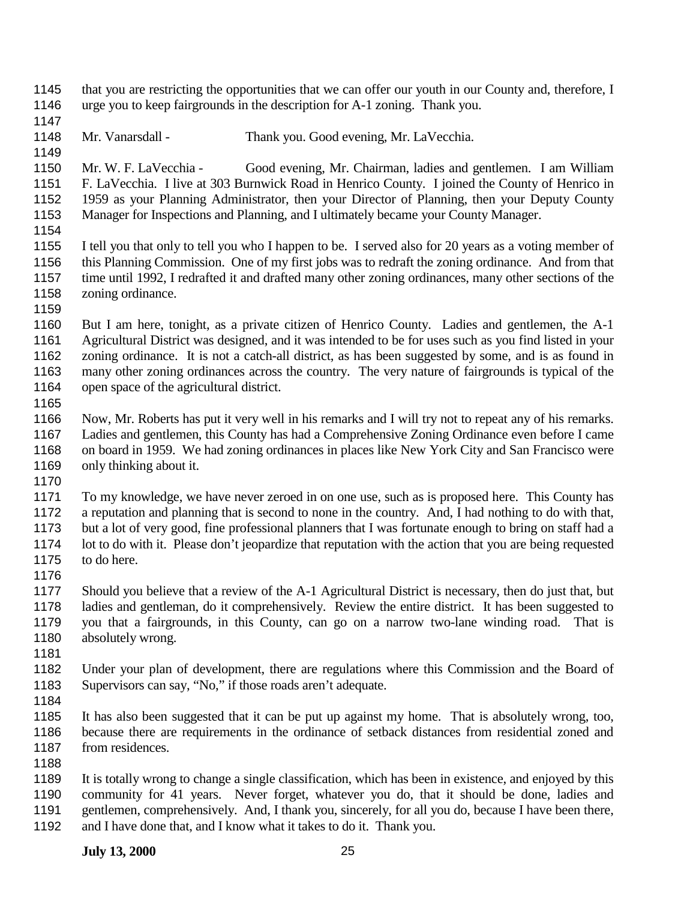- 1145 that you are restricting the opportunities that we can offer our youth in our County and, therefore, I urge you to keep fairgrounds in the description for A-1 zoning. Thank you.
- 

- Mr. Vanarsdall Thank you. Good evening, Mr. LaVecchia.
- Mr. W. F. LaVecchia Good evening, Mr. Chairman, ladies and gentlemen. I am William F. LaVecchia. I live at 303 Burnwick Road in Henrico County. I joined the County of Henrico in 1959 as your Planning Administrator, then your Director of Planning, then your Deputy County Manager for Inspections and Planning, and I ultimately became your County Manager.
- 
- I tell you that only to tell you who I happen to be. I served also for 20 years as a voting member of this Planning Commission. One of my first jobs was to redraft the zoning ordinance. And from that time until 1992, I redrafted it and drafted many other zoning ordinances, many other sections of the zoning ordinance.
- 

 But I am here, tonight, as a private citizen of Henrico County. Ladies and gentlemen, the A-1 Agricultural District was designed, and it was intended to be for uses such as you find listed in your zoning ordinance. It is not a catch-all district, as has been suggested by some, and is as found in many other zoning ordinances across the country. The very nature of fairgrounds is typical of the open space of the agricultural district. 

- Now, Mr. Roberts has put it very well in his remarks and I will try not to repeat any of his remarks. Ladies and gentlemen, this County has had a Comprehensive Zoning Ordinance even before I came 1168 on board in 1959. We had zoning ordinances in places like New York City and San Francisco were 1169 only thinking about it.
- 

 To my knowledge, we have never zeroed in on one use, such as is proposed here. This County has a reputation and planning that is second to none in the country. And, I had nothing to do with that, but a lot of very good, fine professional planners that I was fortunate enough to bring on staff had a lot to do with it. Please don't jeopardize that reputation with the action that you are being requested to do here.

 Should you believe that a review of the A-1 Agricultural District is necessary, then do just that, but ladies and gentleman, do it comprehensively. Review the entire district. It has been suggested to you that a fairgrounds, in this County, can go on a narrow two-lane winding road. That is absolutely wrong.

- 
- Under your plan of development, there are regulations where this Commission and the Board of Supervisors can say, "No," if those roads aren't adequate.
- 
- It has also been suggested that it can be put up against my home. That is absolutely wrong, too, because there are requirements in the ordinance of setback distances from residential zoned and from residences.
- 

 It is totally wrong to change a single classification, which has been in existence, and enjoyed by this community for 41 years. Never forget, whatever you do, that it should be done, ladies and gentlemen, comprehensively. And, I thank you, sincerely, for all you do, because I have been there, and I have done that, and I know what it takes to do it. Thank you.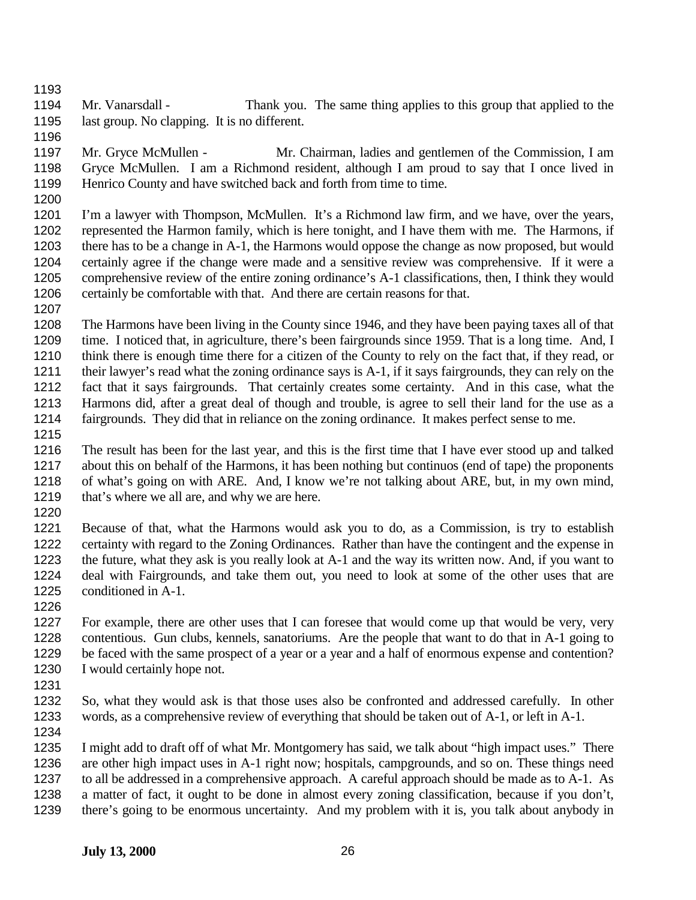Mr. Vanarsdall - Thank you. The same thing applies to this group that applied to the last group. No clapping. It is no different.

- Mr. Gryce McMullen Mr. Chairman, ladies and gentlemen of the Commission, I am Gryce McMullen. I am a Richmond resident, although I am proud to say that I once lived in Henrico County and have switched back and forth from time to time.
- 

 I'm a lawyer with Thompson, McMullen. It's a Richmond law firm, and we have, over the years, represented the Harmon family, which is here tonight, and I have them with me. The Harmons, if there has to be a change in A-1, the Harmons would oppose the change as now proposed, but would certainly agree if the change were made and a sensitive review was comprehensive. If it were a comprehensive review of the entire zoning ordinance's A-1 classifications, then, I think they would certainly be comfortable with that. And there are certain reasons for that.

 The Harmons have been living in the County since 1946, and they have been paying taxes all of that 1209 time. I noticed that, in agriculture, there's been fairgrounds since 1959. That is a long time. And, I think there is enough time there for a citizen of the County to rely on the fact that, if they read, or their lawyer's read what the zoning ordinance says is A-1, if it says fairgrounds, they can rely on the fact that it says fairgrounds. That certainly creates some certainty. And in this case, what the Harmons did, after a great deal of though and trouble, is agree to sell their land for the use as a fairgrounds. They did that in reliance on the zoning ordinance. It makes perfect sense to me. 

- The result has been for the last year, and this is the first time that I have ever stood up and talked about this on behalf of the Harmons, it has been nothing but continuos (end of tape) the proponents of what's going on with ARE. And, I know we're not talking about ARE, but, in my own mind, 1219 that's where we all are, and why we are here.
- 

 Because of that, what the Harmons would ask you to do, as a Commission, is try to establish certainty with regard to the Zoning Ordinances. Rather than have the contingent and the expense in the future, what they ask is you really look at A-1 and the way its written now. And, if you want to deal with Fairgrounds, and take them out, you need to look at some of the other uses that are conditioned in A-1. 

- For example, there are other uses that I can foresee that would come up that would be very, very contentious. Gun clubs, kennels, sanatoriums. Are the people that want to do that in A-1 going to be faced with the same prospect of a year or a year and a half of enormous expense and contention? I would certainly hope not.
- 
- So, what they would ask is that those uses also be confronted and addressed carefully. In other words, as a comprehensive review of everything that should be taken out of A-1, or left in A-1.

 I might add to draft off of what Mr. Montgomery has said, we talk about "high impact uses." There are other high impact uses in A-1 right now; hospitals, campgrounds, and so on. These things need to all be addressed in a comprehensive approach. A careful approach should be made as to A-1. As a matter of fact, it ought to be done in almost every zoning classification, because if you don't, there's going to be enormous uncertainty. And my problem with it is, you talk about anybody in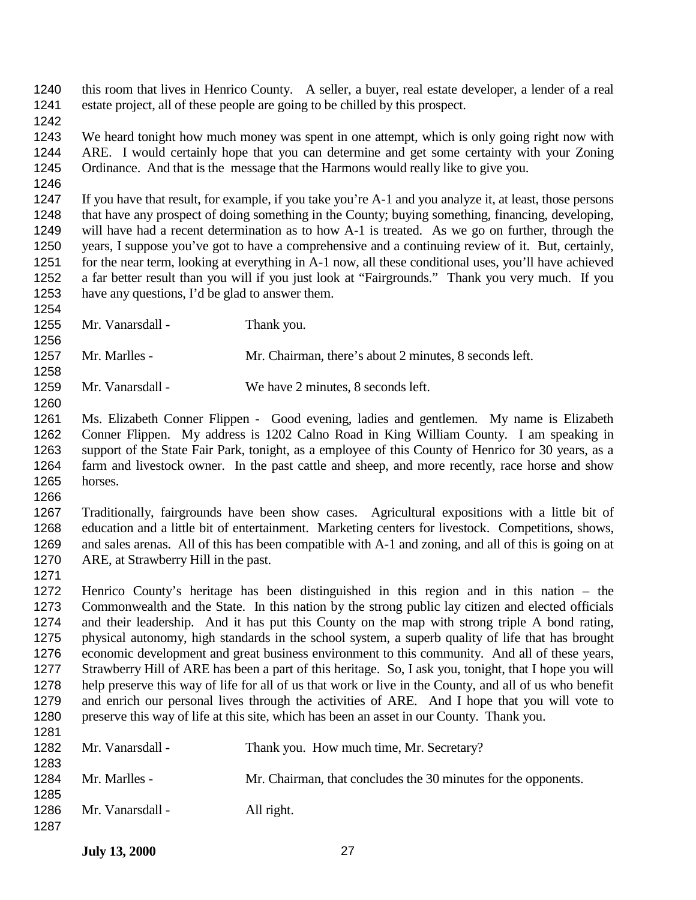this room that lives in Henrico County. A seller, a buyer, real estate developer, a lender of a real estate project, all of these people are going to be chilled by this prospect.

 We heard tonight how much money was spent in one attempt, which is only going right now with ARE. I would certainly hope that you can determine and get some certainty with your Zoning Ordinance. And that is the message that the Harmons would really like to give you.

 If you have that result, for example, if you take you're A-1 and you analyze it, at least, those persons that have any prospect of doing something in the County; buying something, financing, developing, will have had a recent determination as to how A-1 is treated. As we go on further, through the years, I suppose you've got to have a comprehensive and a continuing review of it. But, certainly, 1251 for the near term, looking at everything in A-1 now, all these conditional uses, you'll have achieved a far better result than you will if you just look at "Fairgrounds." Thank you very much. If you have any questions, I'd be glad to answer them. 

1255 Mr. Vanarsdall - Thank you.

 Mr. Marlles - Mr. Chairman, there's about 2 minutes, 8 seconds left. 

Mr. Vanarsdall - We have 2 minutes, 8 seconds left.

 Ms. Elizabeth Conner Flippen - Good evening, ladies and gentlemen. My name is Elizabeth Conner Flippen. My address is 1202 Calno Road in King William County. I am speaking in support of the State Fair Park, tonight, as a employee of this County of Henrico for 30 years, as a farm and livestock owner. In the past cattle and sheep, and more recently, race horse and show horses.

1267 Traditionally, fairgrounds have been show cases. Agricultural expositions with a little bit of education and a little bit of entertainment. Marketing centers for livestock. Competitions. shows. education and a little bit of entertainment. Marketing centers for livestock. Competitions, shows, and sales arenas. All of this has been compatible with A-1 and zoning, and all of this is going on at ARE, at Strawberry Hill in the past.

 Henrico County's heritage has been distinguished in this region and in this nation – the Commonwealth and the State. In this nation by the strong public lay citizen and elected officials and their leadership. And it has put this County on the map with strong triple A bond rating, physical autonomy, high standards in the school system, a superb quality of life that has brought economic development and great business environment to this community. And all of these years, Strawberry Hill of ARE has been a part of this heritage. So, I ask you, tonight, that I hope you will help preserve this way of life for all of us that work or live in the County, and all of us who benefit and enrich our personal lives through the activities of ARE. And I hope that you will vote to preserve this way of life at this site, which has been an asset in our County. Thank you.

| 1 Z U I |                  |                                                                |
|---------|------------------|----------------------------------------------------------------|
| 1282    | Mr. Vanarsdall - | Thank you. How much time, Mr. Secretary?                       |
| 1283    |                  |                                                                |
| 1284    | Mr. Marlles -    | Mr. Chairman, that concludes the 30 minutes for the opponents. |
| 1285    |                  |                                                                |
| 1286    | Mr. Vanarsdall - | All right.                                                     |
| 1287    |                  |                                                                |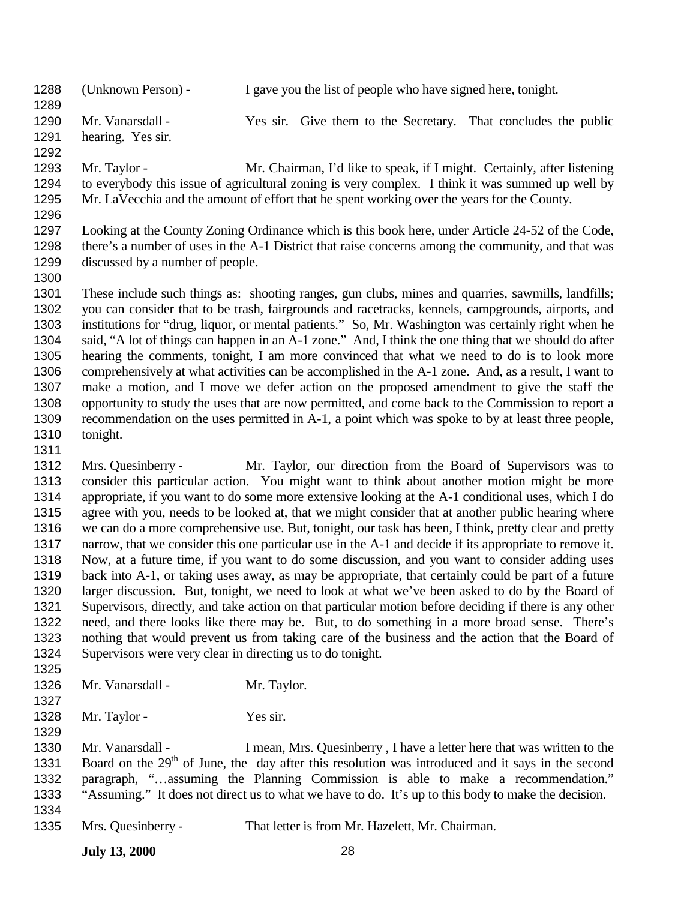(Unknown Person) - I gave you the list of people who have signed here, tonight. 

 Mr. Vanarsdall - Yes sir. Give them to the Secretary. That concludes the public hearing. Yes sir.

 Mr. Taylor - Mr. Chairman, I'd like to speak, if I might. Certainly, after listening to everybody this issue of agricultural zoning is very complex. I think it was summed up well by Mr. LaVecchia and the amount of effort that he spent working over the years for the County.

 Looking at the County Zoning Ordinance which is this book here, under Article 24-52 of the Code, there's a number of uses in the A-1 District that raise concerns among the community, and that was discussed by a number of people.

 These include such things as: shooting ranges, gun clubs, mines and quarries, sawmills, landfills; you can consider that to be trash, fairgrounds and racetracks, kennels, campgrounds, airports, and institutions for "drug, liquor, or mental patients." So, Mr. Washington was certainly right when he said, "A lot of things can happen in an A-1 zone." And, I think the one thing that we should do after hearing the comments, tonight, I am more convinced that what we need to do is to look more comprehensively at what activities can be accomplished in the A-1 zone. And, as a result, I want to make a motion, and I move we defer action on the proposed amendment to give the staff the opportunity to study the uses that are now permitted, and come back to the Commission to report a recommendation on the uses permitted in A-1, a point which was spoke to by at least three people, tonight.

 Mrs. Quesinberry - Mr. Taylor, our direction from the Board of Supervisors was to consider this particular action. You might want to think about another motion might be more appropriate, if you want to do some more extensive looking at the A-1 conditional uses, which I do agree with you, needs to be looked at, that we might consider that at another public hearing where we can do a more comprehensive use. But, tonight, our task has been, I think, pretty clear and pretty narrow, that we consider this one particular use in the A-1 and decide if its appropriate to remove it. Now, at a future time, if you want to do some discussion, and you want to consider adding uses back into A-1, or taking uses away, as may be appropriate, that certainly could be part of a future larger discussion. But, tonight, we need to look at what we've been asked to do by the Board of Supervisors, directly, and take action on that particular motion before deciding if there is any other need, and there looks like there may be. But, to do something in a more broad sense. There's nothing that would prevent us from taking care of the business and the action that the Board of Supervisors were very clear in directing us to do tonight. 

1326 Mr. Vanarsdall - Mr. Taylor. 

1328 Mr. Taylor - Yes sir. 

 Mr. Vanarsdall - I mean, Mrs. Quesinberry , I have a letter here that was written to the 1331 Board on the  $29<sup>th</sup>$  of June, the day after this resolution was introduced and it says in the second paragraph, "…assuming the Planning Commission is able to make a recommendation." "Assuming." It does not direct us to what we have to do. It's up to this body to make the decision.

Mrs. Quesinberry - That letter is from Mr. Hazelett, Mr. Chairman.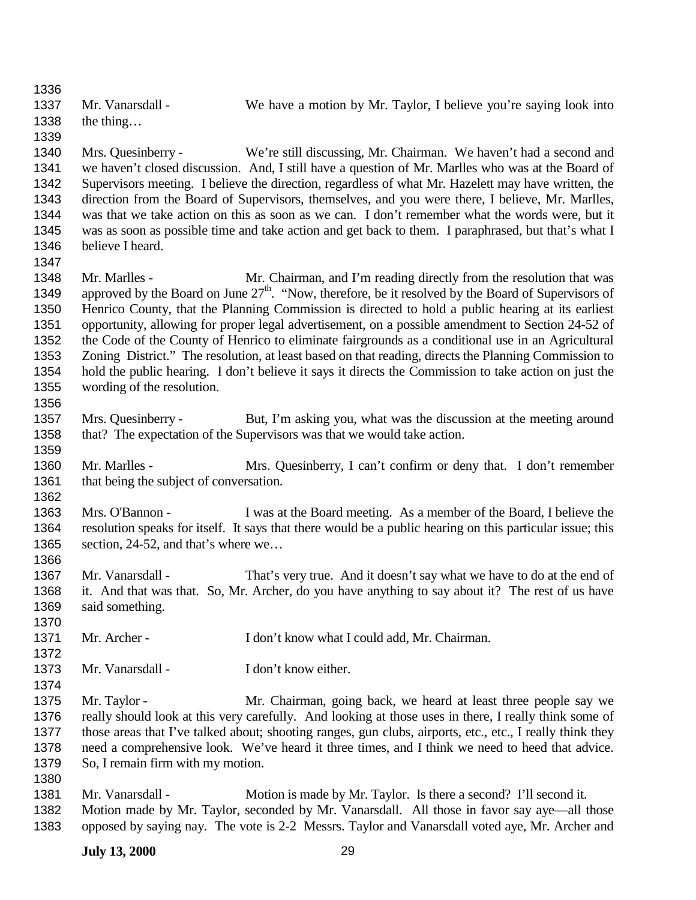Mr. Vanarsdall - We have a motion by Mr. Taylor, I believe you're saying look into the thing… Mrs. Quesinberry - We're still discussing, Mr. Chairman. We haven't had a second and we haven't closed discussion. And, I still have a question of Mr. Marlles who was at the Board of Supervisors meeting. I believe the direction, regardless of what Mr. Hazelett may have written, the direction from the Board of Supervisors, themselves, and you were there, I believe, Mr. Marlles, was that we take action on this as soon as we can. I don't remember what the words were, but it was as soon as possible time and take action and get back to them. I paraphrased, but that's what I believe I heard. Mr. Marlles - Mr. Chairman, and I'm reading directly from the resolution that was 1349 approved by the Board on June  $27<sup>th</sup>$ . "Now, therefore, be it resolved by the Board of Supervisors of Henrico County, that the Planning Commission is directed to hold a public hearing at its earliest opportunity, allowing for proper legal advertisement, on a possible amendment to Section 24-52 of the Code of the County of Henrico to eliminate fairgrounds as a conditional use in an Agricultural Zoning District." The resolution, at least based on that reading, directs the Planning Commission to hold the public hearing. I don't believe it says it directs the Commission to take action on just the wording of the resolution. 1357 Mrs. Quesinberry - But, I'm asking you, what was the discussion at the meeting around that? The expectation of the Supervisors was that we would take action. Mr. Marlles - Mrs. Quesinberry, I can't confirm or deny that. I don't remember 1361 that being the subject of conversation. Mrs. O'Bannon - I was at the Board meeting. As a member of the Board, I believe the resolution speaks for itself. It says that there would be a public hearing on this particular issue; this 1365 section, 24-52, and that's where we... 1367 Mr. Vanarsdall - That's very true. And it doesn't say what we have to do at the end of it. And that was that. So, Mr. Archer, do you have anything to say about it? The rest of us have said something. 1371 Mr. Archer - I don't know what I could add, Mr. Chairman. 1373 Mr. Vanarsdall - I don't know either. Mr. Taylor - Mr. Chairman, going back, we heard at least three people say we really should look at this very carefully. And looking at those uses in there, I really think some of those areas that I've talked about; shooting ranges, gun clubs, airports, etc., etc., I really think they need a comprehensive look. We've heard it three times, and I think we need to heed that advice. So, I remain firm with my motion. Mr. Vanarsdall - Motion is made by Mr. Taylor. Is there a second? I'll second it. Motion made by Mr. Taylor, seconded by Mr. Vanarsdall. All those in favor say aye—all those opposed by saying nay. The vote is 2-2 Messrs. Taylor and Vanarsdall voted aye, Mr. Archer and

## **July 13, 2000** 29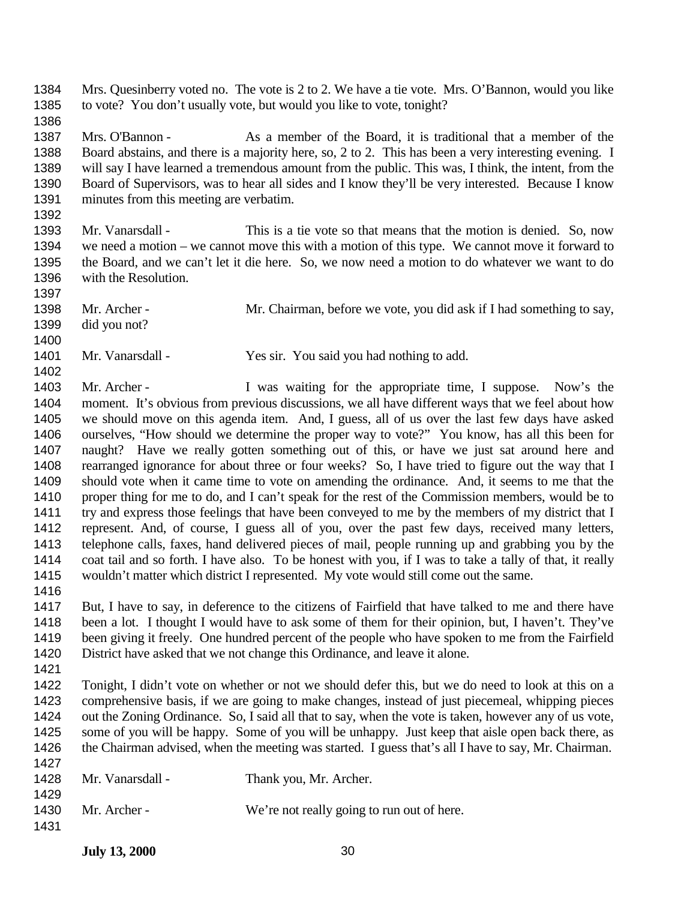Mrs. Quesinberry voted no. The vote is 2 to 2. We have a tie vote. Mrs. O'Bannon, would you like to vote? You don't usually vote, but would you like to vote, tonight?

 Mrs. O'Bannon - As a member of the Board, it is traditional that a member of the Board abstains, and there is a majority here, so, 2 to 2. This has been a very interesting evening. I will say I have learned a tremendous amount from the public. This was, I think, the intent, from the Board of Supervisors, was to hear all sides and I know they'll be very interested. Because I know minutes from this meeting are verbatim. 

 Mr. Vanarsdall - This is a tie vote so that means that the motion is denied. So, now we need a motion – we cannot move this with a motion of this type. We cannot move it forward to the Board, and we can't let it die here. So, we now need a motion to do whatever we want to do with the Resolution.

- Mr. Archer Mr. Chairman, before we vote, you did ask if I had something to say, did you not?
- 1401 Mr. Vanarsdall Yes sir. You said you had nothing to add.

1403 Mr. Archer - I was waiting for the appropriate time, I suppose. Now's the moment. It's obvious from previous discussions, we all have different ways that we feel about how we should move on this agenda item. And, I guess, all of us over the last few days have asked ourselves, "How should we determine the proper way to vote?" You know, has all this been for naught? Have we really gotten something out of this, or have we just sat around here and rearranged ignorance for about three or four weeks? So, I have tried to figure out the way that I should vote when it came time to vote on amending the ordinance. And, it seems to me that the proper thing for me to do, and I can't speak for the rest of the Commission members, would be to try and express those feelings that have been conveyed to me by the members of my district that I represent. And, of course, I guess all of you, over the past few days, received many letters, telephone calls, faxes, hand delivered pieces of mail, people running up and grabbing you by the coat tail and so forth. I have also. To be honest with you, if I was to take a tally of that, it really wouldn't matter which district I represented. My vote would still come out the same.

 But, I have to say, in deference to the citizens of Fairfield that have talked to me and there have been a lot. I thought I would have to ask some of them for their opinion, but, I haven't. They've been giving it freely. One hundred percent of the people who have spoken to me from the Fairfield District have asked that we not change this Ordinance, and leave it alone.

 Tonight, I didn't vote on whether or not we should defer this, but we do need to look at this on a comprehensive basis, if we are going to make changes, instead of just piecemeal, whipping pieces out the Zoning Ordinance. So, I said all that to say, when the vote is taken, however any of us vote, some of you will be happy. Some of you will be unhappy. Just keep that aisle open back there, as the Chairman advised, when the meeting was started. I guess that's all I have to say, Mr. Chairman. 

| 1 T Z I |                  |                                            |
|---------|------------------|--------------------------------------------|
| 1428    | Mr. Vanarsdall - | Thank you, Mr. Archer.                     |
| 1429    |                  |                                            |
| 1430    | Mr. Archer -     | We're not really going to run out of here. |
| 1431    |                  |                                            |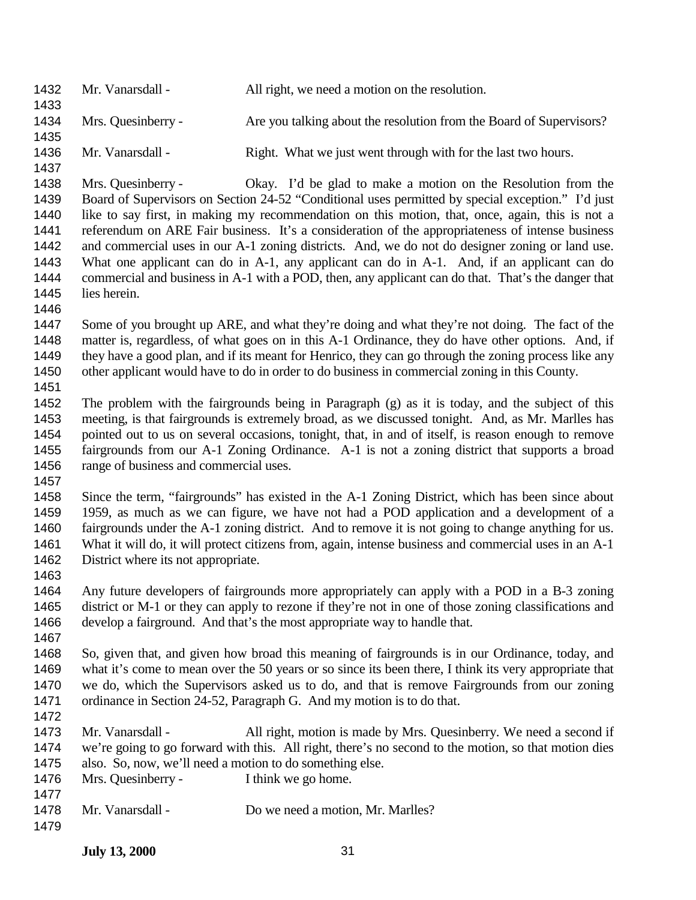| 1432<br>1433                                         | Mr. Vanarsdall -                                                                                   | All right, we need a motion on the resolution.                                                                                                                                                                                                                                                                                                                                                                                                                                                                                                                                                                                                                                   |
|------------------------------------------------------|----------------------------------------------------------------------------------------------------|----------------------------------------------------------------------------------------------------------------------------------------------------------------------------------------------------------------------------------------------------------------------------------------------------------------------------------------------------------------------------------------------------------------------------------------------------------------------------------------------------------------------------------------------------------------------------------------------------------------------------------------------------------------------------------|
| 1434<br>1435                                         | Mrs. Quesinberry -                                                                                 | Are you talking about the resolution from the Board of Supervisors?                                                                                                                                                                                                                                                                                                                                                                                                                                                                                                                                                                                                              |
| 1436<br>1437                                         | Mr. Vanarsdall -                                                                                   | Right. What we just went through with for the last two hours.                                                                                                                                                                                                                                                                                                                                                                                                                                                                                                                                                                                                                    |
| 1438<br>1439<br>1440<br>1441<br>1442<br>1443<br>1444 | Mrs. Quesinberry -                                                                                 | Okay. I'd be glad to make a motion on the Resolution from the<br>Board of Supervisors on Section 24-52 "Conditional uses permitted by special exception." I'd just<br>like to say first, in making my recommendation on this motion, that, once, again, this is not a<br>referendum on ARE Fair business. It's a consideration of the appropriateness of intense business<br>and commercial uses in our A-1 zoning districts. And, we do not do designer zoning or land use.<br>What one applicant can do in A-1, any applicant can do in A-1. And, if an applicant can do<br>commercial and business in A-1 with a POD, then, any applicant can do that. That's the danger that |
| 1445<br>1446                                         | lies herein.                                                                                       |                                                                                                                                                                                                                                                                                                                                                                                                                                                                                                                                                                                                                                                                                  |
| 1447<br>1448<br>1449<br>1450<br>1451                 |                                                                                                    | Some of you brought up ARE, and what they're doing and what they're not doing. The fact of the<br>matter is, regardless, of what goes on in this A-1 Ordinance, they do have other options. And, if<br>they have a good plan, and if its meant for Henrico, they can go through the zoning process like any<br>other applicant would have to do in order to do business in commercial zoning in this County.                                                                                                                                                                                                                                                                     |
| 1452<br>1453<br>1454<br>1455<br>1456                 | range of business and commercial uses.                                                             | The problem with the fairgrounds being in Paragraph (g) as it is today, and the subject of this<br>meeting, is that fairgrounds is extremely broad, as we discussed tonight. And, as Mr. Marlles has<br>pointed out to us on several occasions, tonight, that, in and of itself, is reason enough to remove<br>fairgrounds from our A-1 Zoning Ordinance. A-1 is not a zoning district that supports a broad                                                                                                                                                                                                                                                                     |
| 1457<br>1458<br>1459<br>1460<br>1461<br>1462<br>1463 | District where its not appropriate.                                                                | Since the term, "fairgrounds" has existed in the A-1 Zoning District, which has been since about<br>1959, as much as we can figure, we have not had a POD application and a development of a<br>fairgrounds under the A-1 zoning district. And to remove it is not going to change anything for us.<br>What it will do, it will protect citizens from, again, intense business and commercial uses in an A-1                                                                                                                                                                                                                                                                     |
| 1464<br>1465<br>1466<br>1467                         |                                                                                                    | Any future developers of fairgrounds more appropriately can apply with a POD in a B-3 zoning<br>district or M-1 or they can apply to rezone if they're not in one of those zoning classifications and<br>develop a fairground. And that's the most appropriate way to handle that.                                                                                                                                                                                                                                                                                                                                                                                               |
| 1468<br>1469<br>1470<br>1471<br>1472                 |                                                                                                    | So, given that, and given how broad this meaning of fairgrounds is in our Ordinance, today, and<br>what it's come to mean over the 50 years or so since its been there, I think its very appropriate that<br>we do, which the Supervisors asked us to do, and that is remove Fairgrounds from our zoning<br>ordinance in Section 24-52, Paragraph G. And my motion is to do that.                                                                                                                                                                                                                                                                                                |
| 1473<br>1474<br>1475<br>1476                         | Mr. Vanarsdall -<br>also. So, now, we'll need a motion to do something else.<br>Mrs. Quesinberry - | All right, motion is made by Mrs. Quesinberry. We need a second if<br>we're going to go forward with this. All right, there's no second to the motion, so that motion dies<br>I think we go home.                                                                                                                                                                                                                                                                                                                                                                                                                                                                                |
| 1477<br>1478<br>1479                                 | Mr. Vanarsdall -                                                                                   | Do we need a motion, Mr. Marlles?                                                                                                                                                                                                                                                                                                                                                                                                                                                                                                                                                                                                                                                |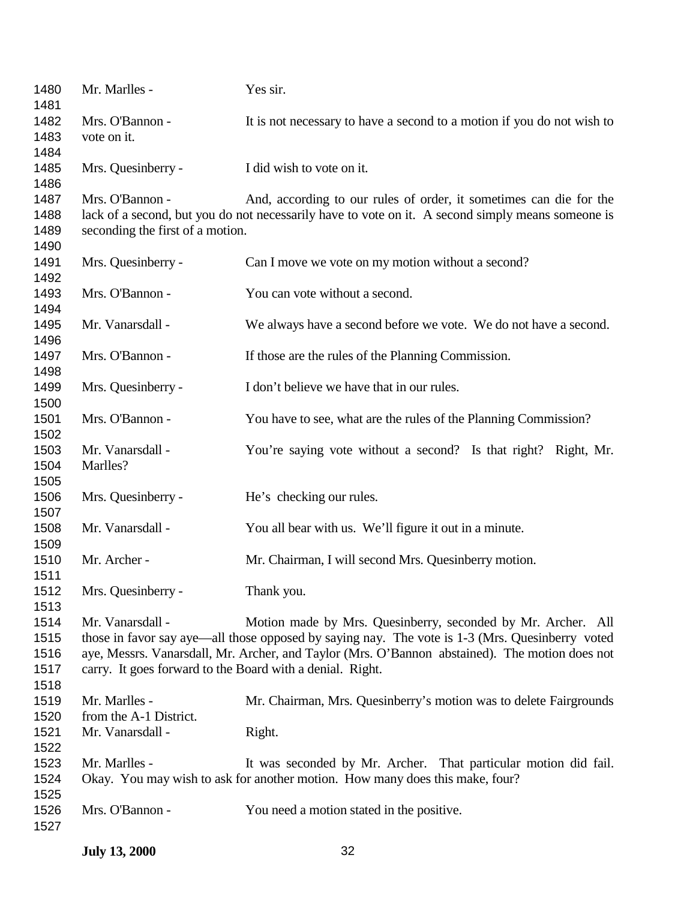| 1480<br>1481 | Mr. Marlles -                                             | Yes sir.                                                                                          |
|--------------|-----------------------------------------------------------|---------------------------------------------------------------------------------------------------|
| 1482         | Mrs. O'Bannon -                                           | It is not necessary to have a second to a motion if you do not wish to                            |
| 1483         | vote on it.                                               |                                                                                                   |
| 1484         |                                                           |                                                                                                   |
| 1485         | Mrs. Quesinberry -                                        | I did wish to vote on it.                                                                         |
| 1486         |                                                           |                                                                                                   |
| 1487         | Mrs. O'Bannon -                                           | And, according to our rules of order, it sometimes can die for the                                |
| 1488         |                                                           | lack of a second, but you do not necessarily have to vote on it. A second simply means someone is |
| 1489         | seconding the first of a motion.                          |                                                                                                   |
| 1490         |                                                           |                                                                                                   |
| 1491         | Mrs. Quesinberry -                                        | Can I move we vote on my motion without a second?                                                 |
| 1492         |                                                           |                                                                                                   |
| 1493         | Mrs. O'Bannon -                                           | You can vote without a second.                                                                    |
| 1494         |                                                           |                                                                                                   |
| 1495         | Mr. Vanarsdall -                                          | We always have a second before we vote. We do not have a second.                                  |
| 1496         |                                                           |                                                                                                   |
| 1497         | Mrs. O'Bannon -                                           | If those are the rules of the Planning Commission.                                                |
| 1498         |                                                           |                                                                                                   |
| 1499         | Mrs. Quesinberry -                                        | I don't believe we have that in our rules.                                                        |
| 1500         |                                                           |                                                                                                   |
| 1501         | Mrs. O'Bannon -                                           | You have to see, what are the rules of the Planning Commission?                                   |
| 1502         |                                                           |                                                                                                   |
| 1503         | Mr. Vanarsdall -                                          | You're saying vote without a second? Is that right? Right, Mr.                                    |
| 1504         | Marlles?                                                  |                                                                                                   |
| 1505         |                                                           |                                                                                                   |
| 1506         | Mrs. Quesinberry -                                        | He's checking our rules.                                                                          |
| 1507         |                                                           |                                                                                                   |
| 1508         | Mr. Vanarsdall -                                          | You all bear with us. We'll figure it out in a minute.                                            |
| 1509         |                                                           |                                                                                                   |
| 1510         | Mr. Archer -                                              | Mr. Chairman, I will second Mrs. Quesinberry motion.                                              |
| 1511         |                                                           |                                                                                                   |
| 1512         | Mrs. Quesinberry -                                        | Thank you.                                                                                        |
| 1513         |                                                           |                                                                                                   |
| 1514         | Mr. Vanarsdall -                                          | Motion made by Mrs. Quesinberry, seconded by Mr. Archer. All                                      |
| 1515         |                                                           | those in favor say aye—all those opposed by saying nay. The vote is 1-3 (Mrs. Quesinberry voted   |
| 1516         |                                                           | aye, Messrs. Vanarsdall, Mr. Archer, and Taylor (Mrs. O'Bannon abstained). The motion does not    |
| 1517         | carry. It goes forward to the Board with a denial. Right. |                                                                                                   |
| 1518         |                                                           |                                                                                                   |
| 1519         | Mr. Marlles -                                             | Mr. Chairman, Mrs. Quesinberry's motion was to delete Fairgrounds                                 |
| 1520         | from the A-1 District.                                    |                                                                                                   |
| 1521         | Mr. Vanarsdall -                                          | Right.                                                                                            |
| 1522         |                                                           |                                                                                                   |
| 1523         | Mr. Marlles -                                             | It was seconded by Mr. Archer. That particular motion did fail.                                   |
| 1524         |                                                           | Okay. You may wish to ask for another motion. How many does this make, four?                      |
| 1525         |                                                           |                                                                                                   |
| 1526         | Mrs. O'Bannon -                                           | You need a motion stated in the positive.                                                         |
| 1527         |                                                           |                                                                                                   |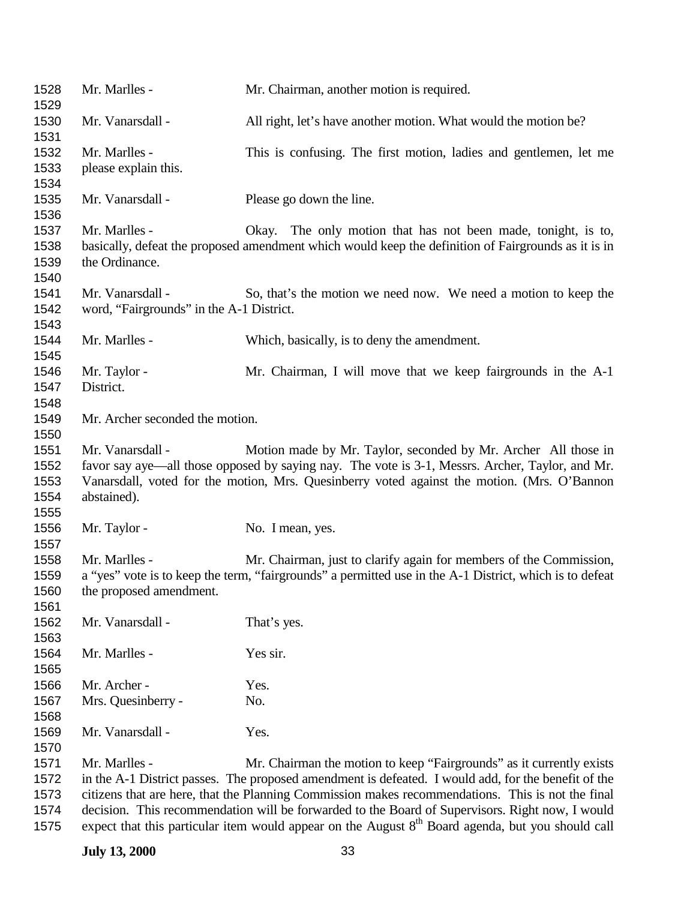| 1528<br>1529                         | Mr. Marlles -                                                | Mr. Chairman, another motion is required.                                                                                                                                                                                                                                                                                                                                                                                                                                                            |
|--------------------------------------|--------------------------------------------------------------|------------------------------------------------------------------------------------------------------------------------------------------------------------------------------------------------------------------------------------------------------------------------------------------------------------------------------------------------------------------------------------------------------------------------------------------------------------------------------------------------------|
| 1530<br>1531                         | Mr. Vanarsdall -                                             | All right, let's have another motion. What would the motion be?                                                                                                                                                                                                                                                                                                                                                                                                                                      |
| 1532<br>1533<br>1534                 | Mr. Marlles -<br>please explain this.                        | This is confusing. The first motion, ladies and gentlemen, let me                                                                                                                                                                                                                                                                                                                                                                                                                                    |
| 1535<br>1536                         | Mr. Vanarsdall -                                             | Please go down the line.                                                                                                                                                                                                                                                                                                                                                                                                                                                                             |
| 1537<br>1538<br>1539<br>1540         | Mr. Marlles -<br>the Ordinance.                              | Okay. The only motion that has not been made, tonight, is to,<br>basically, defeat the proposed amendment which would keep the definition of Fairgrounds as it is in                                                                                                                                                                                                                                                                                                                                 |
| 1541<br>1542<br>1543                 | Mr. Vanarsdall -<br>word, "Fairgrounds" in the A-1 District. | So, that's the motion we need now. We need a motion to keep the                                                                                                                                                                                                                                                                                                                                                                                                                                      |
| 1544<br>1545                         | Mr. Marlles -                                                | Which, basically, is to deny the amendment.                                                                                                                                                                                                                                                                                                                                                                                                                                                          |
| 1546<br>1547<br>1548                 | Mr. Taylor -<br>District.                                    | Mr. Chairman, I will move that we keep fairgrounds in the A-1                                                                                                                                                                                                                                                                                                                                                                                                                                        |
| 1549<br>1550                         | Mr. Archer seconded the motion.                              |                                                                                                                                                                                                                                                                                                                                                                                                                                                                                                      |
| 1551<br>1552<br>1553<br>1554<br>1555 | Mr. Vanarsdall -<br>abstained).                              | Motion made by Mr. Taylor, seconded by Mr. Archer All those in<br>favor say aye—all those opposed by saying nay. The vote is 3-1, Messrs. Archer, Taylor, and Mr.<br>Vanarsdall, voted for the motion, Mrs. Quesinberry voted against the motion. (Mrs. O'Bannon                                                                                                                                                                                                                                     |
| 1556<br>1557                         | Mr. Taylor -                                                 | No. I mean, yes.                                                                                                                                                                                                                                                                                                                                                                                                                                                                                     |
| 1558<br>1559<br>1560<br>1561         | Mr. Marlles -<br>the proposed amendment.                     | Mr. Chairman, just to clarify again for members of the Commission,<br>a "yes" vote is to keep the term, "fairgrounds" a permitted use in the A-1 District, which is to defeat                                                                                                                                                                                                                                                                                                                        |
| 1562<br>1563                         | Mr. Vanarsdall -                                             | That's yes.                                                                                                                                                                                                                                                                                                                                                                                                                                                                                          |
| 1564<br>1565                         | Mr. Marlles -                                                | Yes sir.                                                                                                                                                                                                                                                                                                                                                                                                                                                                                             |
| 1566<br>1567<br>1568                 | Mr. Archer -<br>Mrs. Quesinberry -                           | Yes.<br>No.                                                                                                                                                                                                                                                                                                                                                                                                                                                                                          |
| 1569<br>1570                         | Mr. Vanarsdall -                                             | Yes.                                                                                                                                                                                                                                                                                                                                                                                                                                                                                                 |
| 1571<br>1572<br>1573<br>1574<br>1575 | Mr. Marlles -                                                | Mr. Chairman the motion to keep "Fairgrounds" as it currently exists<br>in the A-1 District passes. The proposed amendment is defeated. I would add, for the benefit of the<br>citizens that are here, that the Planning Commission makes recommendations. This is not the final<br>decision. This recommendation will be forwarded to the Board of Supervisors. Right now, I would<br>expect that this particular item would appear on the August 8 <sup>th</sup> Board agenda, but you should call |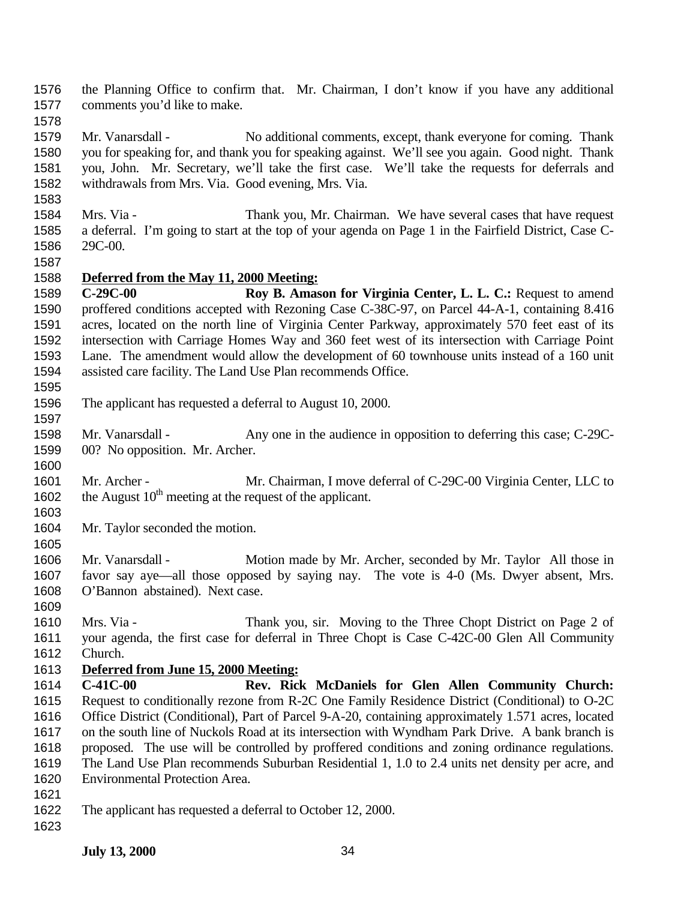the Planning Office to confirm that. Mr. Chairman, I don't know if you have any additional comments you'd like to make.

 Mr. Vanarsdall - No additional comments, except, thank everyone for coming. Thank you for speaking for, and thank you for speaking against. We'll see you again. Good night. Thank you, John. Mr. Secretary, we'll take the first case. We'll take the requests for deferrals and withdrawals from Mrs. Via. Good evening, Mrs. Via.

- Mrs. Via Thank you, Mr. Chairman. We have several cases that have request a deferral. I'm going to start at the top of your agenda on Page 1 in the Fairfield District, Case C-29C-00.
- 

## **Deferred from the May 11, 2000 Meeting:**

 **C-29C-00 Roy B. Amason for Virginia Center, L. L. C.:** Request to amend proffered conditions accepted with Rezoning Case C-38C-97, on Parcel 44-A-1, containing 8.416 acres, located on the north line of Virginia Center Parkway, approximately 570 feet east of its intersection with Carriage Homes Way and 360 feet west of its intersection with Carriage Point Lane. The amendment would allow the development of 60 townhouse units instead of a 160 unit assisted care facility. The Land Use Plan recommends Office.

- The applicant has requested a deferral to August 10, 2000.
- Mr. Vanarsdall Any one in the audience in opposition to deferring this case; C-29C-00? No opposition. Mr. Archer.
- 1601 Mr. Archer Mr. Chairman, I move deferral of C-29C-00 Virginia Center, LLC to 1602 the August  $10^{th}$  meeting at the request of the applicant.
- Mr. Taylor seconded the motion.
- Mr. Vanarsdall Motion made by Mr. Archer, seconded by Mr. Taylor All those in favor say aye—all those opposed by saying nay. The vote is 4-0 (Ms. Dwyer absent, Mrs. O'Bannon abstained). Next case.
- Mrs. Via Thank you, sir. Moving to the Three Chopt District on Page 2 of your agenda, the first case for deferral in Three Chopt is Case C-42C-00 Glen All Community Church.
- **Deferred from June 15, 2000 Meeting:**
- **C-41C-00 Rev. Rick McDaniels for Glen Allen Community Church:** Request to conditionally rezone from R-2C One Family Residence District (Conditional) to O-2C Office District (Conditional), Part of Parcel 9-A-20, containing approximately 1.571 acres, located on the south line of Nuckols Road at its intersection with Wyndham Park Drive. A bank branch is proposed. The use will be controlled by proffered conditions and zoning ordinance regulations. The Land Use Plan recommends Suburban Residential 1, 1.0 to 2.4 units net density per acre, and Environmental Protection Area.
- 
- The applicant has requested a deferral to October 12, 2000.
-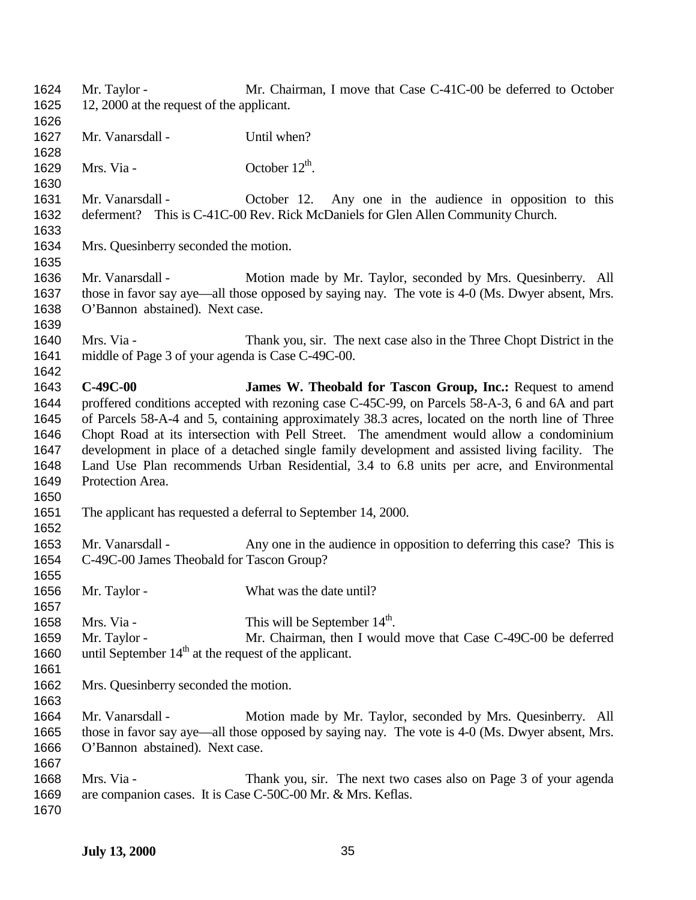| 1624 | Mr. Taylor -                                                                             | Mr. Chairman, I move that Case C-41C-00 be deferred to October                                   |
|------|------------------------------------------------------------------------------------------|--------------------------------------------------------------------------------------------------|
| 1625 | 12, 2000 at the request of the applicant.                                                |                                                                                                  |
| 1626 |                                                                                          |                                                                                                  |
| 1627 | Mr. Vanarsdall -                                                                         | Until when?                                                                                      |
| 1628 |                                                                                          |                                                                                                  |
| 1629 | Mrs. Via -                                                                               | October $12^{th}$ .                                                                              |
| 1630 |                                                                                          |                                                                                                  |
| 1631 | Mr. Vanarsdall -                                                                         | October 12. Any one in the audience in opposition to this                                        |
| 1632 |                                                                                          | deferment? This is C-41C-00 Rev. Rick McDaniels for Glen Allen Community Church.                 |
| 1633 |                                                                                          |                                                                                                  |
| 1634 | Mrs. Quesinberry seconded the motion.                                                    |                                                                                                  |
| 1635 |                                                                                          |                                                                                                  |
| 1636 | Mr. Vanarsdall -                                                                         | Motion made by Mr. Taylor, seconded by Mrs. Quesinberry. All                                     |
| 1637 |                                                                                          | those in favor say aye—all those opposed by saying nay. The vote is 4-0 (Ms. Dwyer absent, Mrs.  |
| 1638 | O'Bannon abstained). Next case.                                                          |                                                                                                  |
| 1639 |                                                                                          |                                                                                                  |
| 1640 | Mrs. Via -                                                                               | Thank you, sir. The next case also in the Three Chopt District in the                            |
| 1641 | middle of Page 3 of your agenda is Case C-49C-00.                                        |                                                                                                  |
| 1642 |                                                                                          |                                                                                                  |
| 1643 | $C-49C-00$                                                                               | James W. Theobald for Tascon Group, Inc.: Request to amend                                       |
| 1644 |                                                                                          | proffered conditions accepted with rezoning case C-45C-99, on Parcels 58-A-3, 6 and 6A and part  |
| 1645 |                                                                                          | of Parcels 58-A-4 and 5, containing approximately 38.3 acres, located on the north line of Three |
| 1646 |                                                                                          | Chopt Road at its intersection with Pell Street. The amendment would allow a condominium         |
| 1647 |                                                                                          | development in place of a detached single family development and assisted living facility. The   |
| 1648 | Land Use Plan recommends Urban Residential, 3.4 to 6.8 units per acre, and Environmental |                                                                                                  |
| 1649 | Protection Area.                                                                         |                                                                                                  |
| 1650 |                                                                                          |                                                                                                  |
| 1651 |                                                                                          | The applicant has requested a deferral to September 14, 2000.                                    |
| 1652 |                                                                                          |                                                                                                  |
| 1653 | Mr. Vanarsdall -                                                                         | Any one in the audience in opposition to deferring this case? This is                            |
| 1654 | C-49C-00 James Theobald for Tascon Group?                                                |                                                                                                  |
| 1655 |                                                                                          |                                                                                                  |
| 1656 | Mr. Taylor -                                                                             | What was the date until?                                                                         |
| 1657 |                                                                                          |                                                                                                  |
| 1658 | Mrs. Via -                                                                               | This will be September $14th$ .                                                                  |
| 1659 | Mr. Taylor -                                                                             | Mr. Chairman, then I would move that Case C-49C-00 be deferred                                   |
| 1660 | until September $14th$ at the request of the applicant.                                  |                                                                                                  |
| 1661 |                                                                                          |                                                                                                  |
| 1662 | Mrs. Quesinberry seconded the motion.                                                    |                                                                                                  |
| 1663 |                                                                                          |                                                                                                  |
| 1664 | Mr. Vanarsdall -                                                                         | Motion made by Mr. Taylor, seconded by Mrs. Quesinberry. All                                     |
| 1665 |                                                                                          | those in favor say aye—all those opposed by saying nay. The vote is 4-0 (Ms. Dwyer absent, Mrs.  |
| 1666 | O'Bannon abstained). Next case.                                                          |                                                                                                  |
| 1667 |                                                                                          |                                                                                                  |
| 1668 | Mrs. Via -                                                                               | Thank you, sir. The next two cases also on Page 3 of your agenda                                 |
| 1669 |                                                                                          | are companion cases. It is Case C-50C-00 Mr. & Mrs. Keflas.                                      |
| 1670 |                                                                                          |                                                                                                  |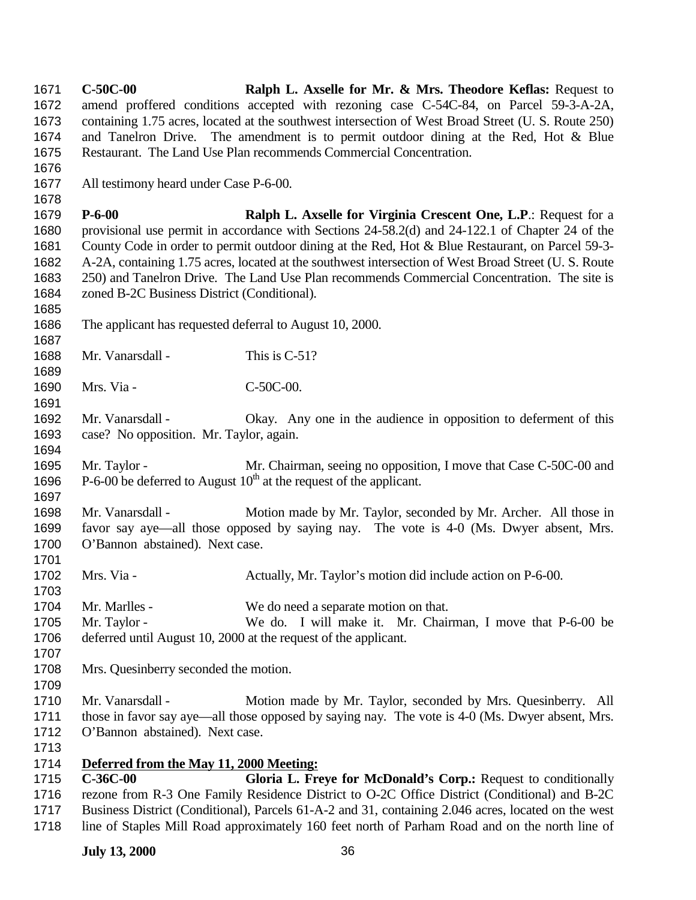**C-50C-00 Ralph L. Axselle for Mr. & Mrs. Theodore Keflas:** Request to amend proffered conditions accepted with rezoning case C-54C-84, on Parcel 59-3-A-2A, containing 1.75 acres, located at the southwest intersection of West Broad Street (U. S. Route 250) and Tanelron Drive. The amendment is to permit outdoor dining at the Red, Hot & Blue Restaurant. The Land Use Plan recommends Commercial Concentration. All testimony heard under Case P-6-00. **P-6-00 Ralph L. Axselle for Virginia Crescent One, L.P**.: Request for a provisional use permit in accordance with Sections 24-58.2(d) and 24-122.1 of Chapter 24 of the County Code in order to permit outdoor dining at the Red, Hot & Blue Restaurant, on Parcel 59-3- A-2A, containing 1.75 acres, located at the southwest intersection of West Broad Street (U. S. Route 250) and Tanelron Drive. The Land Use Plan recommends Commercial Concentration. The site is zoned B-2C Business District (Conditional). The applicant has requested deferral to August 10, 2000. 1688 Mr. Vanarsdall - This is C-51? 1690 Mrs. Via - C-50C-00. Mr. Vanarsdall - Okay. Any one in the audience in opposition to deferment of this case? No opposition. Mr. Taylor, again. Mr. Taylor - Mr. Chairman, seeing no opposition, I move that Case C-50C-00 and 1696 P-6-00 be deferred to August  $10^{th}$  at the request of the applicant. 1698 Mr. Vanarsdall - Motion made by Mr. Taylor, seconded by Mr. Archer. All those in favor say aye—all those opposed by saying nay. The vote is 4-0 (Ms. Dwyer absent, Mrs. O'Bannon abstained). Next case. Mrs. Via - Actually, Mr. Taylor's motion did include action on P-6-00. 1704 Mr. Marlles - We do need a separate motion on that. Mr. Taylor - We do. I will make it. Mr. Chairman, I move that P-6-00 be deferred until August 10, 2000 at the request of the applicant. Mrs. Quesinberry seconded the motion. Mr. Vanarsdall - Motion made by Mr. Taylor, seconded by Mrs. Quesinberry. All 1711 those in favor say aye—all those opposed by saying nay. The vote is 4-0 (Ms. Dwyer absent, Mrs. O'Bannon abstained). Next case. **Deferred from the May 11, 2000 Meeting: C-36C-00 Gloria L. Freye for McDonald's Corp.:** Request to conditionally rezone from R-3 One Family Residence District to O-2C Office District (Conditional) and B-2C Business District (Conditional), Parcels 61-A-2 and 31, containing 2.046 acres, located on the west line of Staples Mill Road approximately 160 feet north of Parham Road and on the north line of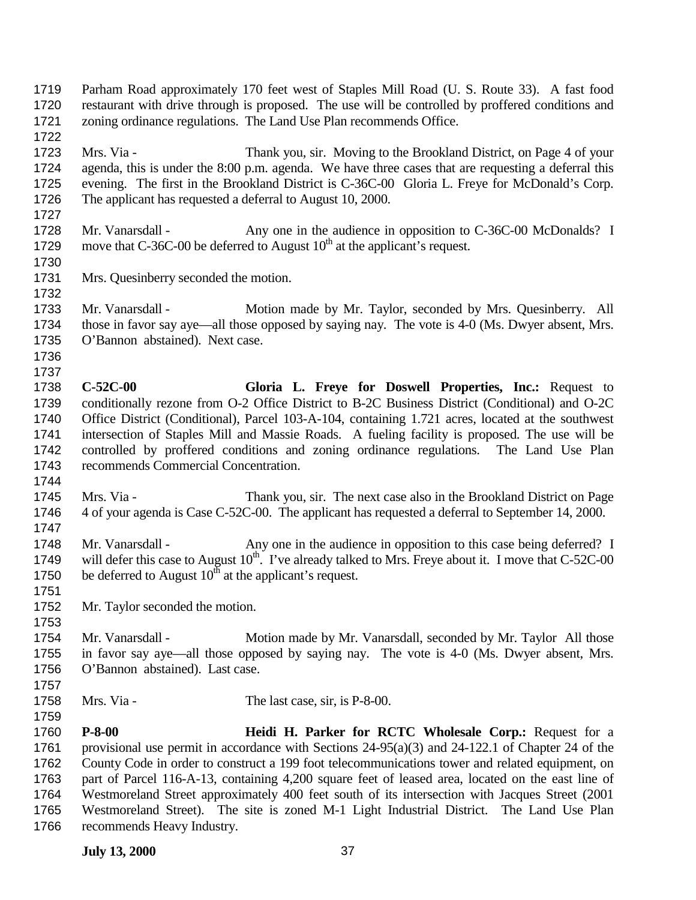Mrs. Via - Thank you, sir. Moving to the Brookland District, on Page 4 of your agenda, this is under the 8:00 p.m. agenda. We have three cases that are requesting a deferral this evening. The first in the Brookland District is C-36C-00 Gloria L. Freye for McDonald's Corp. The applicant has requested a deferral to August 10, 2000. 1728 Mr. Vanarsdall - Any one in the audience in opposition to C-36C-00 McDonalds? I 1729 move that C-36C-00 be deferred to August  $10<sup>th</sup>$  at the applicant's request. Mrs. Quesinberry seconded the motion. 1733 Mr. Vanarsdall - Motion made by Mr. Taylor, seconded by Mrs. Quesinberry. All those in favor say aye—all those opposed by saying nay. The vote is 4-0 (Ms. Dwyer absent, Mrs. O'Bannon abstained). Next case. **C-52C-00 Gloria L. Freye for Doswell Properties, Inc.:** Request to conditionally rezone from O-2 Office District to B-2C Business District (Conditional) and O-2C Office District (Conditional), Parcel 103-A-104, containing 1.721 acres, located at the southwest intersection of Staples Mill and Massie Roads. A fueling facility is proposed. The use will be controlled by proffered conditions and zoning ordinance regulations. The Land Use Plan recommends Commercial Concentration. Mrs. Via - Thank you, sir. The next case also in the Brookland District on Page 4 of your agenda is Case C-52C-00. The applicant has requested a deferral to September 14, 2000. 1748 Mr. Vanarsdall - Any one in the audience in opposition to this case being deferred? I 1749 will defer this case to August  $10^{th}$ . I've already talked to Mrs. Freye about it. I move that C-52C-00 1750 be deferred to August  $10^{th}$  at the applicant's request. Mr. Taylor seconded the motion. 1754 Mr. Vanarsdall - Motion made by Mr. Vanarsdall, seconded by Mr. Taylor All those in favor say aye—all those opposed by saying nay. The vote is 4-0 (Ms. Dwyer absent, Mrs. O'Bannon abstained). Last case. 1758 Mrs. Via - The last case, sir, is P-8-00. **P-8-00 Heidi H. Parker for RCTC Wholesale Corp.:** Request for a provisional use permit in accordance with Sections 24-95(a)(3) and 24-122.1 of Chapter 24 of the County Code in order to construct a 199 foot telecommunications tower and related equipment, on part of Parcel 116-A-13, containing 4,200 square feet of leased area, located on the east line of Westmoreland Street approximately 400 feet south of its intersection with Jacques Street (2001 Westmoreland Street). The site is zoned M-1 Light Industrial District. The Land Use Plan recommends Heavy Industry.

 Parham Road approximately 170 feet west of Staples Mill Road (U. S. Route 33). A fast food restaurant with drive through is proposed. The use will be controlled by proffered conditions and

zoning ordinance regulations. The Land Use Plan recommends Office.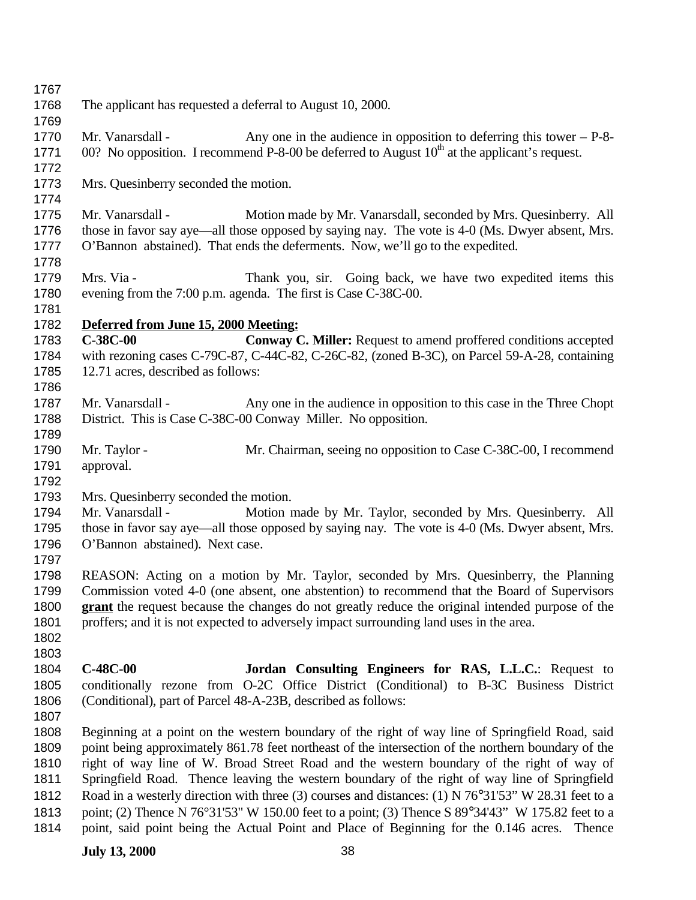| 1767 |                                                                                                                                                                                                  |                                                                                                                |
|------|--------------------------------------------------------------------------------------------------------------------------------------------------------------------------------------------------|----------------------------------------------------------------------------------------------------------------|
| 1768 | The applicant has requested a deferral to August 10, 2000.                                                                                                                                       |                                                                                                                |
| 1769 |                                                                                                                                                                                                  |                                                                                                                |
| 1770 | Mr. Vanarsdall -                                                                                                                                                                                 | Any one in the audience in opposition to deferring this tower $-$ P-8-                                         |
| 1771 |                                                                                                                                                                                                  | 00? No opposition. I recommend P-8-00 be deferred to August $10th$ at the applicant's request.                 |
| 1772 |                                                                                                                                                                                                  |                                                                                                                |
| 1773 | Mrs. Quesinberry seconded the motion.                                                                                                                                                            |                                                                                                                |
| 1774 |                                                                                                                                                                                                  |                                                                                                                |
| 1775 | Mr. Vanarsdall -                                                                                                                                                                                 | Motion made by Mr. Vanarsdall, seconded by Mrs. Quesinberry. All                                               |
| 1776 |                                                                                                                                                                                                  | those in favor say aye—all those opposed by saying nay. The vote is 4-0 (Ms. Dwyer absent, Mrs.                |
| 1777 |                                                                                                                                                                                                  | O'Bannon abstained). That ends the deferments. Now, we'll go to the expedited.                                 |
| 1778 |                                                                                                                                                                                                  |                                                                                                                |
| 1779 | Mrs. Via -                                                                                                                                                                                       | Thank you, sir. Going back, we have two expedited items this                                                   |
| 1780 |                                                                                                                                                                                                  | evening from the 7:00 p.m. agenda. The first is Case C-38C-00.                                                 |
| 1781 |                                                                                                                                                                                                  |                                                                                                                |
| 1782 | Deferred from June 15, 2000 Meeting:                                                                                                                                                             |                                                                                                                |
| 1783 | $C-38C-00$                                                                                                                                                                                       | Conway C. Miller: Request to amend proffered conditions accepted                                               |
| 1784 |                                                                                                                                                                                                  | with rezoning cases C-79C-87, C-44C-82, C-26C-82, (zoned B-3C), on Parcel 59-A-28, containing                  |
| 1785 | 12.71 acres, described as follows:                                                                                                                                                               |                                                                                                                |
| 1786 |                                                                                                                                                                                                  |                                                                                                                |
| 1787 | Mr. Vanarsdall -                                                                                                                                                                                 | Any one in the audience in opposition to this case in the Three Chopt                                          |
| 1788 |                                                                                                                                                                                                  | District. This is Case C-38C-00 Conway Miller. No opposition.                                                  |
| 1789 |                                                                                                                                                                                                  |                                                                                                                |
| 1790 | Mr. Taylor -                                                                                                                                                                                     | Mr. Chairman, seeing no opposition to Case C-38C-00, I recommend                                               |
| 1791 | approval.                                                                                                                                                                                        |                                                                                                                |
| 1792 |                                                                                                                                                                                                  |                                                                                                                |
| 1793 | Mrs. Quesinberry seconded the motion.                                                                                                                                                            |                                                                                                                |
| 1794 | Mr. Vanarsdall -                                                                                                                                                                                 | Motion made by Mr. Taylor, seconded by Mrs. Quesinberry. All                                                   |
| 1795 |                                                                                                                                                                                                  | those in favor say aye—all those opposed by saying nay. The vote is 4-0 (Ms. Dwyer absent, Mrs.                |
| 1796 | O'Bannon abstained). Next case.                                                                                                                                                                  |                                                                                                                |
| 1797 |                                                                                                                                                                                                  |                                                                                                                |
| 1798 |                                                                                                                                                                                                  | REASON: Acting on a motion by Mr. Taylor, seconded by Mrs. Quesinberry, the Planning                           |
| 1799 |                                                                                                                                                                                                  |                                                                                                                |
| 1800 | Commission voted 4-0 (one absent, one abstention) to recommend that the Board of Supervisors<br>grant the request because the changes do not greatly reduce the original intended purpose of the |                                                                                                                |
| 1801 |                                                                                                                                                                                                  | proffers; and it is not expected to adversely impact surrounding land uses in the area.                        |
| 1802 |                                                                                                                                                                                                  |                                                                                                                |
| 1803 |                                                                                                                                                                                                  |                                                                                                                |
| 1804 | $C-48C-00$                                                                                                                                                                                       | Jordan Consulting Engineers for RAS, L.L.C.: Request to                                                        |
| 1805 |                                                                                                                                                                                                  | conditionally rezone from O-2C Office District (Conditional) to B-3C Business District                         |
| 1806 |                                                                                                                                                                                                  | (Conditional), part of Parcel 48-A-23B, described as follows:                                                  |
| 1807 |                                                                                                                                                                                                  |                                                                                                                |
| 1808 |                                                                                                                                                                                                  | Beginning at a point on the western boundary of the right of way line of Springfield Road, said                |
| 1809 |                                                                                                                                                                                                  | point being approximately 861.78 feet northeast of the intersection of the northern boundary of the            |
| 1810 |                                                                                                                                                                                                  | right of way line of W. Broad Street Road and the western boundary of the right of way of                      |
| 1811 |                                                                                                                                                                                                  | Springfield Road. Thence leaving the western boundary of the right of way line of Springfield                  |
| 1812 |                                                                                                                                                                                                  | Road in a westerly direction with three (3) courses and distances: (1) N $76^{\circ}31'53''$ W 28.31 feet to a |
|      |                                                                                                                                                                                                  |                                                                                                                |
| 1813 |                                                                                                                                                                                                  | point; (2) Thence N 76°31'53" W 150.00 feet to a point; (3) Thence S 89°34'43" W 175.82 feet to a              |
| 1814 |                                                                                                                                                                                                  | point, said point being the Actual Point and Place of Beginning for the 0.146 acres.<br>Thence                 |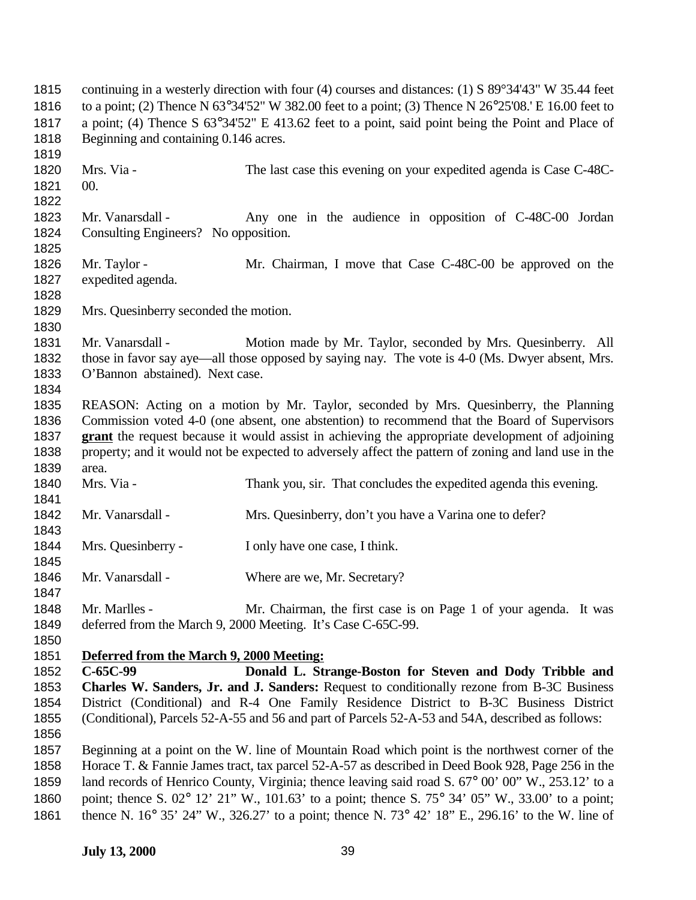continuing in a westerly direction with four (4) courses and distances: (1) S 89°34'43" W 35.44 feet to a point; (2) Thence N 63°34'52" W 382.00 feet to a point; (3) Thence N 26°25'08.' E 16.00 feet to a point; (4) Thence S 63°34'52" E 413.62 feet to a point, said point being the Point and Place of 1818 Beginning and containing 0.146 acres. Mrs. Via - The last case this evening on your expedited agenda is Case C-48C- 00. Mr. Vanarsdall - Any one in the audience in opposition of C-48C-00 Jordan Consulting Engineers? No opposition. 1826 Mr. Taylor - Mr. Chairman, I move that Case C-48C-00 be approved on the expedited agenda. Mrs. Quesinberry seconded the motion. Mr. Vanarsdall - Motion made by Mr. Taylor, seconded by Mrs. Quesinberry. All those in favor say aye—all those opposed by saying nay. The vote is 4-0 (Ms. Dwyer absent, Mrs. O'Bannon abstained). Next case. REASON: Acting on a motion by Mr. Taylor, seconded by Mrs. Quesinberry, the Planning Commission voted 4-0 (one absent, one abstention) to recommend that the Board of Supervisors **grant** the request because it would assist in achieving the appropriate development of adjoining property; and it would not be expected to adversely affect the pattern of zoning and land use in the area. Mrs. Via - Thank you, sir. That concludes the expedited agenda this evening. 1842 Mr. Vanarsdall - Mrs. Quesinberry, don't you have a Varina one to defer? Mrs. Quesinberry - I only have one case, I think. 1846 Mr. Vanarsdall - Where are we, Mr. Secretary? Mr. Marlles - Mr. Chairman, the first case is on Page 1 of your agenda. It was deferred from the March 9, 2000 Meeting. It's Case C-65C-99. **Deferred from the March 9, 2000 Meeting: C-65C-99 Donald L. Strange-Boston for Steven and Dody Tribble and Charles W. Sanders, Jr. and J. Sanders:** Request to conditionally rezone from B-3C Business District (Conditional) and R-4 One Family Residence District to B-3C Business District (Conditional), Parcels 52-A-55 and 56 and part of Parcels 52-A-53 and 54A, described as follows: Beginning at a point on the W. line of Mountain Road which point is the northwest corner of the Horace T. & Fannie James tract, tax parcel 52-A-57 as described in Deed Book 928, Page 256 in the land records of Henrico County, Virginia; thence leaving said road S. 67° 00' 00" W., 253.12' to a point; thence S. 02° 12' 21" W., 101.63' to a point; thence S. 75° 34' 05" W., 33.00' to a point; thence N. 16° 35' 24" W., 326.27' to a point; thence N. 73° 42' 18" E., 296.16' to the W. line of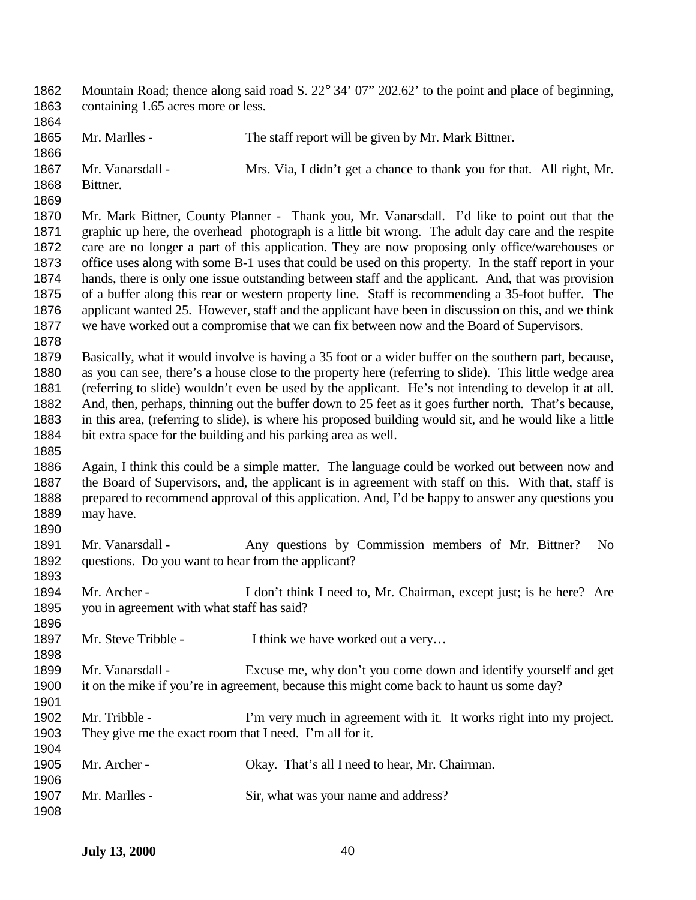| 1862<br>1863 | Mountain Road; thence along said road S. 22° 34' 07" 202.62' to the point and place of beginning,<br>containing 1.65 acres more or less. |                                                                                                          |
|--------------|------------------------------------------------------------------------------------------------------------------------------------------|----------------------------------------------------------------------------------------------------------|
| 1864         |                                                                                                                                          |                                                                                                          |
| 1865         | Mr. Marlles -                                                                                                                            | The staff report will be given by Mr. Mark Bittner.                                                      |
| 1866         |                                                                                                                                          |                                                                                                          |
| 1867         | Mr. Vanarsdall -                                                                                                                         | Mrs. Via, I didn't get a chance to thank you for that. All right, Mr.                                    |
| 1868         | Bittner.                                                                                                                                 |                                                                                                          |
| 1869         |                                                                                                                                          |                                                                                                          |
| 1870         |                                                                                                                                          | Mr. Mark Bittner, County Planner - Thank you, Mr. Vanarsdall. I'd like to point out that the             |
| 1871         |                                                                                                                                          | graphic up here, the overhead photograph is a little bit wrong. The adult day care and the respite       |
| 1872         |                                                                                                                                          | care are no longer a part of this application. They are now proposing only office/warehouses or          |
| 1873         |                                                                                                                                          | office uses along with some B-1 uses that could be used on this property. In the staff report in your    |
| 1874         |                                                                                                                                          | hands, there is only one issue outstanding between staff and the applicant. And, that was provision      |
| 1875         |                                                                                                                                          | of a buffer along this rear or western property line. Staff is recommending a 35-foot buffer. The        |
| 1876         |                                                                                                                                          | applicant wanted 25. However, staff and the applicant have been in discussion on this, and we think      |
| 1877         |                                                                                                                                          | we have worked out a compromise that we can fix between now and the Board of Supervisors.                |
| 1878         |                                                                                                                                          |                                                                                                          |
| 1879         |                                                                                                                                          | Basically, what it would involve is having a 35 foot or a wider buffer on the southern part, because,    |
| 1880         |                                                                                                                                          | as you can see, there's a house close to the property here (referring to slide). This little wedge area  |
| 1881         |                                                                                                                                          | (referring to slide) wouldn't even be used by the applicant. He's not intending to develop it at all.    |
| 1882         |                                                                                                                                          | And, then, perhaps, thinning out the buffer down to 25 feet as it goes further north. That's because,    |
| 1883         |                                                                                                                                          | in this area, (referring to slide), is where his proposed building would sit, and he would like a little |
| 1884         | bit extra space for the building and his parking area as well.                                                                           |                                                                                                          |
| 1885         |                                                                                                                                          |                                                                                                          |
| 1886         |                                                                                                                                          | Again, I think this could be a simple matter. The language could be worked out between now and           |
| 1887         | the Board of Supervisors, and, the applicant is in agreement with staff on this. With that, staff is                                     |                                                                                                          |
| 1888         |                                                                                                                                          | prepared to recommend approval of this application. And, I'd be happy to answer any questions you        |
| 1889         | may have.                                                                                                                                |                                                                                                          |
| 1890         |                                                                                                                                          |                                                                                                          |
| 1891         | Mr. Vanarsdall -                                                                                                                         | Any questions by Commission members of Mr. Bittner?<br>No.                                               |
| 1892         | questions. Do you want to hear from the applicant?                                                                                       |                                                                                                          |
| 1893         |                                                                                                                                          |                                                                                                          |
| 1894         | Mr. Archer -                                                                                                                             | I don't think I need to, Mr. Chairman, except just; is he here? Are                                      |
| 1895         | you in agreement with what staff has said?                                                                                               |                                                                                                          |
| 1896         |                                                                                                                                          |                                                                                                          |
| 1897         | Mr. Steve Tribble -                                                                                                                      | I think we have worked out a very                                                                        |
| 1898         |                                                                                                                                          |                                                                                                          |
| 1899         | Mr. Vanarsdall -                                                                                                                         | Excuse me, why don't you come down and identify yourself and get                                         |
| 1900         |                                                                                                                                          | it on the mike if you're in agreement, because this might come back to haunt us some day?                |
| 1901         |                                                                                                                                          |                                                                                                          |
| 1902         | Mr. Tribble -                                                                                                                            | I'm very much in agreement with it. It works right into my project.                                      |
| 1903         | They give me the exact room that I need. I'm all for it.                                                                                 |                                                                                                          |
| 1904         |                                                                                                                                          |                                                                                                          |
| 1905         | Mr. Archer -                                                                                                                             | Okay. That's all I need to hear, Mr. Chairman.                                                           |
| 1906         |                                                                                                                                          |                                                                                                          |
| 1907         | Mr. Marlles -                                                                                                                            | Sir, what was your name and address?                                                                     |
| 1908         |                                                                                                                                          |                                                                                                          |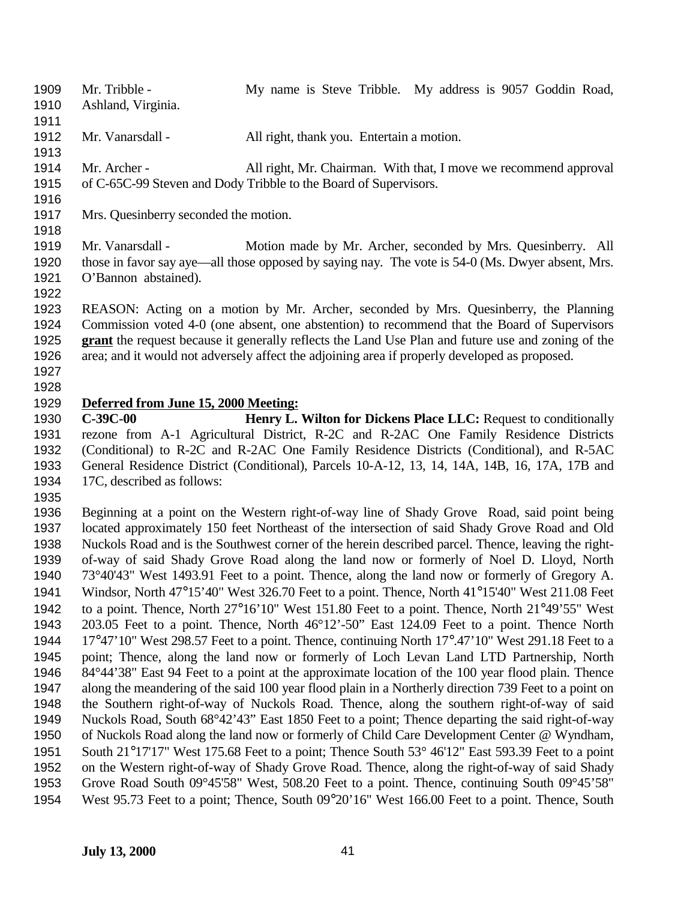1909 Mr. Tribble - My name is Steve Tribble. My address is 9057 Goddin Road, Ashland, Virginia.

- 1912 Mr. Vanarsdall All right, thank you. Entertain a motion.
- Mr. Archer All right, Mr. Chairman. With that, I move we recommend approval of C-65C-99 Steven and Dody Tribble to the Board of Supervisors.
- 

Mrs. Quesinberry seconded the motion.

1919 Mr. Vanarsdall - Motion made by Mr. Archer, seconded by Mrs. Quesinberry. All those in favor say aye—all those opposed by saying nay. The vote is 54-0 (Ms. Dwyer absent, Mrs. O'Bannon abstained).

 REASON: Acting on a motion by Mr. Archer, seconded by Mrs. Quesinberry, the Planning Commission voted 4-0 (one absent, one abstention) to recommend that the Board of Supervisors **grant** the request because it generally reflects the Land Use Plan and future use and zoning of the area; and it would not adversely affect the adjoining area if properly developed as proposed.

 

## **Deferred from June 15, 2000 Meeting:**

 **C-39C-00 Henry L. Wilton for Dickens Place LLC:** Request to conditionally rezone from A-1 Agricultural District, R-2C and R-2AC One Family Residence Districts (Conditional) to R-2C and R-2AC One Family Residence Districts (Conditional), and R-5AC General Residence District (Conditional), Parcels 10-A-12, 13, 14, 14A, 14B, 16, 17A, 17B and 17C, described as follows:

 Beginning at a point on the Western right-of-way line of Shady Grove Road, said point being located approximately 150 feet Northeast of the intersection of said Shady Grove Road and Old Nuckols Road and is the Southwest corner of the herein described parcel. Thence, leaving the right- of-way of said Shady Grove Road along the land now or formerly of Noel D. Lloyd, North 73°40'43" West 1493.91 Feet to a point. Thence, along the land now or formerly of Gregory A. Windsor, North 47°15'40" West 326.70 Feet to a point. Thence, North 41°15'40" West 211.08 Feet to a point. Thence, North 27°16'10" West 151.80 Feet to a point. Thence, North 21°49'55" West 203.05 Feet to a point. Thence, North 46°12'-50" East 124.09 Feet to a point. Thence North 17°47'10" West 298.57 Feet to a point. Thence, continuing North 17°.47'10" West 291.18 Feet to a point; Thence, along the land now or formerly of Loch Levan Land LTD Partnership, North 84°44'38" East 94 Feet to a point at the approximate location of the 100 year flood plain. Thence along the meandering of the said 100 year flood plain in a Northerly direction 739 Feet to a point on the Southern right-of-way of Nuckols Road. Thence, along the southern right-of-way of said Nuckols Road, South 68°42'43" East 1850 Feet to a point; Thence departing the said right-of-way of Nuckols Road along the land now or formerly of Child Care Development Center @ Wyndham, South 21°17'17" West 175.68 Feet to a point; Thence South 53° 46'12" East 593.39 Feet to a point on the Western right-of-way of Shady Grove Road. Thence, along the right-of-way of said Shady Grove Road South 09°45'58" West, 508.20 Feet to a point. Thence, continuing South 09°45'58" West 95.73 Feet to a point; Thence, South 09°20'16" West 166.00 Feet to a point. Thence, South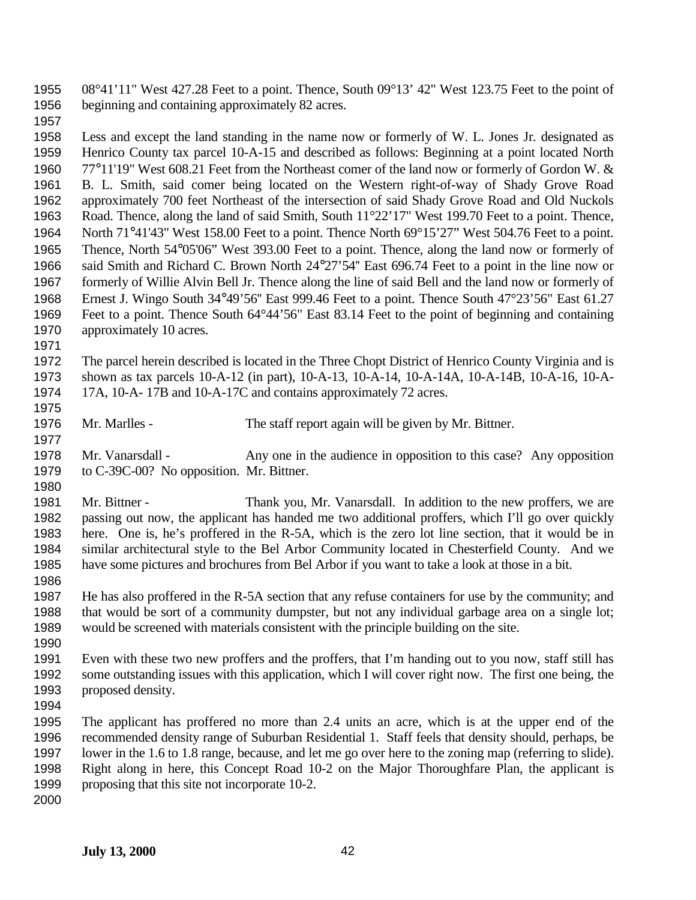08°41'11" West 427.28 Feet to a point. Thence, South 09°13' 42" West 123.75 Feet to the point of beginning and containing approximately 82 acres.

 Less and except the land standing in the name now or formerly of W. L. Jones Jr. designated as Henrico County tax parcel 10-A-15 and described as follows: Beginning at a point located North 77°11'19" West 608.21 Feet from the Northeast comer of the land now or formerly of Gordon W. & B. L. Smith, said comer being located on the Western right-of-way of Shady Grove Road approximately 700 feet Northeast of the intersection of said Shady Grove Road and Old Nuckols Road. Thence, along the land of said Smith, South 11°22'17" West 199.70 Feet to a point. Thence, North 71°41'43" West 158.00 Feet to a point. Thence North 69°15'27" West 504.76 Feet to a point. Thence, North 54°05'06" West 393.00 Feet to a point. Thence, along the land now or formerly of said Smith and Richard C. Brown North 24°27'54'' East 696.74 Feet to a point in the line now or formerly of Willie Alvin Bell Jr. Thence along the line of said Bell and the land now or formerly of Ernest J. Wingo South 34°49'56'' East 999.46 Feet to a point. Thence South 47°23'56" East 61.27 Feet to a point. Thence South 64°44'56" East 83.14 Feet to the point of beginning and containing 1970 approximately 10 acres.

 The parcel herein described is located in the Three Chopt District of Henrico County Virginia and is shown as tax parcels 10-A-12 (in part), 10-A-13, 10-A-14, 10-A-14A, 10-A-14B, 10-A-16, 10-A-17A, 10-A- 17B and 10-A-17C and contains approximately 72 acres.

Mr. Marlles - The staff report again will be given by Mr. Bittner.

 Mr. Vanarsdall - Any one in the audience in opposition to this case? Any opposition to C-39C-00? No opposition. Mr. Bittner.

 Mr. Bittner - Thank you, Mr. Vanarsdall. In addition to the new proffers, we are passing out now, the applicant has handed me two additional proffers, which I'll go over quickly here. One is, he's proffered in the R-5A, which is the zero lot line section, that it would be in similar architectural style to the Bel Arbor Community located in Chesterfield County. And we have some pictures and brochures from Bel Arbor if you want to take a look at those in a bit. 

 He has also proffered in the R-5A section that any refuse containers for use by the community; and that would be sort of a community dumpster, but not any individual garbage area on a single lot; would be screened with materials consistent with the principle building on the site.

 Even with these two new proffers and the proffers, that I'm handing out to you now, staff still has some outstanding issues with this application, which I will cover right now. The first one being, the proposed density.

 The applicant has proffered no more than 2.4 units an acre, which is at the upper end of the recommended density range of Suburban Residential 1. Staff feels that density should, perhaps, be lower in the 1.6 to 1.8 range, because, and let me go over here to the zoning map (referring to slide). Right along in here, this Concept Road 10-2 on the Major Thoroughfare Plan, the applicant is 1999 proposing that this site not incorporate 10-2.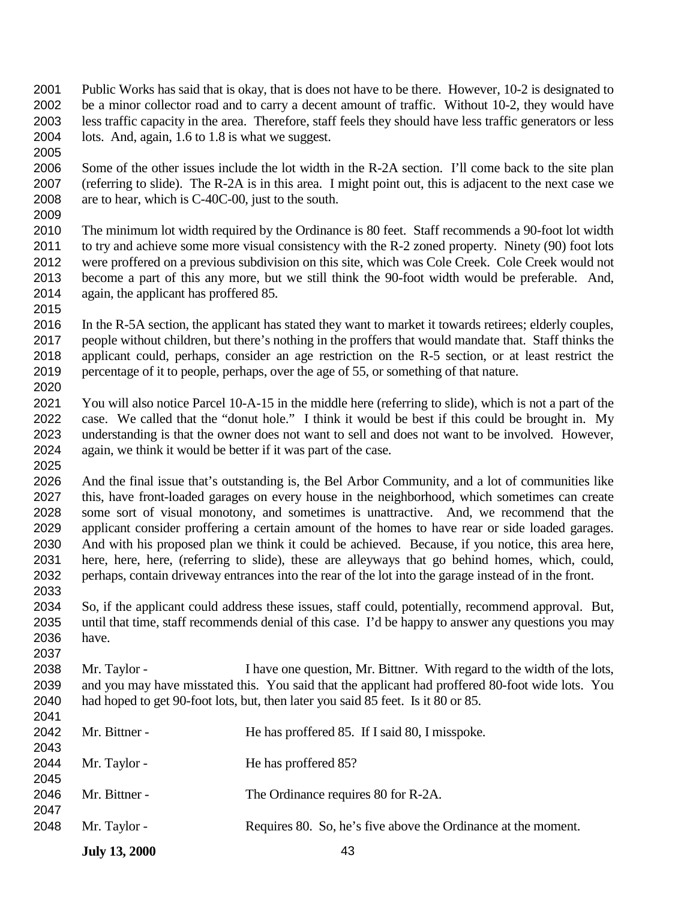- Public Works has said that is okay, that is does not have to be there. However, 10-2 is designated to be a minor collector road and to carry a decent amount of traffic. Without 10-2, they would have less traffic capacity in the area. Therefore, staff feels they should have less traffic generators or less lots. And, again, 1.6 to 1.8 is what we suggest.
- Some of the other issues include the lot width in the R-2A section. I'll come back to the site plan (referring to slide). The R-2A is in this area. I might point out, this is adjacent to the next case we are to hear, which is C-40C-00, just to the south.
- The minimum lot width required by the Ordinance is 80 feet. Staff recommends a 90-foot lot width to try and achieve some more visual consistency with the R-2 zoned property. Ninety (90) foot lots were proffered on a previous subdivision on this site, which was Cole Creek. Cole Creek would not become a part of this any more, but we still think the 90-foot width would be preferable. And, again, the applicant has proffered 85.
- 

- In the R-5A section, the applicant has stated they want to market it towards retirees; elderly couples, people without children, but there's nothing in the proffers that would mandate that. Staff thinks the applicant could, perhaps, consider an age restriction on the R-5 section, or at least restrict the percentage of it to people, perhaps, over the age of 55, or something of that nature.
- You will also notice Parcel 10-A-15 in the middle here (referring to slide), which is not a part of the case. We called that the "donut hole." I think it would be best if this could be brought in. My understanding is that the owner does not want to sell and does not want to be involved. However, again, we think it would be better if it was part of the case.
- And the final issue that's outstanding is, the Bel Arbor Community, and a lot of communities like this, have front-loaded garages on every house in the neighborhood, which sometimes can create some sort of visual monotony, and sometimes is unattractive. And, we recommend that the applicant consider proffering a certain amount of the homes to have rear or side loaded garages. And with his proposed plan we think it could be achieved. Because, if you notice, this area here, here, here, here, (referring to slide), these are alleyways that go behind homes, which, could, perhaps, contain driveway entrances into the rear of the lot into the garage instead of in the front.
- So, if the applicant could address these issues, staff could, potentially, recommend approval. But, until that time, staff recommends denial of this case. I'd be happy to answer any questions you may have.
- Mr. Taylor I have one question, Mr. Bittner. With regard to the width of the lots, and you may have misstated this. You said that the applicant had proffered 80-foot wide lots. You had hoped to get 90-foot lots, but, then later you said 85 feet. Is it 80 or 85.

| 2048 | Mr. Taylor -  | Requires 80. So, he's five above the Ordinance at the moment. |
|------|---------------|---------------------------------------------------------------|
| 2047 |               |                                                               |
| 2046 | Mr. Bittner - | The Ordinance requires 80 for R-2A.                           |
| 2045 |               |                                                               |
| 2044 | Mr. Taylor -  | He has proffered 85?                                          |
| 2043 |               |                                                               |
| 2042 | Mr. Bittner - | He has proffered 85. If I said 80, I misspoke.                |
|      |               |                                                               |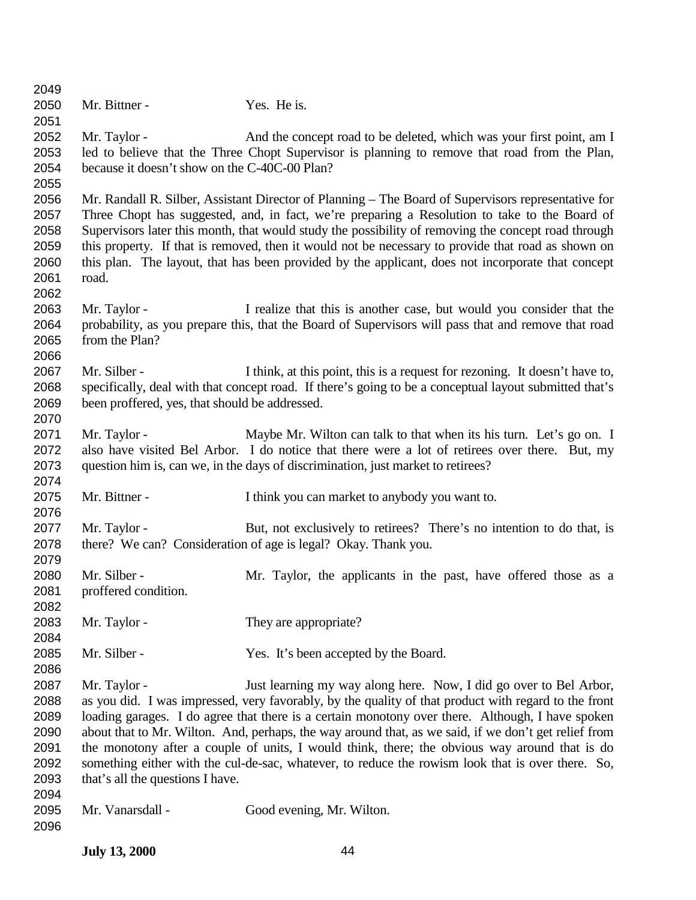| 2049 |                                                |                                                                                                        |
|------|------------------------------------------------|--------------------------------------------------------------------------------------------------------|
| 2050 | Mr. Bittner -                                  | Yes. He is.                                                                                            |
| 2051 |                                                |                                                                                                        |
| 2052 | Mr. Taylor -                                   | And the concept road to be deleted, which was your first point, am I                                   |
| 2053 |                                                | led to believe that the Three Chopt Supervisor is planning to remove that road from the Plan,          |
| 2054 | because it doesn't show on the C-40C-00 Plan?  |                                                                                                        |
| 2055 |                                                |                                                                                                        |
| 2056 |                                                | Mr. Randall R. Silber, Assistant Director of Planning – The Board of Supervisors representative for    |
| 2057 |                                                | Three Chopt has suggested, and, in fact, we're preparing a Resolution to take to the Board of          |
| 2058 |                                                | Supervisors later this month, that would study the possibility of removing the concept road through    |
| 2059 |                                                | this property. If that is removed, then it would not be necessary to provide that road as shown on     |
| 2060 |                                                |                                                                                                        |
|      |                                                | this plan. The layout, that has been provided by the applicant, does not incorporate that concept      |
| 2061 | road.                                          |                                                                                                        |
| 2062 |                                                |                                                                                                        |
| 2063 | Mr. Taylor -                                   | I realize that this is another case, but would you consider that the                                   |
| 2064 |                                                | probability, as you prepare this, that the Board of Supervisors will pass that and remove that road    |
| 2065 | from the Plan?                                 |                                                                                                        |
| 2066 |                                                |                                                                                                        |
| 2067 | Mr. Silber -                                   | I think, at this point, this is a request for rezoning. It doesn't have to,                            |
| 2068 |                                                | specifically, deal with that concept road. If there's going to be a conceptual layout submitted that's |
| 2069 | been proffered, yes, that should be addressed. |                                                                                                        |
| 2070 |                                                |                                                                                                        |
| 2071 | Mr. Taylor -                                   | Maybe Mr. Wilton can talk to that when its his turn. Let's go on. I                                    |
| 2072 |                                                | also have visited Bel Arbor. I do notice that there were a lot of retirees over there. But, my         |
| 2073 |                                                | question him is, can we, in the days of discrimination, just market to retirees?                       |
| 2074 |                                                |                                                                                                        |
| 2075 | Mr. Bittner -                                  | I think you can market to anybody you want to.                                                         |
| 2076 |                                                |                                                                                                        |
| 2077 | Mr. Taylor -                                   | But, not exclusively to retirees? There's no intention to do that, is                                  |
| 2078 |                                                | there? We can? Consideration of age is legal? Okay. Thank you.                                         |
| 2079 |                                                |                                                                                                        |
| 2080 | Mr. Silber -                                   |                                                                                                        |
|      |                                                | Mr. Taylor, the applicants in the past, have offered those as a                                        |
| 2081 | proffered condition.                           |                                                                                                        |
| 2082 |                                                |                                                                                                        |
| 2083 | Mr. Taylor -                                   | They are appropriate?                                                                                  |
| 2084 |                                                |                                                                                                        |
| 2085 | Mr. Silber -                                   | Yes. It's been accepted by the Board.                                                                  |
| 2086 |                                                |                                                                                                        |
| 2087 | Mr. Taylor -                                   | Just learning my way along here. Now, I did go over to Bel Arbor,                                      |
| 2088 |                                                | as you did. I was impressed, very favorably, by the quality of that product with regard to the front   |
| 2089 |                                                | loading garages. I do agree that there is a certain monotony over there. Although, I have spoken       |
| 2090 |                                                | about that to Mr. Wilton. And, perhaps, the way around that, as we said, if we don't get relief from   |
| 2091 |                                                | the monotony after a couple of units, I would think, there; the obvious way around that is do          |
| 2092 |                                                | something either with the cul-de-sac, whatever, to reduce the rowism look that is over there. So,      |
| 2093 | that's all the questions I have.               |                                                                                                        |
| 2094 |                                                |                                                                                                        |
| 2095 | Mr. Vanarsdall -                               | Good evening, Mr. Wilton.                                                                              |
| 2096 |                                                |                                                                                                        |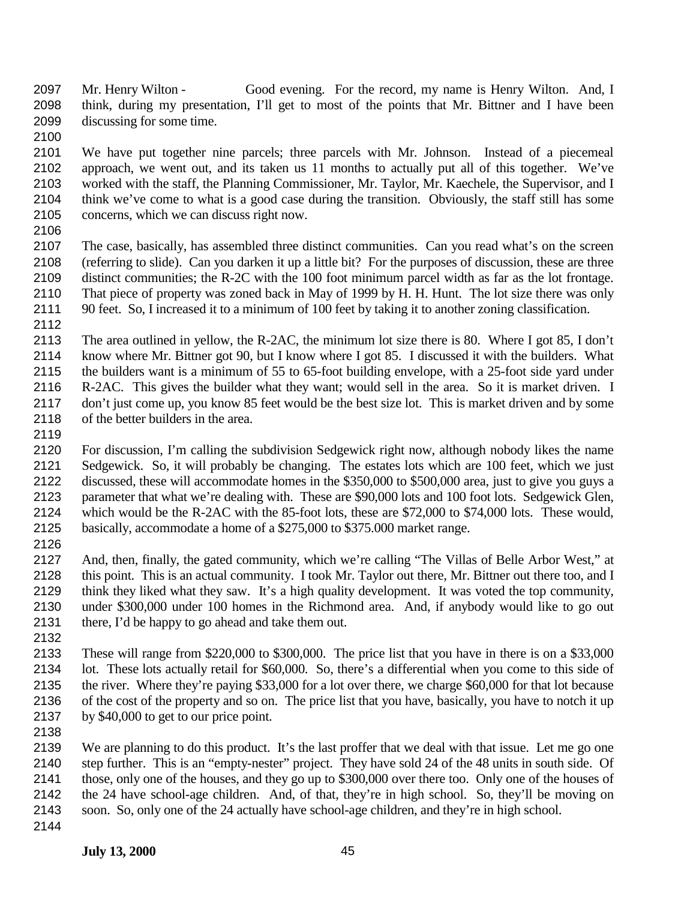- Mr. Henry Wilton Good evening. For the record, my name is Henry Wilton. And, I think, during my presentation, I'll get to most of the points that Mr. Bittner and I have been discussing for some time.
- 

 We have put together nine parcels; three parcels with Mr. Johnson. Instead of a piecemeal approach, we went out, and its taken us 11 months to actually put all of this together. We've worked with the staff, the Planning Commissioner, Mr. Taylor, Mr. Kaechele, the Supervisor, and I think we've come to what is a good case during the transition. Obviously, the staff still has some concerns, which we can discuss right now.

 The case, basically, has assembled three distinct communities. Can you read what's on the screen (referring to slide). Can you darken it up a little bit? For the purposes of discussion, these are three distinct communities; the R-2C with the 100 foot minimum parcel width as far as the lot frontage. That piece of property was zoned back in May of 1999 by H. H. Hunt. The lot size there was only 90 feet. So, I increased it to a minimum of 100 feet by taking it to another zoning classification.

 The area outlined in yellow, the R-2AC, the minimum lot size there is 80. Where I got 85, I don't know where Mr. Bittner got 90, but I know where I got 85. I discussed it with the builders. What the builders want is a minimum of 55 to 65-foot building envelope, with a 25-foot side yard under R-2AC. This gives the builder what they want; would sell in the area. So it is market driven. I don't just come up, you know 85 feet would be the best size lot. This is market driven and by some of the better builders in the area.

 For discussion, I'm calling the subdivision Sedgewick right now, although nobody likes the name Sedgewick. So, it will probably be changing. The estates lots which are 100 feet, which we just discussed, these will accommodate homes in the \$350,000 to \$500,000 area, just to give you guys a parameter that what we're dealing with. These are \$90,000 lots and 100 foot lots. Sedgewick Glen, which would be the R-2AC with the 85-foot lots, these are \$72,000 to \$74,000 lots. These would, basically, accommodate a home of a \$275,000 to \$375.000 market range.

 And, then, finally, the gated community, which we're calling "The Villas of Belle Arbor West," at this point. This is an actual community. I took Mr. Taylor out there, Mr. Bittner out there too, and I think they liked what they saw. It's a high quality development. It was voted the top community, under \$300,000 under 100 homes in the Richmond area. And, if anybody would like to go out there, I'd be happy to go ahead and take them out.

 These will range from \$220,000 to \$300,000. The price list that you have in there is on a \$33,000 lot. These lots actually retail for \$60,000. So, there's a differential when you come to this side of the river. Where they're paying \$33,000 for a lot over there, we charge \$60,000 for that lot because of the cost of the property and so on. The price list that you have, basically, you have to notch it up by \$40,000 to get to our price point.

 We are planning to do this product. It's the last proffer that we deal with that issue. Let me go one step further. This is an "empty-nester" project. They have sold 24 of the 48 units in south side. Of those, only one of the houses, and they go up to \$300,000 over there too. Only one of the houses of the 24 have school-age children. And, of that, they're in high school. So, they'll be moving on soon. So, only one of the 24 actually have school-age children, and they're in high school.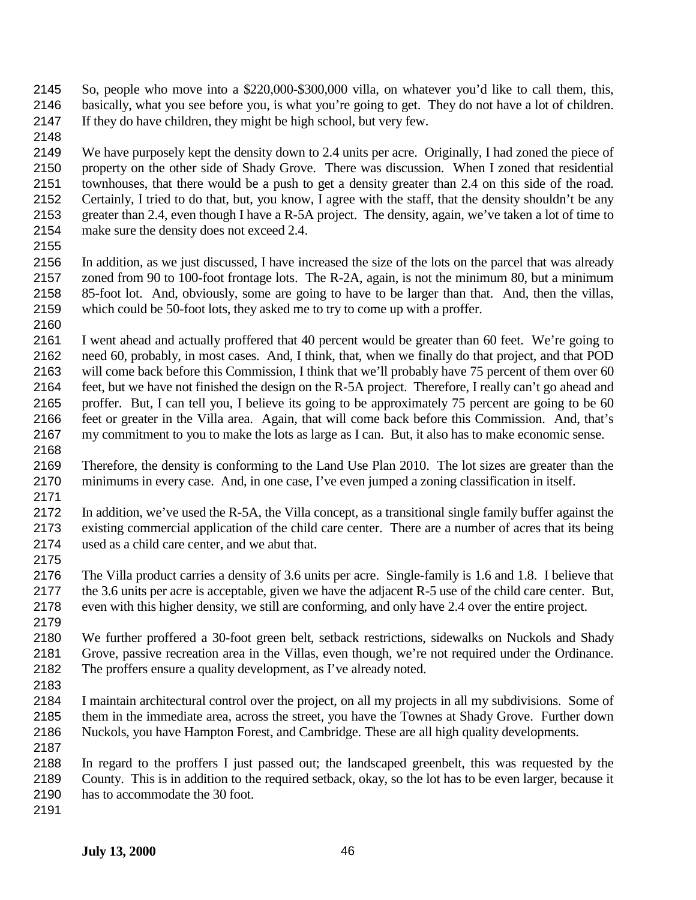- So, people who move into a \$220,000-\$300,000 villa, on whatever you'd like to call them, this, basically, what you see before you, is what you're going to get. They do not have a lot of children. If they do have children, they might be high school, but very few.
- 

 We have purposely kept the density down to 2.4 units per acre. Originally, I had zoned the piece of property on the other side of Shady Grove. There was discussion. When I zoned that residential townhouses, that there would be a push to get a density greater than 2.4 on this side of the road. Certainly, I tried to do that, but, you know, I agree with the staff, that the density shouldn't be any greater than 2.4, even though I have a R-5A project. The density, again, we've taken a lot of time to make sure the density does not exceed 2.4.

 In addition, as we just discussed, I have increased the size of the lots on the parcel that was already zoned from 90 to 100-foot frontage lots. The R-2A, again, is not the minimum 80, but a minimum 85-foot lot. And, obviously, some are going to have to be larger than that. And, then the villas, which could be 50-foot lots, they asked me to try to come up with a proffer.

 I went ahead and actually proffered that 40 percent would be greater than 60 feet. We're going to need 60, probably, in most cases. And, I think, that, when we finally do that project, and that POD will come back before this Commission, I think that we'll probably have 75 percent of them over 60 feet, but we have not finished the design on the R-5A project. Therefore, I really can't go ahead and proffer. But, I can tell you, I believe its going to be approximately 75 percent are going to be 60 feet or greater in the Villa area. Again, that will come back before this Commission. And, that's my commitment to you to make the lots as large as I can. But, it also has to make economic sense. 

- Therefore, the density is conforming to the Land Use Plan 2010. The lot sizes are greater than the minimums in every case. And, in one case, I've even jumped a zoning classification in itself.
- In addition, we've used the R-5A, the Villa concept, as a transitional single family buffer against the existing commercial application of the child care center. There are a number of acres that its being used as a child care center, and we abut that.
- The Villa product carries a density of 3.6 units per acre. Single-family is 1.6 and 1.8. I believe that the 3.6 units per acre is acceptable, given we have the adjacent R-5 use of the child care center. But, even with this higher density, we still are conforming, and only have 2.4 over the entire project.
- 

 We further proffered a 30-foot green belt, setback restrictions, sidewalks on Nuckols and Shady Grove, passive recreation area in the Villas, even though, we're not required under the Ordinance. The proffers ensure a quality development, as I've already noted. 

- I maintain architectural control over the project, on all my projects in all my subdivisions. Some of them in the immediate area, across the street, you have the Townes at Shady Grove. Further down Nuckols, you have Hampton Forest, and Cambridge. These are all high quality developments.
- In regard to the proffers I just passed out; the landscaped greenbelt, this was requested by the County. This is in addition to the required setback, okay, so the lot has to be even larger, because it has to accommodate the 30 foot.
-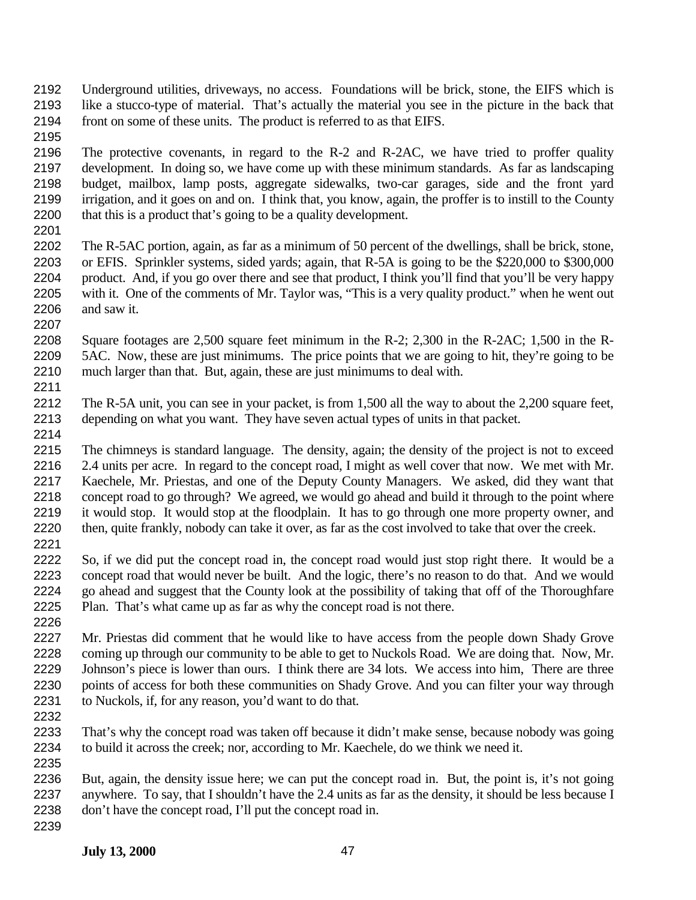- Underground utilities, driveways, no access. Foundations will be brick, stone, the EIFS which is like a stucco-type of material. That's actually the material you see in the picture in the back that front on some of these units. The product is referred to as that EIFS.
- 

 The protective covenants, in regard to the R-2 and R-2AC, we have tried to proffer quality development. In doing so, we have come up with these minimum standards. As far as landscaping budget, mailbox, lamp posts, aggregate sidewalks, two-car garages, side and the front yard irrigation, and it goes on and on. I think that, you know, again, the proffer is to instill to the County that this is a product that's going to be a quality development.

- The R-5AC portion, again, as far as a minimum of 50 percent of the dwellings, shall be brick, stone, or EFIS. Sprinkler systems, sided yards; again, that R-5A is going to be the \$220,000 to \$300,000 product. And, if you go over there and see that product, I think you'll find that you'll be very happy with it. One of the comments of Mr. Taylor was, "This is a very quality product." when he went out and saw it.
- Square footages are 2,500 square feet minimum in the R-2; 2,300 in the R-2AC; 1,500 in the R- 5AC. Now, these are just minimums. The price points that we are going to hit, they're going to be much larger than that. But, again, these are just minimums to deal with.
- The R-5A unit, you can see in your packet, is from 1,500 all the way to about the 2,200 square feet, depending on what you want. They have seven actual types of units in that packet.
- The chimneys is standard language. The density, again; the density of the project is not to exceed 2.4 units per acre. In regard to the concept road, I might as well cover that now. We met with Mr. Kaechele, Mr. Priestas, and one of the Deputy County Managers. We asked, did they want that concept road to go through? We agreed, we would go ahead and build it through to the point where it would stop. It would stop at the floodplain. It has to go through one more property owner, and then, quite frankly, nobody can take it over, as far as the cost involved to take that over the creek.
- So, if we did put the concept road in, the concept road would just stop right there. It would be a concept road that would never be built. And the logic, there's no reason to do that. And we would go ahead and suggest that the County look at the possibility of taking that off of the Thoroughfare Plan. That's what came up as far as why the concept road is not there.
- Mr. Priestas did comment that he would like to have access from the people down Shady Grove coming up through our community to be able to get to Nuckols Road. We are doing that. Now, Mr. Johnson's piece is lower than ours. I think there are 34 lots. We access into him, There are three 2230 points of access for both these communities on Shady Grove. And you can filter your way through to Nuckols, if, for any reason, you'd want to do that.
- That's why the concept road was taken off because it didn't make sense, because nobody was going to build it across the creek; nor, according to Mr. Kaechele, do we think we need it.
- But, again, the density issue here; we can put the concept road in. But, the point is, it's not going anywhere. To say, that I shouldn't have the 2.4 units as far as the density, it should be less because I don't have the concept road, I'll put the concept road in.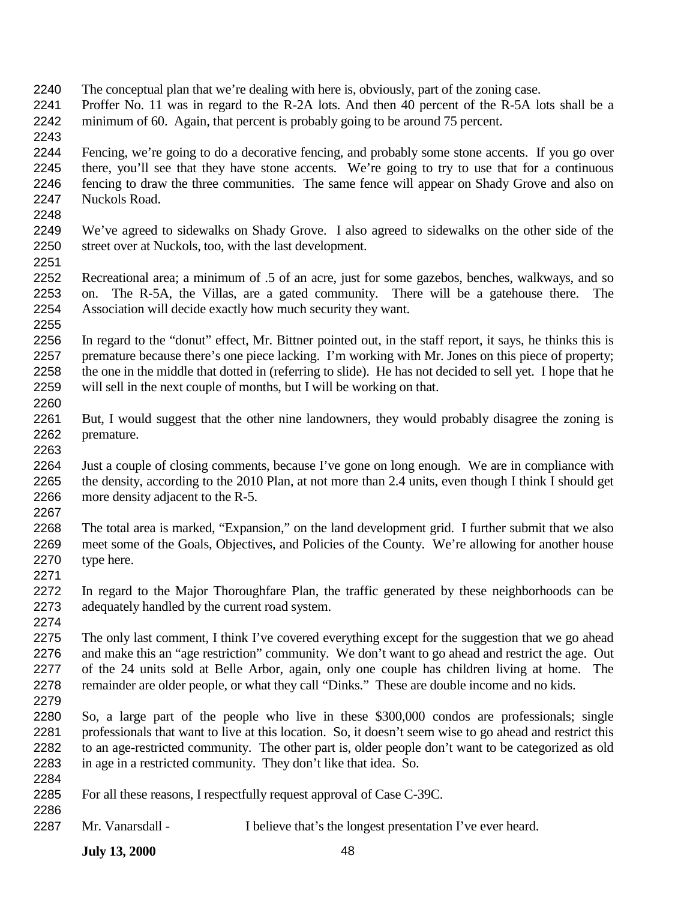- The conceptual plan that we're dealing with here is, obviously, part of the zoning case.
- Proffer No. 11 was in regard to the R-2A lots. And then 40 percent of the R-5A lots shall be a minimum of 60. Again, that percent is probably going to be around 75 percent.
- Fencing, we're going to do a decorative fencing, and probably some stone accents. If you go over there, you'll see that they have stone accents. We're going to try to use that for a continuous fencing to draw the three communities. The same fence will appear on Shady Grove and also on Nuckols Road.
- We've agreed to sidewalks on Shady Grove. I also agreed to sidewalks on the other side of the street over at Nuckols, too, with the last development.
- Recreational area; a minimum of .5 of an acre, just for some gazebos, benches, walkways, and so on. The R-5A, the Villas, are a gated community. There will be a gatehouse there. The Association will decide exactly how much security they want.
- In regard to the "donut" effect, Mr. Bittner pointed out, in the staff report, it says, he thinks this is premature because there's one piece lacking. I'm working with Mr. Jones on this piece of property; 2258 the one in the middle that dotted in (referring to slide). He has not decided to sell yet. I hope that he will sell in the next couple of months, but I will be working on that.
- But, I would suggest that the other nine landowners, they would probably disagree the zoning is premature.
- Just a couple of closing comments, because I've gone on long enough. We are in compliance with the density, according to the 2010 Plan, at not more than 2.4 units, even though I think I should get more density adjacent to the R-5.
- The total area is marked, "Expansion," on the land development grid. I further submit that we also meet some of the Goals, Objectives, and Policies of the County. We're allowing for another house type here.
- In regard to the Major Thoroughfare Plan, the traffic generated by these neighborhoods can be adequately handled by the current road system.
- The only last comment, I think I've covered everything except for the suggestion that we go ahead and make this an "age restriction" community. We don't want to go ahead and restrict the age. Out of the 24 units sold at Belle Arbor, again, only one couple has children living at home. The remainder are older people, or what they call "Dinks." These are double income and no kids.
- So, a large part of the people who live in these \$300,000 condos are professionals; single professionals that want to live at this location. So, it doesn't seem wise to go ahead and restrict this to an age-restricted community. The other part is, older people don't want to be categorized as old in age in a restricted community. They don't like that idea. So.
- For all these reasons, I respectfully request approval of Case C-39C.
- 

Mr. Vanarsdall - I believe that's the longest presentation I've ever heard.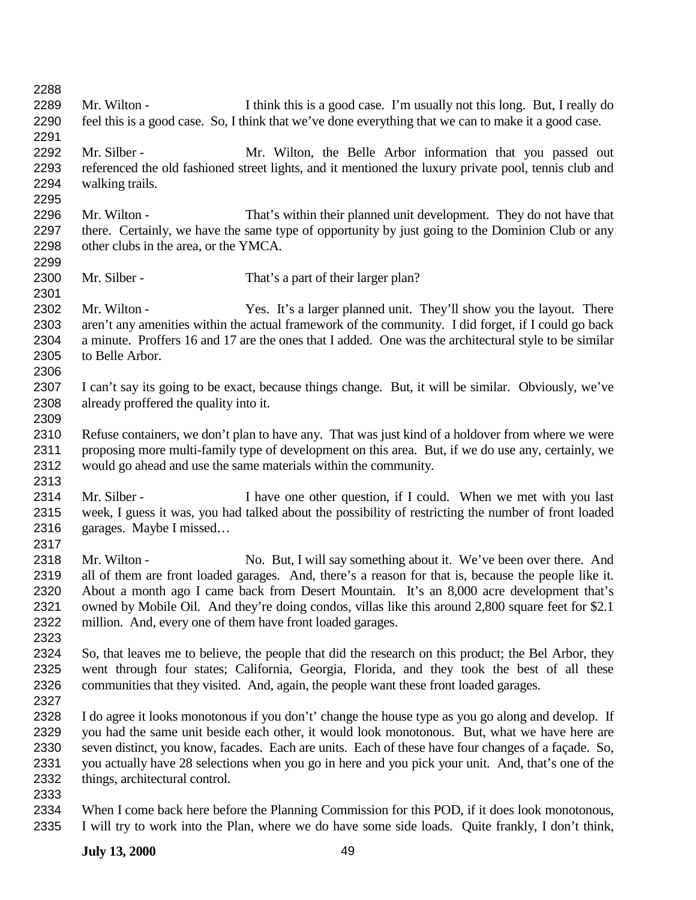| 2288 |                                                                                                       |  |
|------|-------------------------------------------------------------------------------------------------------|--|
| 2289 | Mr. Wilton -<br>I think this is a good case. I'm usually not this long. But, I really do              |  |
| 2290 | feel this is a good case. So, I think that we've done everything that we can to make it a good case.  |  |
| 2291 |                                                                                                       |  |
| 2292 | Mr. Silber -<br>Mr. Wilton, the Belle Arbor information that you passed out                           |  |
| 2293 | referenced the old fashioned street lights, and it mentioned the luxury private pool, tennis club and |  |
| 2294 | walking trails.                                                                                       |  |
| 2295 |                                                                                                       |  |
| 2296 | Mr. Wilton -<br>That's within their planned unit development. They do not have that                   |  |
| 2297 | there. Certainly, we have the same type of opportunity by just going to the Dominion Club or any      |  |
| 2298 | other clubs in the area, or the YMCA.                                                                 |  |
| 2299 |                                                                                                       |  |
| 2300 | Mr. Silber -<br>That's a part of their larger plan?                                                   |  |
| 2301 |                                                                                                       |  |
| 2302 | Mr. Wilton -<br>Yes. It's a larger planned unit. They'll show you the layout. There                   |  |
| 2303 | aren't any amenities within the actual framework of the community. I did forget, if I could go back   |  |
| 2304 | a minute. Proffers 16 and 17 are the ones that I added. One was the architectural style to be similar |  |
| 2305 | to Belle Arbor.                                                                                       |  |
| 2306 |                                                                                                       |  |
| 2307 | I can't say its going to be exact, because things change. But, it will be similar. Obviously, we've   |  |
| 2308 | already proffered the quality into it.                                                                |  |
| 2309 |                                                                                                       |  |
| 2310 | Refuse containers, we don't plan to have any. That was just kind of a holdover from where we were     |  |
| 2311 | proposing more multi-family type of development on this area. But, if we do use any, certainly, we    |  |
| 2312 | would go ahead and use the same materials within the community.                                       |  |
| 2313 |                                                                                                       |  |
| 2314 | Mr. Silber -<br>I have one other question, if I could. When we met with you last                      |  |
| 2315 | week, I guess it was, you had talked about the possibility of restricting the number of front loaded  |  |
| 2316 | garages. Maybe I missed                                                                               |  |
| 2317 |                                                                                                       |  |
| 2318 | Mr. Wilton -<br>No. But, I will say something about it. We've been over there. And                    |  |
| 2319 | all of them are front loaded garages. And, there's a reason for that is, because the people like it.  |  |
| 2320 | About a month ago I came back from Desert Mountain. It's an 8,000 acre development that's             |  |
| 2321 | owned by Mobile Oil. And they're doing condos, villas like this around 2,800 square feet for \$2.1    |  |
| 2322 | million. And, every one of them have front loaded garages.                                            |  |
| 2323 |                                                                                                       |  |
| 2324 | So, that leaves me to believe, the people that did the research on this product; the Bel Arbor, they  |  |
| 2325 | went through four states; California, Georgia, Florida, and they took the best of all these           |  |
| 2326 | communities that they visited. And, again, the people want these front loaded garages.                |  |
| 2327 |                                                                                                       |  |
| 2328 | I do agree it looks monotonous if you don't' change the house type as you go along and develop. If    |  |
| 2329 | you had the same unit beside each other, it would look monotonous. But, what we have here are         |  |
| 2330 | seven distinct, you know, facades. Each are units. Each of these have four changes of a façade. So,   |  |
| 2331 | you actually have 28 selections when you go in here and you pick your unit. And, that's one of the    |  |
| 2332 | things, architectural control.                                                                        |  |
| 2333 |                                                                                                       |  |
| 2334 | When I come back here before the Planning Commission for this POD, if it does look monotonous,        |  |
| 2335 | I will try to work into the Plan, where we do have some side loads. Quite frankly, I don't think,     |  |
|      |                                                                                                       |  |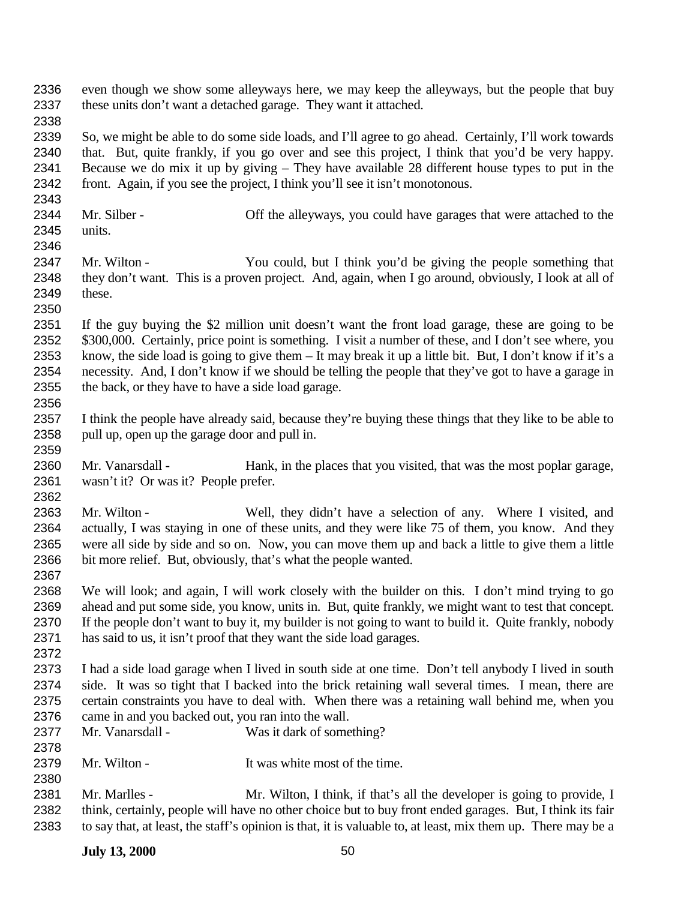- even though we show some alleyways here, we may keep the alleyways, but the people that buy these units don't want a detached garage. They want it attached.
- 

 So, we might be able to do some side loads, and I'll agree to go ahead. Certainly, I'll work towards that. But, quite frankly, if you go over and see this project, I think that you'd be very happy. Because we do mix it up by giving – They have available 28 different house types to put in the front. Again, if you see the project, I think you'll see it isn't monotonous.

- 2344 Mr. Silber Off the alleyways, you could have garages that were attached to the units.
- Mr. Wilton You could, but I think you'd be giving the people something that they don't want. This is a proven project. And, again, when I go around, obviously, I look at all of these.
- If the guy buying the \$2 million unit doesn't want the front load garage, these are going to be 2352 \$300,000. Certainly, price point is something. I visit a number of these, and I don't see where, you know, the side load is going to give them – It may break it up a little bit. But, I don't know if it's a necessity. And, I don't know if we should be telling the people that they've got to have a garage in the back, or they have to have a side load garage.
- I think the people have already said, because they're buying these things that they like to be able to pull up, open up the garage door and pull in.
- Mr. Vanarsdall Hank, in the places that you visited, that was the most poplar garage, wasn't it? Or was it? People prefer.
- Mr. Wilton Well, they didn't have a selection of any. Where I visited, and actually, I was staying in one of these units, and they were like 75 of them, you know. And they were all side by side and so on. Now, you can move them up and back a little to give them a little bit more relief. But, obviously, that's what the people wanted.
- We will look; and again, I will work closely with the builder on this. I don't mind trying to go ahead and put some side, you know, units in. But, quite frankly, we might want to test that concept. If the people don't want to buy it, my builder is not going to want to build it. Quite frankly, nobody has said to us, it isn't proof that they want the side load garages.
- I had a side load garage when I lived in south side at one time. Don't tell anybody I lived in south side. It was so tight that I backed into the brick retaining wall several times. I mean, there are certain constraints you have to deal with. When there was a retaining wall behind me, when you 2376 came in and you backed out, you ran into the wall.<br>2377 Mr. Vanarsdall - Was it dark of some
- Mr. Vanarsdall Was it dark of something?
- 2379 Mr. Wilton It was white most of the time.
- Mr. Marlles Mr. Wilton, I think, if that's all the developer is going to provide, I think, certainly, people will have no other choice but to buy front ended garages. But, I think its fair to say that, at least, the staff's opinion is that, it is valuable to, at least, mix them up. There may be a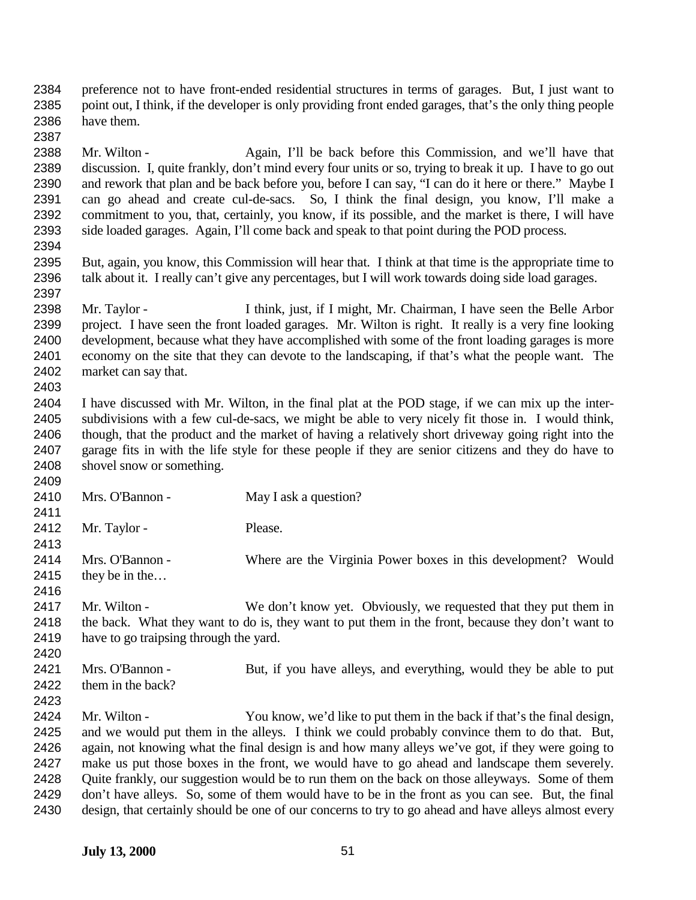preference not to have front-ended residential structures in terms of garages. But, I just want to point out, I think, if the developer is only providing front ended garages, that's the only thing people have them. 

 Mr. Wilton - Again, I'll be back before this Commission, and we'll have that discussion. I, quite frankly, don't mind every four units or so, trying to break it up. I have to go out and rework that plan and be back before you, before I can say, "I can do it here or there." Maybe I can go ahead and create cul-de-sacs. So, I think the final design, you know, I'll make a commitment to you, that, certainly, you know, if its possible, and the market is there, I will have side loaded garages. Again, I'll come back and speak to that point during the POD process. 

 But, again, you know, this Commission will hear that. I think at that time is the appropriate time to talk about it. I really can't give any percentages, but I will work towards doing side load garages. 

 Mr. Taylor - I think, just, if I might, Mr. Chairman, I have seen the Belle Arbor project. I have seen the front loaded garages. Mr. Wilton is right. It really is a very fine looking development, because what they have accomplished with some of the front loading garages is more economy on the site that they can devote to the landscaping, if that's what the people want. The market can say that. 

 I have discussed with Mr. Wilton, in the final plat at the POD stage, if we can mix up the inter- subdivisions with a few cul-de-sacs, we might be able to very nicely fit those in. I would think, though, that the product and the market of having a relatively short driveway going right into the garage fits in with the life style for these people if they are senior citizens and they do have to shovel snow or something.

 2410 Mrs. O'Bannon - May I ask a question? 2412 Mr. Taylor - Please. Mrs. O'Bannon - Where are the Virginia Power boxes in this development? Would they be in the… 2417 Mr. Wilton - We don't know yet. Obviously, we requested that they put them in the back. What they want to do is, they want to put them in the front, because they don't want to have to go traipsing through the yard. Mrs. O'Bannon - But, if you have alleys, and everything, would they be able to put 2422 them in the back? Mr. Wilton - You know, we'd like to put them in the back if that's the final design, and we would put them in the alleys. I think we could probably convince them to do that. But,

 again, not knowing what the final design is and how many alleys we've got, if they were going to make us put those boxes in the front, we would have to go ahead and landscape them severely. Quite frankly, our suggestion would be to run them on the back on those alleyways. Some of them 2429 don't have alleys. So, some of them would have to be in the front as you can see. But, the final design, that certainly should be one of our concerns to try to go ahead and have alleys almost every design, that certainly should be one of our concerns to try to go ahead and have alleys almost every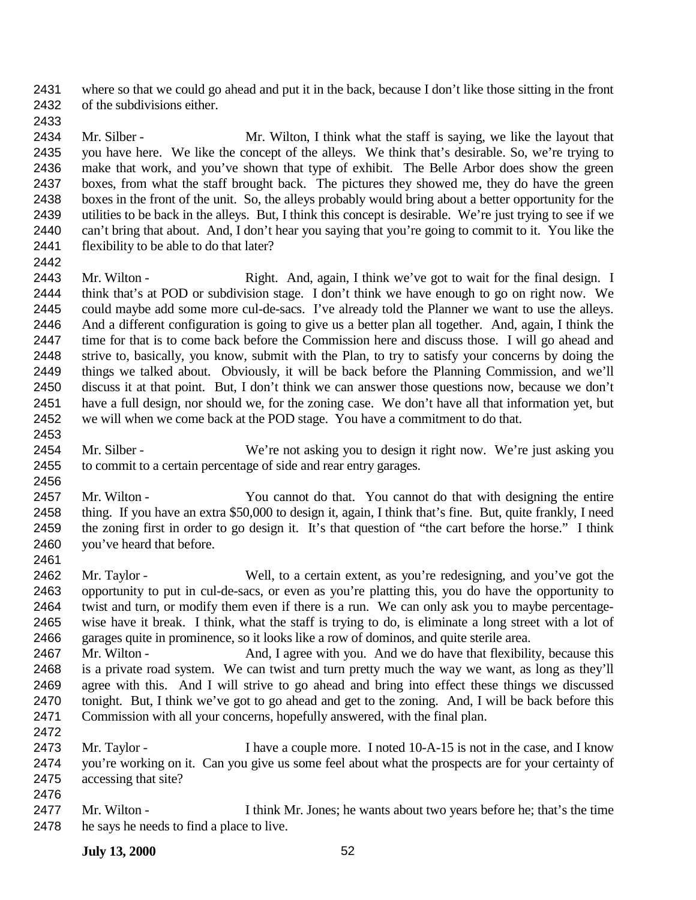where so that we could go ahead and put it in the back, because I don't like those sitting in the front of the subdivisions either.

2434 Mr. Silber - Mr. Wilton, I think what the staff is saying, we like the layout that you have here. We like the concept of the alleys. We think that's desirable. So, we're trying to make that work, and you've shown that type of exhibit. The Belle Arbor does show the green boxes, from what the staff brought back. The pictures they showed me, they do have the green boxes in the front of the unit. So, the alleys probably would bring about a better opportunity for the utilities to be back in the alleys. But, I think this concept is desirable. We're just trying to see if we can't bring that about. And, I don't hear you saying that you're going to commit to it. You like the flexibility to be able to do that later?

 2443 Mr. Wilton - Right. And, again, I think we've got to wait for the final design. I think that's at POD or subdivision stage. I don't think we have enough to go on right now. We could maybe add some more cul-de-sacs. I've already told the Planner we want to use the alleys. And a different configuration is going to give us a better plan all together. And, again, I think the time for that is to come back before the Commission here and discuss those. I will go ahead and strive to, basically, you know, submit with the Plan, to try to satisfy your concerns by doing the things we talked about. Obviously, it will be back before the Planning Commission, and we'll discuss it at that point. But, I don't think we can answer those questions now, because we don't have a full design, nor should we, for the zoning case. We don't have all that information yet, but we will when we come back at the POD stage. You have a commitment to do that.

- 2454 Mr. Silber We're not asking you to design it right now. We're just asking you to commit to a certain percentage of side and rear entry garages.
- Mr. Wilton You cannot do that. You cannot do that with designing the entire thing. If you have an extra \$50,000 to design it, again, I think that's fine. But, quite frankly, I need the zoning first in order to go design it. It's that question of "the cart before the horse." I think you've heard that before.
- Mr. Taylor Well, to a certain extent, as you're redesigning, and you've got the opportunity to put in cul-de-sacs, or even as you're platting this, you do have the opportunity to twist and turn, or modify them even if there is a run. We can only ask you to maybe percentage- wise have it break. I think, what the staff is trying to do, is eliminate a long street with a lot of 2466 garages quite in prominence, so it looks like a row of dominos, and quite sterile area.<br>2467 Mr. Wilton - And, I agree with you. And we do have that flexibility
- 2467 Mr. Wilton And, I agree with you. And we do have that flexibility, because this is a private road system. We can twist and turn pretty much the way we want, as long as they'll agree with this. And I will strive to go ahead and bring into effect these things we discussed tonight. But, I think we've got to go ahead and get to the zoning. And, I will be back before this Commission with all your concerns, hopefully answered, with the final plan.
- 2473 Mr. Taylor I have a couple more. I noted 10-A-15 is not in the case, and I know you're working on it. Can you give us some feel about what the prospects are for your certainty of accessing that site?
- Mr. Wilton I think Mr. Jones; he wants about two years before he; that's the time he says he needs to find a place to live.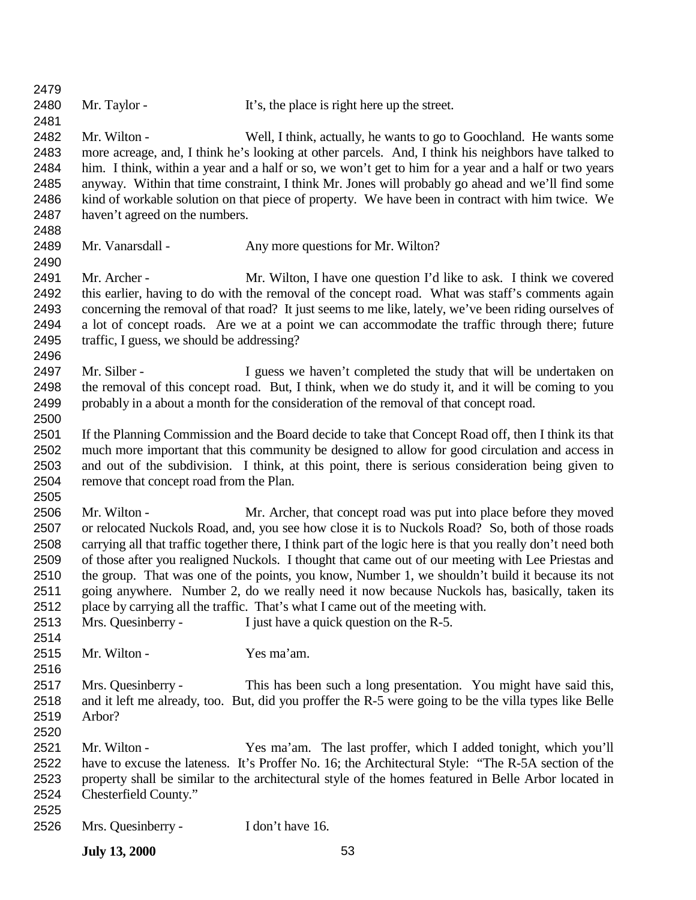| 2479 |                                            |                                                                                                             |
|------|--------------------------------------------|-------------------------------------------------------------------------------------------------------------|
| 2480 | Mr. Taylor -                               | It's, the place is right here up the street.                                                                |
| 2481 |                                            |                                                                                                             |
| 2482 | Mr. Wilton -                               | Well, I think, actually, he wants to go to Goochland. He wants some                                         |
| 2483 |                                            | more acreage, and, I think he's looking at other parcels. And, I think his neighbors have talked to         |
| 2484 |                                            | him. I think, within a year and a half or so, we won't get to him for a year and a half or two years        |
| 2485 |                                            | anyway. Within that time constraint, I think Mr. Jones will probably go ahead and we'll find some           |
| 2486 |                                            | kind of workable solution on that piece of property. We have been in contract with him twice. We            |
| 2487 | haven't agreed on the numbers.             |                                                                                                             |
| 2488 |                                            |                                                                                                             |
| 2489 | Mr. Vanarsdall -                           | Any more questions for Mr. Wilton?                                                                          |
| 2490 |                                            |                                                                                                             |
| 2491 | Mr. Archer -                               | Mr. Wilton, I have one question I'd like to ask. I think we covered                                         |
| 2492 |                                            | this earlier, having to do with the removal of the concept road. What was staff's comments again            |
| 2493 |                                            | concerning the removal of that road? It just seems to me like, lately, we've been riding ourselves of       |
| 2494 |                                            | a lot of concept roads. Are we at a point we can accommodate the traffic through there; future              |
| 2495 | traffic, I guess, we should be addressing? |                                                                                                             |
| 2496 |                                            |                                                                                                             |
| 2497 | Mr. Silber -                               | I guess we haven't completed the study that will be undertaken on                                           |
| 2498 |                                            | the removal of this concept road. But, I think, when we do study it, and it will be coming to you           |
| 2499 |                                            | probably in a about a month for the consideration of the removal of that concept road.                      |
| 2500 |                                            |                                                                                                             |
| 2501 |                                            | If the Planning Commission and the Board decide to take that Concept Road off, then I think its that        |
| 2502 |                                            | much more important that this community be designed to allow for good circulation and access in             |
| 2503 |                                            | and out of the subdivision. I think, at this point, there is serious consideration being given to           |
| 2504 | remove that concept road from the Plan.    |                                                                                                             |
| 2505 |                                            |                                                                                                             |
| 2506 | Mr. Wilton -                               | Mr. Archer, that concept road was put into place before they moved                                          |
| 2507 |                                            | or relocated Nuckols Road, and, you see how close it is to Nuckols Road? So, both of those roads            |
| 2508 |                                            | carrying all that traffic together there, I think part of the logic here is that you really don't need both |
| 2509 |                                            | of those after you realigned Nuckols. I thought that came out of our meeting with Lee Priestas and          |
| 2510 |                                            | the group. That was one of the points, you know, Number 1, we shouldn't build it because its not            |
| 2511 |                                            | going anywhere. Number 2, do we really need it now because Nuckols has, basically, taken its                |
| 2512 |                                            | place by carrying all the traffic. That's what I came out of the meeting with.                              |
| 2513 | Mrs. Quesinberry -                         | I just have a quick question on the R-5.                                                                    |
| 2514 |                                            |                                                                                                             |
| 2515 | Mr. Wilton -                               | Yes ma'am.                                                                                                  |
| 2516 |                                            |                                                                                                             |
| 2517 | Mrs. Quesinberry -                         | This has been such a long presentation. You might have said this,                                           |
| 2518 |                                            | and it left me already, too. But, did you proffer the R-5 were going to be the villa types like Belle       |
| 2519 | Arbor?                                     |                                                                                                             |
| 2520 |                                            |                                                                                                             |
| 2521 | Mr. Wilton -                               | Yes ma'am. The last proffer, which I added tonight, which you'll                                            |
| 2522 |                                            | have to excuse the lateness. It's Proffer No. 16; the Architectural Style: "The R-5A section of the         |
| 2523 |                                            | property shall be similar to the architectural style of the homes featured in Belle Arbor located in        |
| 2524 | Chesterfield County."                      |                                                                                                             |
| 2525 |                                            |                                                                                                             |
| 2526 | Mrs. Quesinberry -                         | I don't have 16.                                                                                            |
|      |                                            |                                                                                                             |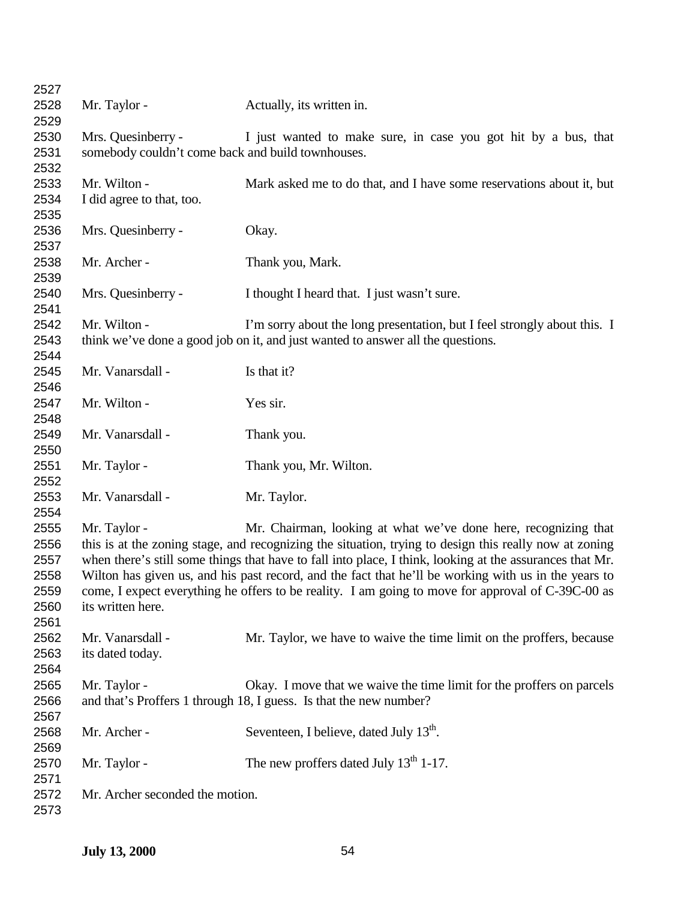| 2527 |                                                                                                          |                                                                                 |  |
|------|----------------------------------------------------------------------------------------------------------|---------------------------------------------------------------------------------|--|
| 2528 | Mr. Taylor -                                                                                             | Actually, its written in.                                                       |  |
| 2529 |                                                                                                          |                                                                                 |  |
| 2530 | Mrs. Quesinberry -                                                                                       | I just wanted to make sure, in case you got hit by a bus, that                  |  |
| 2531 | somebody couldn't come back and build townhouses.                                                        |                                                                                 |  |
| 2532 |                                                                                                          |                                                                                 |  |
| 2533 | Mr. Wilton -                                                                                             | Mark asked me to do that, and I have some reservations about it, but            |  |
| 2534 | I did agree to that, too.                                                                                |                                                                                 |  |
| 2535 |                                                                                                          |                                                                                 |  |
| 2536 | Mrs. Quesinberry -                                                                                       | Okay.                                                                           |  |
| 2537 |                                                                                                          |                                                                                 |  |
| 2538 | Mr. Archer -                                                                                             | Thank you, Mark.                                                                |  |
| 2539 |                                                                                                          |                                                                                 |  |
| 2540 | Mrs. Quesinberry -                                                                                       | I thought I heard that. I just wasn't sure.                                     |  |
| 2541 |                                                                                                          |                                                                                 |  |
| 2542 | Mr. Wilton -                                                                                             | I'm sorry about the long presentation, but I feel strongly about this. I        |  |
| 2543 |                                                                                                          | think we've done a good job on it, and just wanted to answer all the questions. |  |
| 2544 |                                                                                                          |                                                                                 |  |
| 2545 | Mr. Vanarsdall -                                                                                         | Is that it?                                                                     |  |
| 2546 |                                                                                                          |                                                                                 |  |
| 2547 | Mr. Wilton -                                                                                             | Yes sir.                                                                        |  |
| 2548 |                                                                                                          |                                                                                 |  |
| 2549 | Mr. Vanarsdall -                                                                                         |                                                                                 |  |
|      |                                                                                                          | Thank you.                                                                      |  |
| 2550 |                                                                                                          |                                                                                 |  |
| 2551 | Mr. Taylor -                                                                                             | Thank you, Mr. Wilton.                                                          |  |
| 2552 |                                                                                                          |                                                                                 |  |
| 2553 | Mr. Vanarsdall -                                                                                         | Mr. Taylor.                                                                     |  |
| 2554 |                                                                                                          |                                                                                 |  |
| 2555 | Mr. Taylor -                                                                                             | Mr. Chairman, looking at what we've done here, recognizing that                 |  |
| 2556 | this is at the zoning stage, and recognizing the situation, trying to design this really now at zoning   |                                                                                 |  |
| 2557 | when there's still some things that have to fall into place, I think, looking at the assurances that Mr. |                                                                                 |  |
| 2558 | Wilton has given us, and his past record, and the fact that he'll be working with us in the years to     |                                                                                 |  |
| 2559 | come, I expect everything he offers to be reality. I am going to move for approval of C-39C-00 as        |                                                                                 |  |
| 2560 | its written here.                                                                                        |                                                                                 |  |
| 2561 |                                                                                                          |                                                                                 |  |
| 2562 | Mr. Vanarsdall -                                                                                         | Mr. Taylor, we have to waive the time limit on the proffers, because            |  |
| 2563 | its dated today.                                                                                         |                                                                                 |  |
| 2564 |                                                                                                          |                                                                                 |  |
| 2565 | Mr. Taylor -                                                                                             | Okay. I move that we waive the time limit for the proffers on parcels           |  |
| 2566 |                                                                                                          | and that's Proffers 1 through 18, I guess. Is that the new number?              |  |
| 2567 |                                                                                                          |                                                                                 |  |
| 2568 | Mr. Archer -                                                                                             | Seventeen, I believe, dated July 13 <sup>th</sup> .                             |  |
| 2569 |                                                                                                          |                                                                                 |  |
| 2570 | Mr. Taylor -                                                                                             | The new proffers dated July $13th 1-17$ .                                       |  |
| 2571 |                                                                                                          |                                                                                 |  |
| 2572 | Mr. Archer seconded the motion.                                                                          |                                                                                 |  |
| 2573 |                                                                                                          |                                                                                 |  |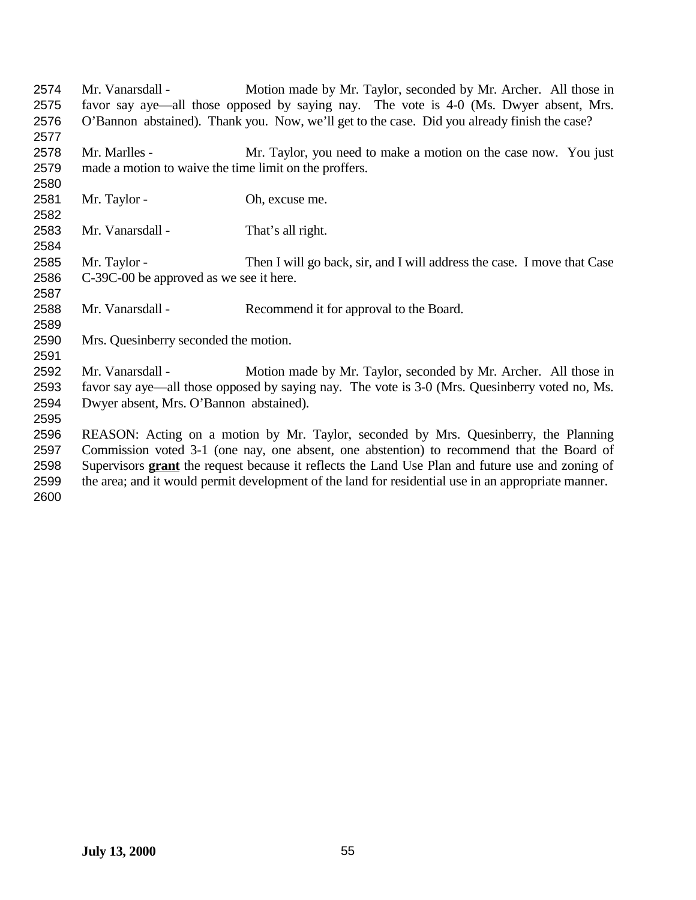| 2574 | Mr. Vanarsdall -                                                                                        | Motion made by Mr. Taylor, seconded by Mr. Archer. All those in                              |
|------|---------------------------------------------------------------------------------------------------------|----------------------------------------------------------------------------------------------|
| 2575 |                                                                                                         | favor say aye—all those opposed by saying nay. The vote is 4-0 (Ms. Dwyer absent, Mrs.       |
| 2576 |                                                                                                         | O'Bannon abstained). Thank you. Now, we'll get to the case. Did you already finish the case? |
| 2577 |                                                                                                         |                                                                                              |
| 2578 | Mr. Marlles -                                                                                           | Mr. Taylor, you need to make a motion on the case now. You just                              |
| 2579 | made a motion to waive the time limit on the proffers.                                                  |                                                                                              |
| 2580 |                                                                                                         |                                                                                              |
| 2581 | Mr. Taylor -                                                                                            | Oh, excuse me.                                                                               |
| 2582 |                                                                                                         |                                                                                              |
| 2583 | Mr. Vanarsdall -                                                                                        | That's all right.                                                                            |
| 2584 |                                                                                                         |                                                                                              |
| 2585 | Mr. Taylor -                                                                                            | Then I will go back, sir, and I will address the case. I move that Case                      |
| 2586 | C-39C-00 be approved as we see it here.                                                                 |                                                                                              |
| 2587 |                                                                                                         |                                                                                              |
| 2588 | Mr. Vanarsdall -                                                                                        | Recommend it for approval to the Board.                                                      |
| 2589 |                                                                                                         |                                                                                              |
| 2590 | Mrs. Quesinberry seconded the motion.                                                                   |                                                                                              |
| 2591 |                                                                                                         |                                                                                              |
| 2592 | Mr. Vanarsdall -                                                                                        | Motion made by Mr. Taylor, seconded by Mr. Archer. All those in                              |
| 2593 | favor say aye—all those opposed by saying nay. The vote is 3-0 (Mrs. Quesinberry voted no, Ms.          |                                                                                              |
| 2594 | Dwyer absent, Mrs. O'Bannon abstained).                                                                 |                                                                                              |
| 2595 |                                                                                                         |                                                                                              |
| 2596 | REASON: Acting on a motion by Mr. Taylor, seconded by Mrs. Quesinberry, the Planning                    |                                                                                              |
| 2597 | Commission voted 3-1 (one nay, one absent, one abstention) to recommend that the Board of               |                                                                                              |
| 2598 | Supervisors <b>grant</b> the request because it reflects the Land Use Plan and future use and zoning of |                                                                                              |
| 2599 | the area; and it would permit development of the land for residential use in an appropriate manner.     |                                                                                              |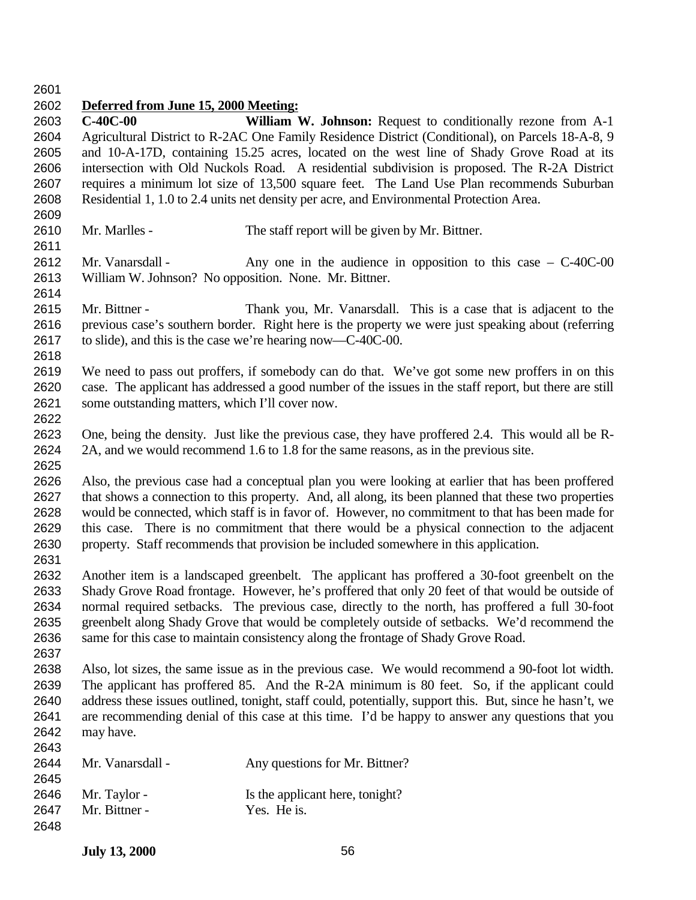## **Deferred from June 15, 2000 Meeting:**

- **C-40C-00 William W. Johnson:** Request to conditionally rezone from A-1 Agricultural District to R-2AC One Family Residence District (Conditional), on Parcels 18-A-8, 9 and 10-A-17D, containing 15.25 acres, located on the west line of Shady Grove Road at its intersection with Old Nuckols Road. A residential subdivision is proposed. The R-2A District requires a minimum lot size of 13,500 square feet. The Land Use Plan recommends Suburban Residential 1, 1.0 to 2.4 units net density per acre, and Environmental Protection Area.
- 2610 Mr. Marlles The staff report will be given by Mr. Bittner.
- 2612 Mr. Vanarsdall Any one in the audience in opposition to this case C-40C-00 William W. Johnson? No opposition. None. Mr. Bittner.
- Mr. Bittner Thank you, Mr. Vanarsdall. This is a case that is adjacent to the previous case's southern border. Right here is the property we were just speaking about (referring to slide), and this is the case we're hearing now—C-40C-00.
- 

- We need to pass out proffers, if somebody can do that. We've got some new proffers in on this case. The applicant has addressed a good number of the issues in the staff report, but there are still some outstanding matters, which I'll cover now.
- One, being the density. Just like the previous case, they have proffered 2.4. This would all be R- 2A, and we would recommend 1.6 to 1.8 for the same reasons, as in the previous site.
- Also, the previous case had a conceptual plan you were looking at earlier that has been proffered that shows a connection to this property. And, all along, its been planned that these two properties would be connected, which staff is in favor of. However, no commitment to that has been made for this case. There is no commitment that there would be a physical connection to the adjacent property. Staff recommends that provision be included somewhere in this application.
- Another item is a landscaped greenbelt. The applicant has proffered a 30-foot greenbelt on the Shady Grove Road frontage. However, he's proffered that only 20 feet of that would be outside of normal required setbacks. The previous case, directly to the north, has proffered a full 30-foot greenbelt along Shady Grove that would be completely outside of setbacks. We'd recommend the same for this case to maintain consistency along the frontage of Shady Grove Road.
- Also, lot sizes, the same issue as in the previous case. We would recommend a 90-foot lot width. The applicant has proffered 85. And the R-2A minimum is 80 feet. So, if the applicant could address these issues outlined, tonight, staff could, potentially, support this. But, since he hasn't, we are recommending denial of this case at this time. I'd be happy to answer any questions that you may have.

| <b>LV 10</b> |                  |                                 |
|--------------|------------------|---------------------------------|
| 2644         | Mr. Vanarsdall - | Any questions for Mr. Bittner?  |
| 2645         |                  |                                 |
| 2646         | Mr. Taylor -     | Is the applicant here, tonight? |
| 2647         | Mr. Bittner -    | Yes. He is.                     |
| 2648         |                  |                                 |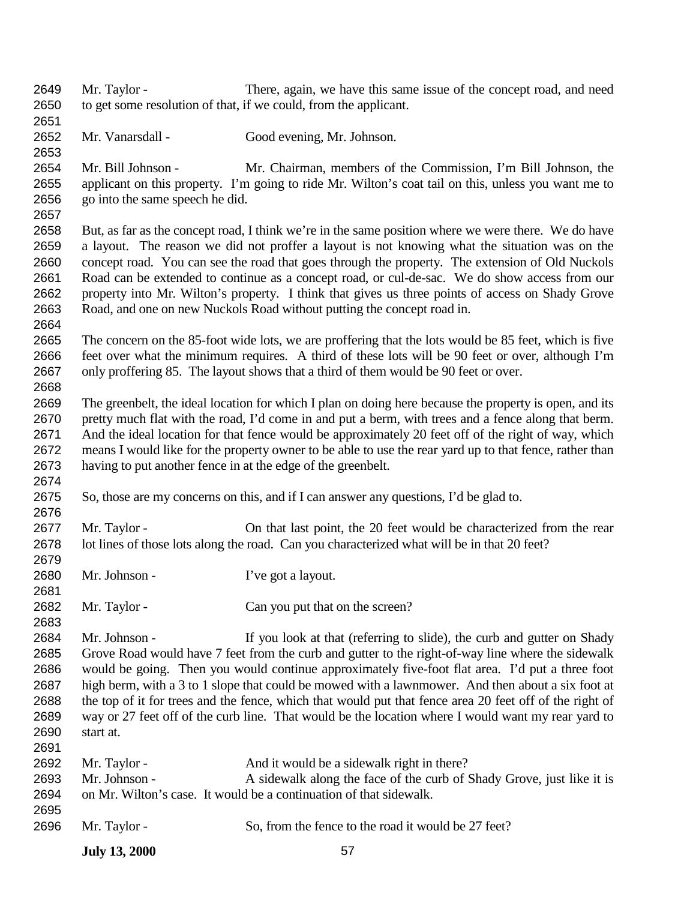- Mr. Taylor There, again, we have this same issue of the concept road, and need to get some resolution of that, if we could, from the applicant.
- Mr. Vanarsdall Good evening, Mr. Johnson.

- Mr. Bill Johnson Mr. Chairman, members of the Commission, I'm Bill Johnson, the applicant on this property. I'm going to ride Mr. Wilton's coat tail on this, unless you want me to go into the same speech he did.
- But, as far as the concept road, I think we're in the same position where we were there. We do have a layout. The reason we did not proffer a layout is not knowing what the situation was on the concept road. You can see the road that goes through the property. The extension of Old Nuckols Road can be extended to continue as a concept road, or cul-de-sac. We do show access from our property into Mr. Wilton's property. I think that gives us three points of access on Shady Grove Road, and one on new Nuckols Road without putting the concept road in.
- The concern on the 85-foot wide lots, we are proffering that the lots would be 85 feet, which is five feet over what the minimum requires. A third of these lots will be 90 feet or over, although I'm only proffering 85. The layout shows that a third of them would be 90 feet or over.
- The greenbelt, the ideal location for which I plan on doing here because the property is open, and its pretty much flat with the road, I'd come in and put a berm, with trees and a fence along that berm. And the ideal location for that fence would be approximately 20 feet off of the right of way, which means I would like for the property owner to be able to use the rear yard up to that fence, rather than having to put another fence in at the edge of the greenbelt.
- So, those are my concerns on this, and if I can answer any questions, I'd be glad to.
- Mr. Taylor On that last point, the 20 feet would be characterized from the rear lot lines of those lots along the road. Can you characterized what will be in that 20 feet?
- 2680 Mr. Johnson I've got a layout.
- 2682 Mr. Taylor Can you put that on the screen?
- Mr. Johnson If you look at that (referring to slide), the curb and gutter on Shady Grove Road would have 7 feet from the curb and gutter to the right-of-way line where the sidewalk would be going. Then you would continue approximately five-foot flat area. I'd put a three foot high berm, with a 3 to 1 slope that could be mowed with a lawnmower. And then about a six foot at the top of it for trees and the fence, which that would put that fence area 20 feet off of the right of way or 27 feet off of the curb line. That would be the location where I would want my rear yard to start at.
- 2692 Mr. Taylor - And it would be a sidewalk right in there? 2693 Mr. Johnson - A sidewalk along the face of the curb of Shady Grove, just like it is on Mr. Wilton's case. It would be a continuation of that sidewalk. Mr. Taylor - So, from the fence to the road it would be 27 feet?
	- **July 13, 2000** 57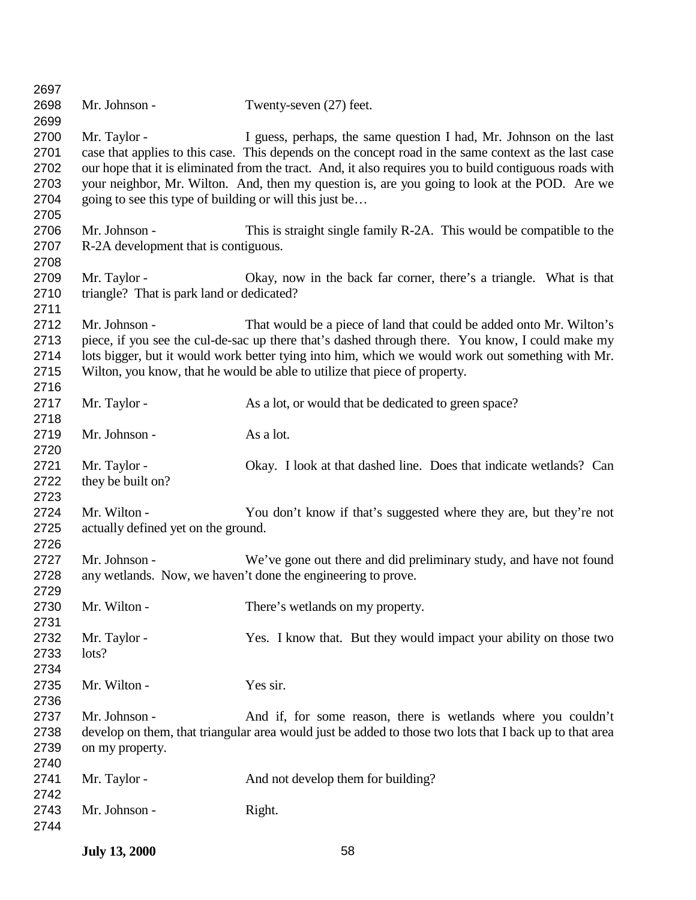| 2697 |                                                         |                                                                                                         |
|------|---------------------------------------------------------|---------------------------------------------------------------------------------------------------------|
| 2698 | Mr. Johnson -                                           | Twenty-seven (27) feet.                                                                                 |
| 2699 |                                                         |                                                                                                         |
| 2700 | Mr. Taylor -                                            | I guess, perhaps, the same question I had, Mr. Johnson on the last                                      |
| 2701 |                                                         | case that applies to this case. This depends on the concept road in the same context as the last case   |
| 2702 |                                                         | our hope that it is eliminated from the tract. And, it also requires you to build contiguous roads with |
| 2703 |                                                         | your neighbor, Mr. Wilton. And, then my question is, are you going to look at the POD. Are we           |
| 2704 | going to see this type of building or will this just be |                                                                                                         |
| 2705 |                                                         |                                                                                                         |
| 2706 | Mr. Johnson -                                           | This is straight single family R-2A. This would be compatible to the                                    |
| 2707 | R-2A development that is contiguous.                    |                                                                                                         |
| 2708 |                                                         |                                                                                                         |
| 2709 | Mr. Taylor -                                            | Okay, now in the back far corner, there's a triangle. What is that                                      |
| 2710 | triangle? That is park land or dedicated?               |                                                                                                         |
| 2711 |                                                         |                                                                                                         |
| 2712 | Mr. Johnson -                                           | That would be a piece of land that could be added onto Mr. Wilton's                                     |
| 2713 |                                                         |                                                                                                         |
|      |                                                         | piece, if you see the cul-de-sac up there that's dashed through there. You know, I could make my        |
| 2714 |                                                         | lots bigger, but it would work better tying into him, which we would work out something with Mr.        |
| 2715 |                                                         | Wilton, you know, that he would be able to utilize that piece of property.                              |
| 2716 |                                                         |                                                                                                         |
| 2717 | Mr. Taylor -                                            | As a lot, or would that be dedicated to green space?                                                    |
| 2718 |                                                         |                                                                                                         |
| 2719 | Mr. Johnson -                                           | As a lot.                                                                                               |
| 2720 |                                                         |                                                                                                         |
| 2721 | Mr. Taylor -                                            | Okay. I look at that dashed line. Does that indicate wetlands? Can                                      |
| 2722 | they be built on?                                       |                                                                                                         |
| 2723 |                                                         |                                                                                                         |
| 2724 | Mr. Wilton -                                            | You don't know if that's suggested where they are, but they're not                                      |
| 2725 | actually defined yet on the ground.                     |                                                                                                         |
| 2726 |                                                         |                                                                                                         |
| 2727 | Mr. Johnson -                                           | We've gone out there and did preliminary study, and have not found                                      |
| 2728 |                                                         | any wetlands. Now, we haven't done the engineering to prove.                                            |
| 2729 |                                                         |                                                                                                         |
| 2730 | Mr. Wilton -                                            | There's wetlands on my property.                                                                        |
| 2731 |                                                         |                                                                                                         |
| 2732 | Mr. Taylor -                                            | Yes. I know that. But they would impact your ability on those two                                       |
| 2733 | lots?                                                   |                                                                                                         |
| 2734 |                                                         |                                                                                                         |
| 2735 | Mr. Wilton -                                            | Yes sir.                                                                                                |
| 2736 |                                                         |                                                                                                         |
| 2737 | Mr. Johnson -                                           | And if, for some reason, there is wetlands where you couldn't                                           |
| 2738 |                                                         | develop on them, that triangular area would just be added to those two lots that I back up to that area |
| 2739 | on my property.                                         |                                                                                                         |
| 2740 |                                                         |                                                                                                         |
| 2741 | Mr. Taylor -                                            | And not develop them for building?                                                                      |
| 2742 |                                                         |                                                                                                         |
| 2743 | Mr. Johnson -                                           | Right.                                                                                                  |
| 2744 |                                                         |                                                                                                         |
|      |                                                         |                                                                                                         |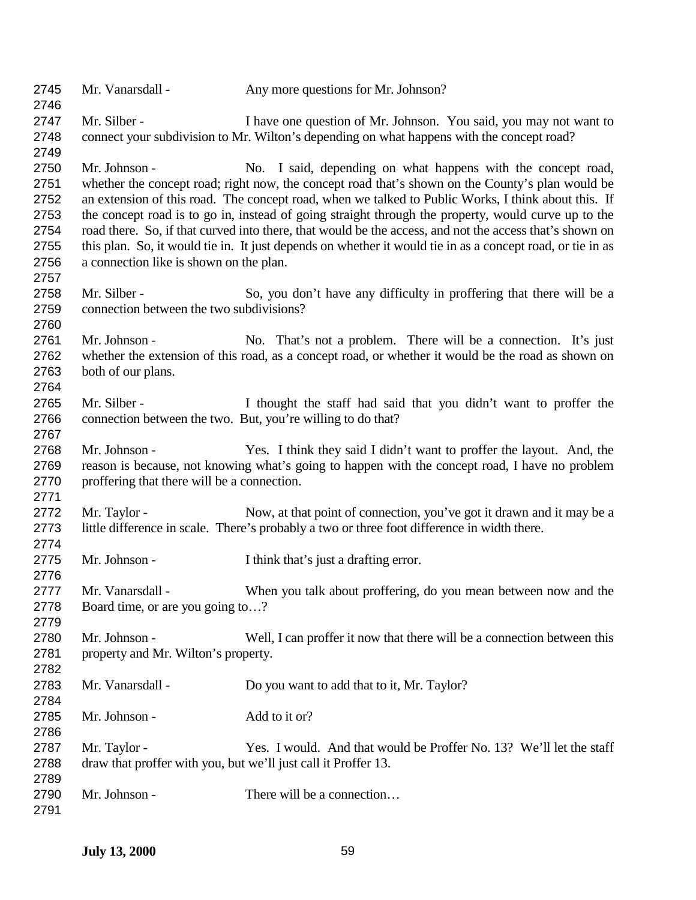| 2745<br>2746                                         | Mr. Vanarsdall -                                                               | Any more questions for Mr. Johnson?                                                                                                                                                                                                                                                                                                                                                                                                                                                                                                                                                                     |
|------------------------------------------------------|--------------------------------------------------------------------------------|---------------------------------------------------------------------------------------------------------------------------------------------------------------------------------------------------------------------------------------------------------------------------------------------------------------------------------------------------------------------------------------------------------------------------------------------------------------------------------------------------------------------------------------------------------------------------------------------------------|
| 2747<br>2748<br>2749                                 | Mr. Silber -                                                                   | I have one question of Mr. Johnson. You said, you may not want to<br>connect your subdivision to Mr. Wilton's depending on what happens with the concept road?                                                                                                                                                                                                                                                                                                                                                                                                                                          |
| 2750<br>2751<br>2752<br>2753<br>2754<br>2755<br>2756 | Mr. Johnson -<br>a connection like is shown on the plan.                       | No. I said, depending on what happens with the concept road,<br>whether the concept road; right now, the concept road that's shown on the County's plan would be<br>an extension of this road. The concept road, when we talked to Public Works, I think about this. If<br>the concept road is to go in, instead of going straight through the property, would curve up to the<br>road there. So, if that curved into there, that would be the access, and not the access that's shown on<br>this plan. So, it would tie in. It just depends on whether it would tie in as a concept road, or tie in as |
| 2757<br>2758<br>2759<br>2760                         | Mr. Silber -<br>connection between the two subdivisions?                       | So, you don't have any difficulty in proffering that there will be a                                                                                                                                                                                                                                                                                                                                                                                                                                                                                                                                    |
| 2761<br>2762<br>2763<br>2764                         | Mr. Johnson -<br>both of our plans.                                            | No. That's not a problem. There will be a connection. It's just<br>whether the extension of this road, as a concept road, or whether it would be the road as shown on                                                                                                                                                                                                                                                                                                                                                                                                                                   |
| 2765<br>2766<br>2767                                 | Mr. Silber -<br>connection between the two. But, you're willing to do that?    | I thought the staff had said that you didn't want to proffer the                                                                                                                                                                                                                                                                                                                                                                                                                                                                                                                                        |
| 2768<br>2769<br>2770<br>2771                         | Mr. Johnson -<br>proffering that there will be a connection.                   | Yes. I think they said I didn't want to proffer the layout. And, the<br>reason is because, not knowing what's going to happen with the concept road, I have no problem                                                                                                                                                                                                                                                                                                                                                                                                                                  |
| 2772<br>2773<br>2774                                 | Mr. Taylor -                                                                   | Now, at that point of connection, you've got it drawn and it may be a<br>little difference in scale. There's probably a two or three foot difference in width there.                                                                                                                                                                                                                                                                                                                                                                                                                                    |
| 2775<br>2776                                         | Mr. Johnson -                                                                  | I think that's just a drafting error.                                                                                                                                                                                                                                                                                                                                                                                                                                                                                                                                                                   |
| 2777<br>2778<br>2779                                 | Mr. Vanarsdall -<br>Board time, or are you going to?                           | When you talk about proffering, do you mean between now and the                                                                                                                                                                                                                                                                                                                                                                                                                                                                                                                                         |
| 2780<br>2781<br>2782                                 | Mr. Johnson -<br>property and Mr. Wilton's property.                           | Well, I can proffer it now that there will be a connection between this                                                                                                                                                                                                                                                                                                                                                                                                                                                                                                                                 |
| 2783<br>2784                                         | Mr. Vanarsdall -                                                               | Do you want to add that to it, Mr. Taylor?                                                                                                                                                                                                                                                                                                                                                                                                                                                                                                                                                              |
| 2785<br>2786                                         | Mr. Johnson -                                                                  | Add to it or?                                                                                                                                                                                                                                                                                                                                                                                                                                                                                                                                                                                           |
| 2787<br>2788                                         | Mr. Taylor -<br>draw that proffer with you, but we'll just call it Proffer 13. | Yes. I would. And that would be Proffer No. 13? We'll let the staff                                                                                                                                                                                                                                                                                                                                                                                                                                                                                                                                     |
| 2789<br>2790<br>2791                                 | Mr. Johnson -                                                                  | There will be a connection                                                                                                                                                                                                                                                                                                                                                                                                                                                                                                                                                                              |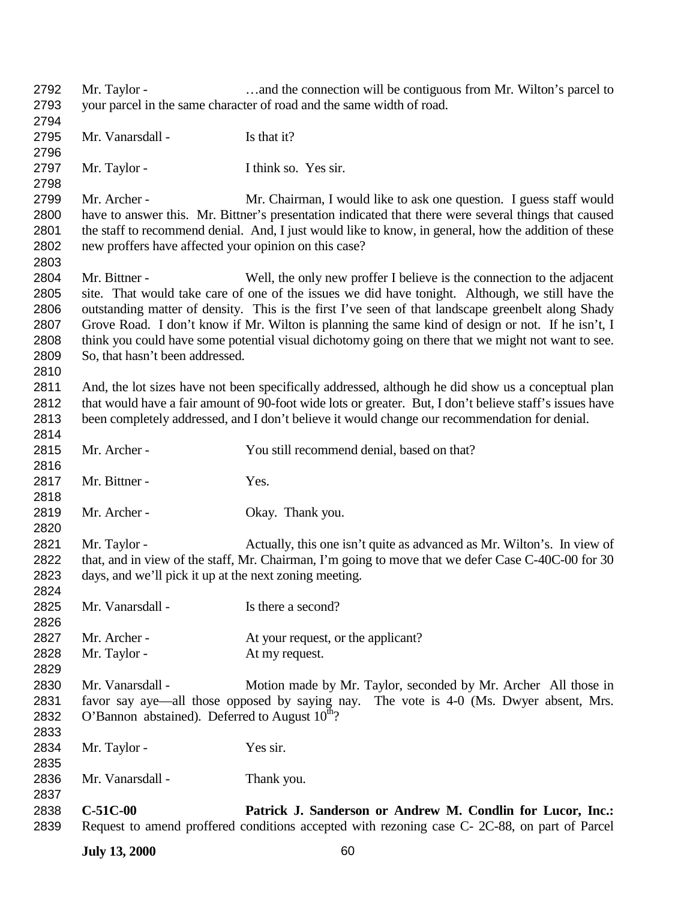| 2792 | Mr. Taylor -                                                                                       | and the connection will be contiguous from Mr. Wilton's parcel to                                       |
|------|----------------------------------------------------------------------------------------------------|---------------------------------------------------------------------------------------------------------|
| 2793 |                                                                                                    | your parcel in the same character of road and the same width of road.                                   |
| 2794 |                                                                                                    |                                                                                                         |
| 2795 | Mr. Vanarsdall -                                                                                   | Is that it?                                                                                             |
| 2796 |                                                                                                    |                                                                                                         |
| 2797 | Mr. Taylor -                                                                                       | I think so. Yes sir.                                                                                    |
| 2798 |                                                                                                    |                                                                                                         |
| 2799 | Mr. Archer -                                                                                       | Mr. Chairman, I would like to ask one question. I guess staff would                                     |
| 2800 |                                                                                                    | have to answer this. Mr. Bittner's presentation indicated that there were several things that caused    |
| 2801 |                                                                                                    | the staff to recommend denial. And, I just would like to know, in general, how the addition of these    |
| 2802 | new proffers have affected your opinion on this case?                                              |                                                                                                         |
| 2803 |                                                                                                    |                                                                                                         |
| 2804 | Mr. Bittner -                                                                                      | Well, the only new proffer I believe is the connection to the adjacent                                  |
| 2805 |                                                                                                    | site. That would take care of one of the issues we did have tonight. Although, we still have the        |
| 2806 |                                                                                                    | outstanding matter of density. This is the first I've seen of that landscape greenbelt along Shady      |
| 2807 |                                                                                                    | Grove Road. I don't know if Mr. Wilton is planning the same kind of design or not. If he isn't, I       |
| 2808 |                                                                                                    | think you could have some potential visual dichotomy going on there that we might not want to see.      |
| 2809 | So, that hasn't been addressed.                                                                    |                                                                                                         |
| 2810 |                                                                                                    |                                                                                                         |
| 2811 |                                                                                                    | And, the lot sizes have not been specifically addressed, although he did show us a conceptual plan      |
| 2812 |                                                                                                    | that would have a fair amount of 90-foot wide lots or greater. But, I don't believe staff's issues have |
| 2813 |                                                                                                    | been completely addressed, and I don't believe it would change our recommendation for denial.           |
|      |                                                                                                    |                                                                                                         |
| 2814 |                                                                                                    |                                                                                                         |
| 2815 | Mr. Archer -                                                                                       | You still recommend denial, based on that?                                                              |
| 2816 |                                                                                                    |                                                                                                         |
| 2817 | Mr. Bittner -                                                                                      | Yes.                                                                                                    |
| 2818 |                                                                                                    |                                                                                                         |
| 2819 | Mr. Archer -                                                                                       | Okay. Thank you.                                                                                        |
| 2820 |                                                                                                    |                                                                                                         |
| 2821 | Mr. Taylor -                                                                                       | Actually, this one isn't quite as advanced as Mr. Wilton's. In view of                                  |
| 2822 | that, and in view of the staff, Mr. Chairman, I'm going to move that we defer Case C-40C-00 for 30 |                                                                                                         |
| 2823 | days, and we'll pick it up at the next zoning meeting.                                             |                                                                                                         |
| 2824 |                                                                                                    |                                                                                                         |
| 2825 | Mr. Vanarsdall -                                                                                   | Is there a second?                                                                                      |
| 2826 |                                                                                                    |                                                                                                         |
| 2827 | Mr. Archer -                                                                                       | At your request, or the applicant?                                                                      |
| 2828 | Mr. Taylor -                                                                                       | At my request.                                                                                          |
| 2829 |                                                                                                    |                                                                                                         |
| 2830 | Mr. Vanarsdall -                                                                                   | Motion made by Mr. Taylor, seconded by Mr. Archer All those in                                          |
| 2831 |                                                                                                    | favor say aye—all those opposed by saying nay. The vote is 4-0 (Ms. Dwyer absent, Mrs.                  |
| 2832 | O'Bannon abstained). Deferred to August $10^{th}$ ?                                                |                                                                                                         |
| 2833 |                                                                                                    |                                                                                                         |
| 2834 | Mr. Taylor -                                                                                       | Yes sir.                                                                                                |
| 2835 |                                                                                                    |                                                                                                         |
| 2836 | Mr. Vanarsdall -                                                                                   | Thank you.                                                                                              |
| 2837 |                                                                                                    |                                                                                                         |
| 2838 | $C-51C-00$                                                                                         | Patrick J. Sanderson or Andrew M. Condlin for Lucor, Inc.:                                              |
| 2839 |                                                                                                    | Request to amend proffered conditions accepted with rezoning case C-2C-88, on part of Parcel            |

**July 13, 2000** 60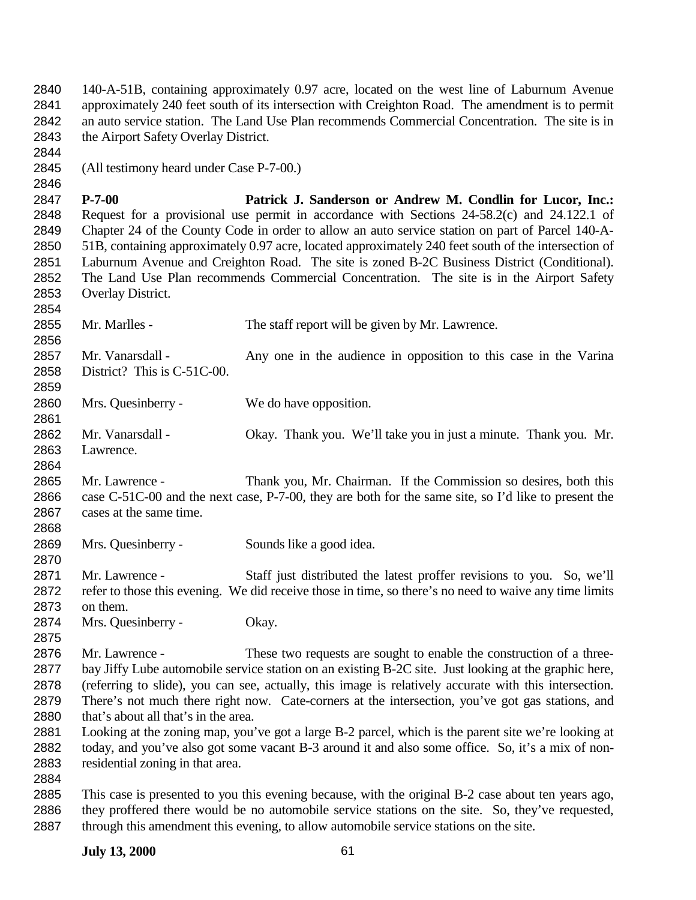140-A-51B, containing approximately 0.97 acre, located on the west line of Laburnum Avenue approximately 240 feet south of its intersection with Creighton Road. The amendment is to permit an auto service station. The Land Use Plan recommends Commercial Concentration. The site is in the Airport Safety Overlay District. (All testimony heard under Case P-7-00.) **P-7-00 Patrick J. Sanderson or Andrew M. Condlin for Lucor, Inc.:** Request for a provisional use permit in accordance with Sections 24-58.2(c) and 24.122.1 of Chapter 24 of the County Code in order to allow an auto service station on part of Parcel 140-A- 51B, containing approximately 0.97 acre, located approximately 240 feet south of the intersection of Laburnum Avenue and Creighton Road. The site is zoned B-2C Business District (Conditional). The Land Use Plan recommends Commercial Concentration. The site is in the Airport Safety Overlay District. Mr. Marlles - The staff report will be given by Mr. Lawrence. 2857 Mr. Vanarsdall - Any one in the audience in opposition to this case in the Varina District? This is C-51C-00. Mrs. Quesinberry - We do have opposition. Mr. Vanarsdall - Okay. Thank you. We'll take you in just a minute. Thank you. Mr. Lawrence. Mr. Lawrence - Thank you, Mr. Chairman. If the Commission so desires, both this case C-51C-00 and the next case, P-7-00, they are both for the same site, so I'd like to present the cases at the same time. Mrs. Quesinberry - Sounds like a good idea. Mr. Lawrence - Staff just distributed the latest proffer revisions to you. So, we'll refer to those this evening. We did receive those in time, so there's no need to waive any time limits on them. Mrs. Quesinberry - Okay. 2876 Mr. Lawrence - These two requests are sought to enable the construction of a three- bay Jiffy Lube automobile service station on an existing B-2C site. Just looking at the graphic here, (referring to slide), you can see, actually, this image is relatively accurate with this intersection. There's not much there right now. Cate-corners at the intersection, you've got gas stations, and 2880 that's about all that's in the area. Looking at the zoning map, you've got a large B-2 parcel, which is the parent site we're looking at today, and you've also got some vacant B-3 around it and also some office. So, it's a mix of non- residential zoning in that area. This case is presented to you this evening because, with the original B-2 case about ten years ago, they proffered there would be no automobile service stations on the site. So, they've requested, through this amendment this evening, to allow automobile service stations on the site.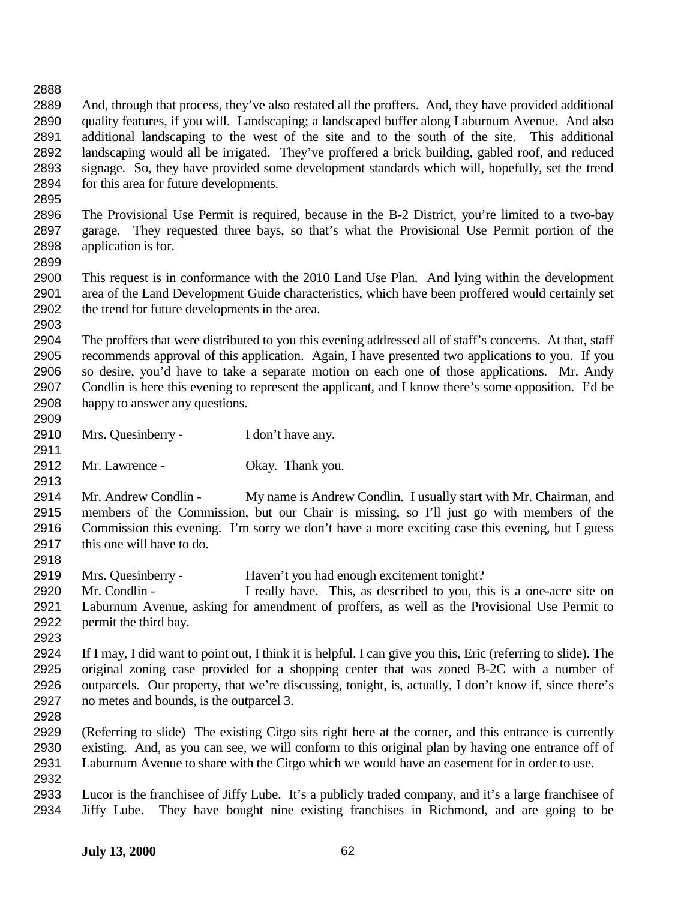And, through that process, they've also restated all the proffers. And, they have provided additional quality features, if you will. Landscaping; a landscaped buffer along Laburnum Avenue. And also additional landscaping to the west of the site and to the south of the site. This additional landscaping would all be irrigated. They've proffered a brick building, gabled roof, and reduced signage. So, they have provided some development standards which will, hopefully, set the trend for this area for future developments.

 The Provisional Use Permit is required, because in the B-2 District, you're limited to a two-bay garage. They requested three bays, so that's what the Provisional Use Permit portion of the application is for.

 This request is in conformance with the 2010 Land Use Plan. And lying within the development area of the Land Development Guide characteristics, which have been proffered would certainly set the trend for future developments in the area. 

 The proffers that were distributed to you this evening addressed all of staff's concerns. At that, staff recommends approval of this application. Again, I have presented two applications to you. If you so desire, you'd have to take a separate motion on each one of those applications. Mr. Andy Condlin is here this evening to represent the applicant, and I know there's some opposition. I'd be happy to answer any questions. 

- 2910 Mrs. Quesinberry I don't have any.
- Mr. Lawrence Okay. Thank you.

 Mr. Andrew Condlin - My name is Andrew Condlin. I usually start with Mr. Chairman, and members of the Commission, but our Chair is missing, so I'll just go with members of the Commission this evening. I'm sorry we don't have a more exciting case this evening, but I guess this one will have to do.

- Mrs. Quesinberry Haven't you had enough excitement tonight?
- Mr. Condlin I really have. This, as described to you, this is a one-acre site on Laburnum Avenue, asking for amendment of proffers, as well as the Provisional Use Permit to permit the third bay.
- 

 If I may, I did want to point out, I think it is helpful. I can give you this, Eric (referring to slide). The original zoning case provided for a shopping center that was zoned B-2C with a number of outparcels. Our property, that we're discussing, tonight, is, actually, I don't know if, since there's no metes and bounds, is the outparcel 3.

 (Referring to slide) The existing Citgo sits right here at the corner, and this entrance is currently existing. And, as you can see, we will conform to this original plan by having one entrance off of Laburnum Avenue to share with the Citgo which we would have an easement for in order to use. 

 Lucor is the franchisee of Jiffy Lube. It's a publicly traded company, and it's a large franchisee of Jiffy Lube. They have bought nine existing franchises in Richmond, and are going to be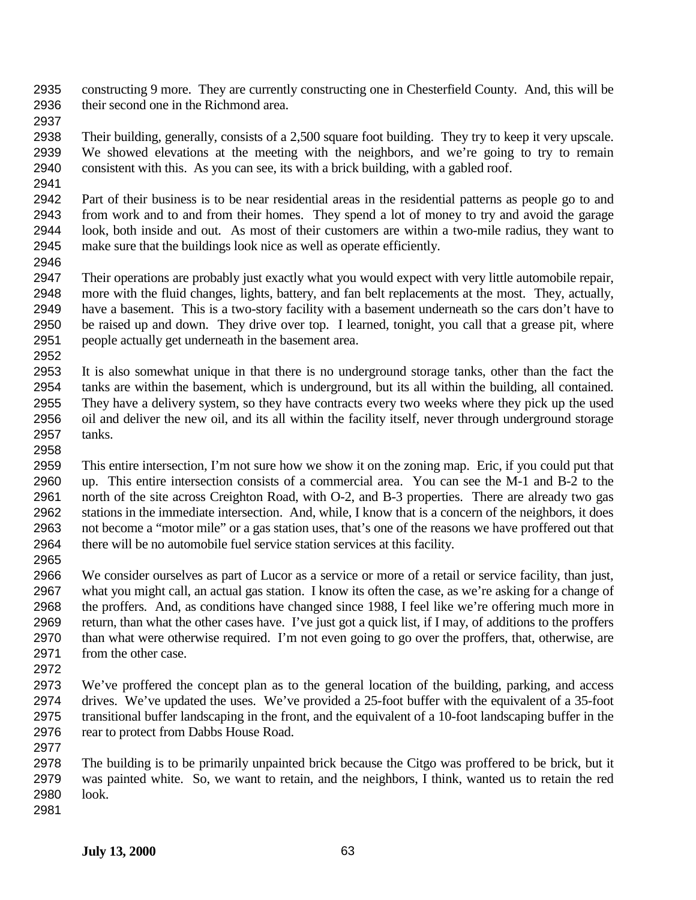constructing 9 more. They are currently constructing one in Chesterfield County. And, this will be their second one in the Richmond area.

 Their building, generally, consists of a 2,500 square foot building. They try to keep it very upscale. We showed elevations at the meeting with the neighbors, and we're going to try to remain consistent with this. As you can see, its with a brick building, with a gabled roof.

 Part of their business is to be near residential areas in the residential patterns as people go to and from work and to and from their homes. They spend a lot of money to try and avoid the garage look, both inside and out. As most of their customers are within a two-mile radius, they want to make sure that the buildings look nice as well as operate efficiently.

 Their operations are probably just exactly what you would expect with very little automobile repair, more with the fluid changes, lights, battery, and fan belt replacements at the most. They, actually, have a basement. This is a two-story facility with a basement underneath so the cars don't have to be raised up and down. They drive over top. I learned, tonight, you call that a grease pit, where people actually get underneath in the basement area. 

 It is also somewhat unique in that there is no underground storage tanks, other than the fact the tanks are within the basement, which is underground, but its all within the building, all contained. They have a delivery system, so they have contracts every two weeks where they pick up the used oil and deliver the new oil, and its all within the facility itself, never through underground storage tanks. 

 This entire intersection, I'm not sure how we show it on the zoning map. Eric, if you could put that up. This entire intersection consists of a commercial area. You can see the M-1 and B-2 to the north of the site across Creighton Road, with O-2, and B-3 properties. There are already two gas stations in the immediate intersection. And, while, I know that is a concern of the neighbors, it does not become a "motor mile" or a gas station uses, that's one of the reasons we have proffered out that there will be no automobile fuel service station services at this facility.

 We consider ourselves as part of Lucor as a service or more of a retail or service facility, than just, what you might call, an actual gas station. I know its often the case, as we're asking for a change of the proffers. And, as conditions have changed since 1988, I feel like we're offering much more in return, than what the other cases have. I've just got a quick list, if I may, of additions to the proffers than what were otherwise required. I'm not even going to go over the proffers, that, otherwise, are 2971 from the other case.

 We've proffered the concept plan as to the general location of the building, parking, and access drives. We've updated the uses. We've provided a 25-foot buffer with the equivalent of a 35-foot transitional buffer landscaping in the front, and the equivalent of a 10-foot landscaping buffer in the 2976 rear to protect from Dabbs House Road.

 The building is to be primarily unpainted brick because the Citgo was proffered to be brick, but it was painted white. So, we want to retain, and the neighbors, I think, wanted us to retain the red look. 

**July 13, 2000** 63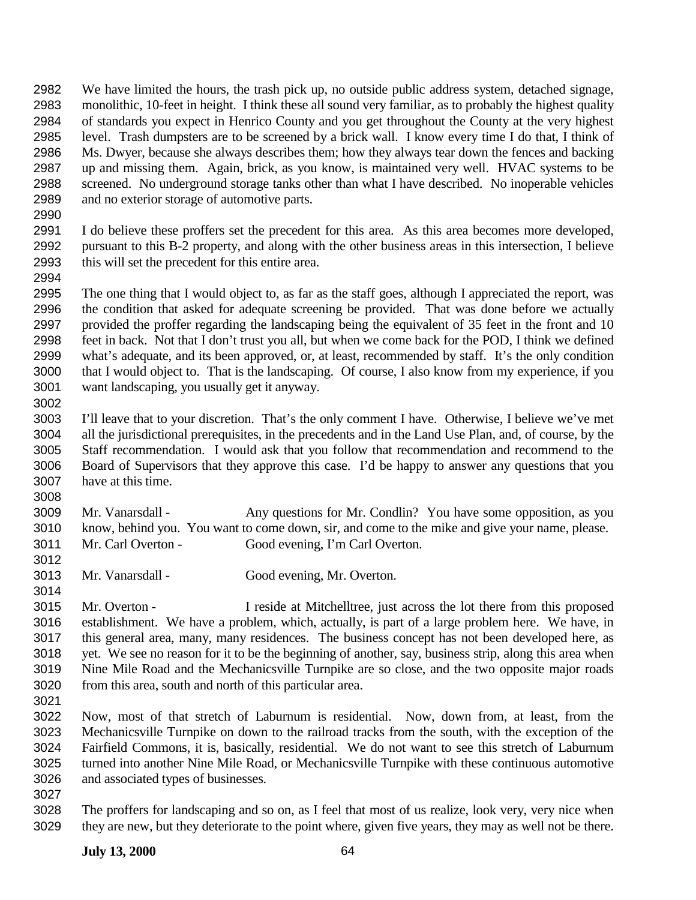We have limited the hours, the trash pick up, no outside public address system, detached signage, monolithic, 10-feet in height. I think these all sound very familiar, as to probably the highest quality of standards you expect in Henrico County and you get throughout the County at the very highest level. Trash dumpsters are to be screened by a brick wall. I know every time I do that, I think of Ms. Dwyer, because she always describes them; how they always tear down the fences and backing up and missing them. Again, brick, as you know, is maintained very well. HVAC systems to be screened. No underground storage tanks other than what I have described. No inoperable vehicles and no exterior storage of automotive parts.

 I do believe these proffers set the precedent for this area. As this area becomes more developed, pursuant to this B-2 property, and along with the other business areas in this intersection, I believe this will set the precedent for this entire area. 

 The one thing that I would object to, as far as the staff goes, although I appreciated the report, was the condition that asked for adequate screening be provided. That was done before we actually provided the proffer regarding the landscaping being the equivalent of 35 feet in the front and 10 feet in back. Not that I don't trust you all, but when we come back for the POD, I think we defined what's adequate, and its been approved, or, at least, recommended by staff. It's the only condition that I would object to. That is the landscaping. Of course, I also know from my experience, if you want landscaping, you usually get it anyway.

 I'll leave that to your discretion. That's the only comment I have. Otherwise, I believe we've met all the jurisdictional prerequisites, in the precedents and in the Land Use Plan, and, of course, by the Staff recommendation. I would ask that you follow that recommendation and recommend to the Board of Supervisors that they approve this case. I'd be happy to answer any questions that you have at this time.

 Mr. Vanarsdall - Any questions for Mr. Condlin? You have some opposition, as you know, behind you. You want to come down, sir, and come to the mike and give your name, please. Mr. Carl Overton - Good evening, I'm Carl Overton.

Mr. Vanarsdall - Good evening, Mr. Overton.

 Mr. Overton - I reside at Mitchelltree, just across the lot there from this proposed establishment. We have a problem, which, actually, is part of a large problem here. We have, in this general area, many, many residences. The business concept has not been developed here, as yet. We see no reason for it to be the beginning of another, say, business strip, along this area when Nine Mile Road and the Mechanicsville Turnpike are so close, and the two opposite major roads from this area, south and north of this particular area.

 Now, most of that stretch of Laburnum is residential. Now, down from, at least, from the Mechanicsville Turnpike on down to the railroad tracks from the south, with the exception of the Fairfield Commons, it is, basically, residential. We do not want to see this stretch of Laburnum turned into another Nine Mile Road, or Mechanicsville Turnpike with these continuous automotive and associated types of businesses.

 The proffers for landscaping and so on, as I feel that most of us realize, look very, very nice when they are new, but they deteriorate to the point where, given five years, they may as well not be there.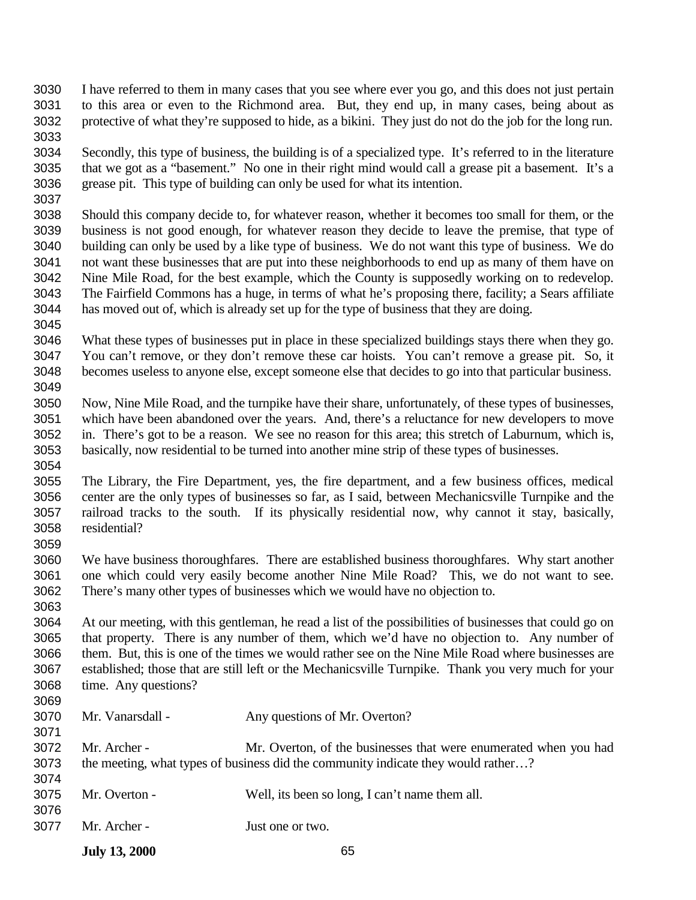- I have referred to them in many cases that you see where ever you go, and this does not just pertain to this area or even to the Richmond area. But, they end up, in many cases, being about as protective of what they're supposed to hide, as a bikini. They just do not do the job for the long run.
- Secondly, this type of business, the building is of a specialized type. It's referred to in the literature that we got as a "basement." No one in their right mind would call a grease pit a basement. It's a grease pit. This type of building can only be used for what its intention.
- Should this company decide to, for whatever reason, whether it becomes too small for them, or the business is not good enough, for whatever reason they decide to leave the premise, that type of building can only be used by a like type of business. We do not want this type of business. We do not want these businesses that are put into these neighborhoods to end up as many of them have on Nine Mile Road, for the best example, which the County is supposedly working on to redevelop. The Fairfield Commons has a huge, in terms of what he's proposing there, facility; a Sears affiliate has moved out of, which is already set up for the type of business that they are doing.
- What these types of businesses put in place in these specialized buildings stays there when they go. You can't remove, or they don't remove these car hoists. You can't remove a grease pit. So, it becomes useless to anyone else, except someone else that decides to go into that particular business.
- Now, Nine Mile Road, and the turnpike have their share, unfortunately, of these types of businesses, which have been abandoned over the years. And, there's a reluctance for new developers to move in. There's got to be a reason. We see no reason for this area; this stretch of Laburnum, which is, basically, now residential to be turned into another mine strip of these types of businesses.
- The Library, the Fire Department, yes, the fire department, and a few business offices, medical center are the only types of businesses so far, as I said, between Mechanicsville Turnpike and the railroad tracks to the south. If its physically residential now, why cannot it stay, basically, residential?
- We have business thoroughfares. There are established business thoroughfares. Why start another one which could very easily become another Nine Mile Road? This, we do not want to see. There's many other types of businesses which we would have no objection to.
- At our meeting, with this gentleman, he read a list of the possibilities of businesses that could go on that property. There is any number of them, which we'd have no objection to. Any number of them. But, this is one of the times we would rather see on the Nine Mile Road where businesses are established; those that are still left or the Mechanicsville Turnpike. Thank you very much for your time. Any questions?
- Mr. Vanarsdall - Any questions of Mr. Overton? Mr. Archer - Mr. Overton, of the businesses that were enumerated when you had the meeting, what types of business did the community indicate they would rather…? Mr. Overton - Well, its been so long, I can't name them all. Mr. Archer - Just one or two.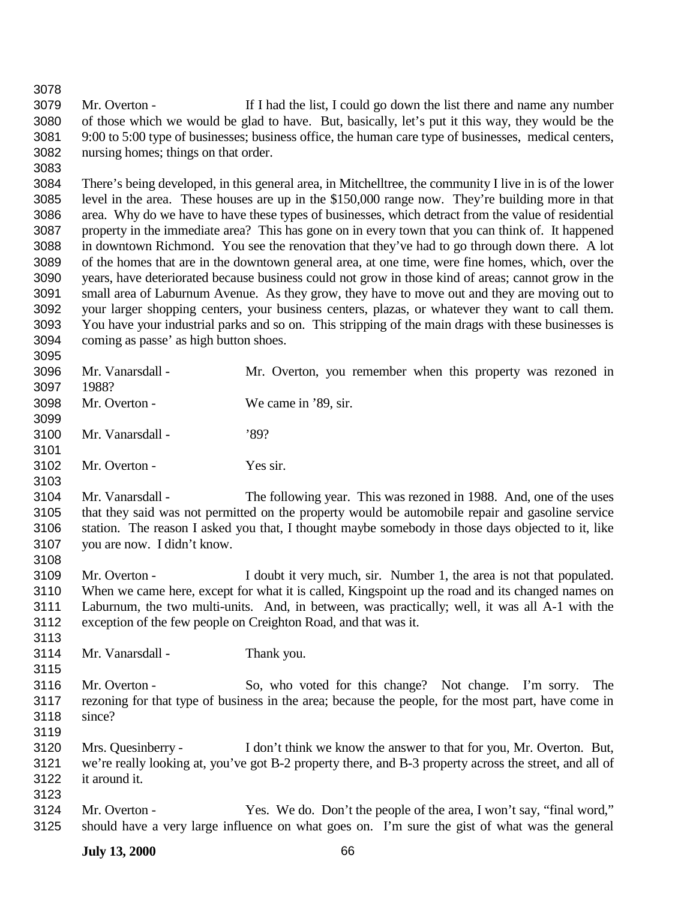Mr. Overton - If I had the list, I could go down the list there and name any number of those which we would be glad to have. But, basically, let's put it this way, they would be the 9:00 to 5:00 type of businesses; business office, the human care type of businesses, medical centers, nursing homes; things on that order.

 There's being developed, in this general area, in Mitchelltree, the community I live in is of the lower level in the area. These houses are up in the \$150,000 range now. They're building more in that area. Why do we have to have these types of businesses, which detract from the value of residential property in the immediate area? This has gone on in every town that you can think of. It happened in downtown Richmond. You see the renovation that they've had to go through down there. A lot of the homes that are in the downtown general area, at one time, were fine homes, which, over the years, have deteriorated because business could not grow in those kind of areas; cannot grow in the small area of Laburnum Avenue. As they grow, they have to move out and they are moving out to your larger shopping centers, your business centers, plazas, or whatever they want to call them. You have your industrial parks and so on. This stripping of the main drags with these businesses is coming as passe' as high button shoes.

 Mr. Vanarsdall - Mr. Overton, you remember when this property was rezoned in 1988? Mr. Overton - We came in '89, sir. Mr. Vanarsdall - '89? Mr. Overton - Yes sir. Mr. Vanarsdall - The following year. This was rezoned in 1988. And, one of the uses that they said was not permitted on the property would be automobile repair and gasoline service

 station. The reason I asked you that, I thought maybe somebody in those days objected to it, like you are now. I didn't know. 

 Mr. Overton - I doubt it very much, sir. Number 1, the area is not that populated. When we came here, except for what it is called, Kingspoint up the road and its changed names on Laburnum, the two multi-units. And, in between, was practically; well, it was all A-1 with the exception of the few people on Creighton Road, and that was it. 

Mr. Vanarsdall - Thank you.

 Mr. Overton - So, who voted for this change? Not change. I'm sorry. The rezoning for that type of business in the area; because the people, for the most part, have come in since?

- Mrs. Quesinberry - I don't think we know the answer to that for you, Mr. Overton. But, we're really looking at, you've got B-2 property there, and B-3 property across the street, and all of it around it.
- Mr. Overton Yes. We do. Don't the people of the area, I won't say, "final word," should have a very large influence on what goes on. I'm sure the gist of what was the general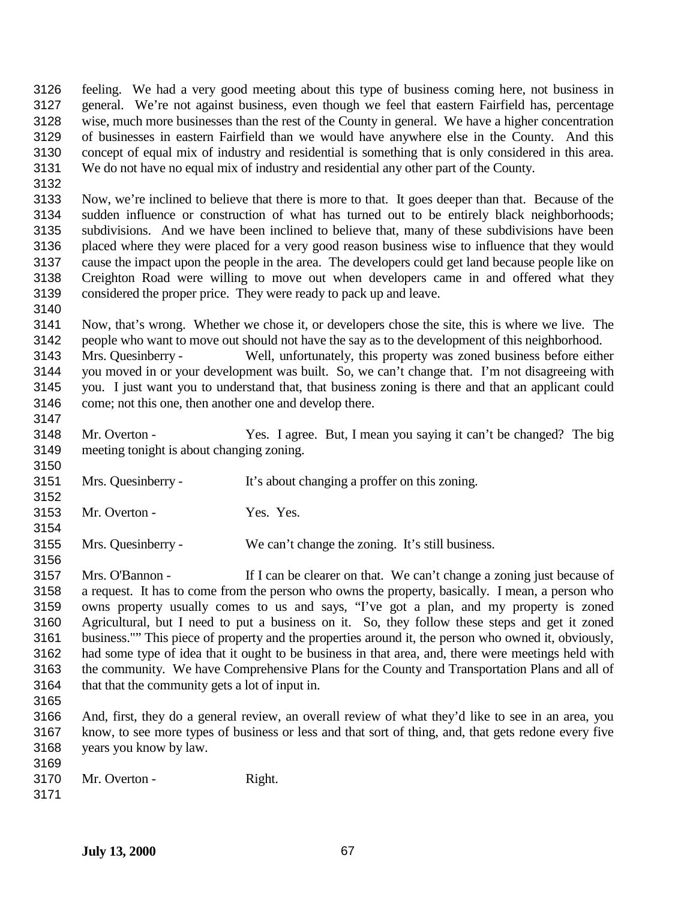feeling. We had a very good meeting about this type of business coming here, not business in general. We're not against business, even though we feel that eastern Fairfield has, percentage wise, much more businesses than the rest of the County in general. We have a higher concentration of businesses in eastern Fairfield than we would have anywhere else in the County. And this concept of equal mix of industry and residential is something that is only considered in this area. We do not have no equal mix of industry and residential any other part of the County.

 Now, we're inclined to believe that there is more to that. It goes deeper than that. Because of the sudden influence or construction of what has turned out to be entirely black neighborhoods; subdivisions. And we have been inclined to believe that, many of these subdivisions have been placed where they were placed for a very good reason business wise to influence that they would cause the impact upon the people in the area. The developers could get land because people like on Creighton Road were willing to move out when developers came in and offered what they considered the proper price. They were ready to pack up and leave.

 Now, that's wrong. Whether we chose it, or developers chose the site, this is where we live. The people who want to move out should not have the say as to the development of this neighborhood.

 Mrs. Quesinberry - Well, unfortunately, this property was zoned business before either you moved in or your development was built. So, we can't change that. I'm not disagreeing with you. I just want you to understand that, that business zoning is there and that an applicant could come; not this one, then another one and develop there.

- Mr. Overton Yes. I agree. But, I mean you saying it can't be changed? The big meeting tonight is about changing zoning.
- Mrs. Quesinberry It's about changing a proffer on this zoning.
- 3153 Mr. Overton Yes. Yes.

Mrs. Quesinberry - We can't change the zoning. It's still business.

 Mrs. O'Bannon - If I can be clearer on that. We can't change a zoning just because of a request. It has to come from the person who owns the property, basically. I mean, a person who owns property usually comes to us and says, "I've got a plan, and my property is zoned Agricultural, but I need to put a business on it. So, they follow these steps and get it zoned business."" This piece of property and the properties around it, the person who owned it, obviously, had some type of idea that it ought to be business in that area, and, there were meetings held with the community. We have Comprehensive Plans for the County and Transportation Plans and all of that that the community gets a lot of input in.

 And, first, they do a general review, an overall review of what they'd like to see in an area, you know, to see more types of business or less and that sort of thing, and, that gets redone every five years you know by law.

- Mr. Overton - Right.
-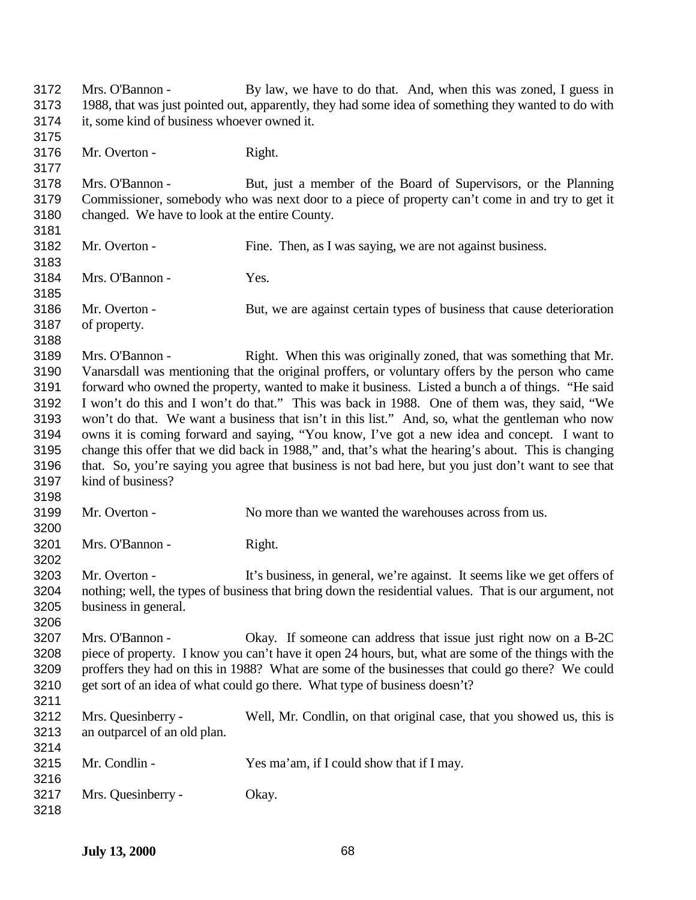Mrs. O'Bannon - By law, we have to do that. And, when this was zoned, I guess in 1988, that was just pointed out, apparently, they had some idea of something they wanted to do with it, some kind of business whoever owned it. Mr. Overton - Right. Mrs. O'Bannon - But, just a member of the Board of Supervisors, or the Planning Commissioner, somebody who was next door to a piece of property can't come in and try to get it changed. We have to look at the entire County. Mr. Overton - Fine. Then, as I was saying, we are not against business. Mrs. O'Bannon - Yes. Mr. Overton - But, we are against certain types of business that cause deterioration of property. Mrs. O'Bannon - Right. When this was originally zoned, that was something that Mr. Vanarsdall was mentioning that the original proffers, or voluntary offers by the person who came forward who owned the property, wanted to make it business. Listed a bunch a of things. "He said I won't do this and I won't do that." This was back in 1988. One of them was, they said, "We won't do that. We want a business that isn't in this list." And, so, what the gentleman who now owns it is coming forward and saying, "You know, I've got a new idea and concept. I want to change this offer that we did back in 1988," and, that's what the hearing's about. This is changing that. So, you're saying you agree that business is not bad here, but you just don't want to see that kind of business? Mr. Overton - No more than we wanted the warehouses across from us. Mrs. O'Bannon - Right. 3203 Mr. Overton - It's business, in general, we're against. It seems like we get offers of nothing; well, the types of business that bring down the residential values. That is our argument, not business in general. Mrs. O'Bannon - Okay. If someone can address that issue just right now on a B-2C piece of property. I know you can't have it open 24 hours, but, what are some of the things with the proffers they had on this in 1988? What are some of the businesses that could go there? We could 3210 get sort of an idea of what could go there. What type of business doesn't? Mrs. Quesinberry - Well, Mr. Condlin, on that original case, that you showed us, this is an outparcel of an old plan. Mr. Condlin - Yes ma'am, if I could show that if I may. Mrs. Quesinberry - Okay.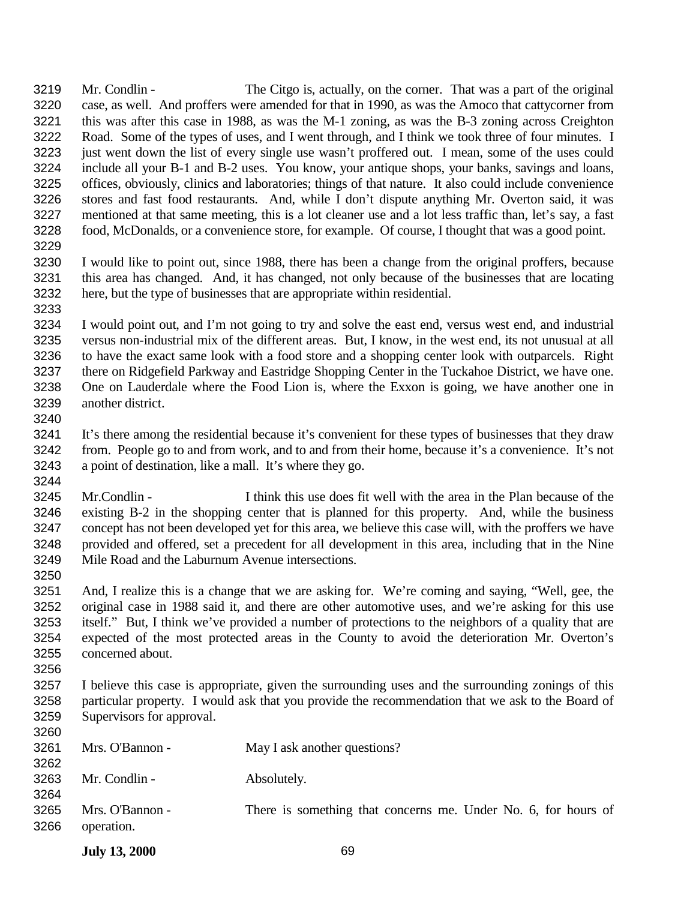Mr. Condlin - The Citgo is, actually, on the corner. That was a part of the original case, as well. And proffers were amended for that in 1990, as was the Amoco that cattycorner from this was after this case in 1988, as was the M-1 zoning, as was the B-3 zoning across Creighton Road. Some of the types of uses, and I went through, and I think we took three of four minutes. I just went down the list of every single use wasn't proffered out. I mean, some of the uses could include all your B-1 and B-2 uses. You know, your antique shops, your banks, savings and loans, offices, obviously, clinics and laboratories; things of that nature. It also could include convenience stores and fast food restaurants. And, while I don't dispute anything Mr. Overton said, it was mentioned at that same meeting, this is a lot cleaner use and a lot less traffic than, let's say, a fast food, McDonalds, or a convenience store, for example. Of course, I thought that was a good point. 

- I would like to point out, since 1988, there has been a change from the original proffers, because this area has changed. And, it has changed, not only because of the businesses that are locating here, but the type of businesses that are appropriate within residential.
- I would point out, and I'm not going to try and solve the east end, versus west end, and industrial versus non-industrial mix of the different areas. But, I know, in the west end, its not unusual at all to have the exact same look with a food store and a shopping center look with outparcels. Right there on Ridgefield Parkway and Eastridge Shopping Center in the Tuckahoe District, we have one. One on Lauderdale where the Food Lion is, where the Exxon is going, we have another one in another district.
- It's there among the residential because it's convenient for these types of businesses that they draw from. People go to and from work, and to and from their home, because it's a convenience. It's not a point of destination, like a mall. It's where they go.
- Mr.Condlin I think this use does fit well with the area in the Plan because of the existing B-2 in the shopping center that is planned for this property. And, while the business concept has not been developed yet for this area, we believe this case will, with the proffers we have provided and offered, set a precedent for all development in this area, including that in the Nine Mile Road and the Laburnum Avenue intersections.
- And, I realize this is a change that we are asking for. We're coming and saying, "Well, gee, the original case in 1988 said it, and there are other automotive uses, and we're asking for this use itself." But, I think we've provided a number of protections to the neighbors of a quality that are expected of the most protected areas in the County to avoid the deterioration Mr. Overton's concerned about.
- I believe this case is appropriate, given the surrounding uses and the surrounding zonings of this particular property. I would ask that you provide the recommendation that we ask to the Board of Supervisors for approval.

| 3261<br>3262 | Mrs. O'Bannon -               | May I ask another questions?                                   |
|--------------|-------------------------------|----------------------------------------------------------------|
| 3263<br>3264 | Mr. Condlin -                 | Absolutely.                                                    |
| 3265<br>3266 | Mrs. O'Bannon -<br>operation. | There is something that concerns me. Under No. 6, for hours of |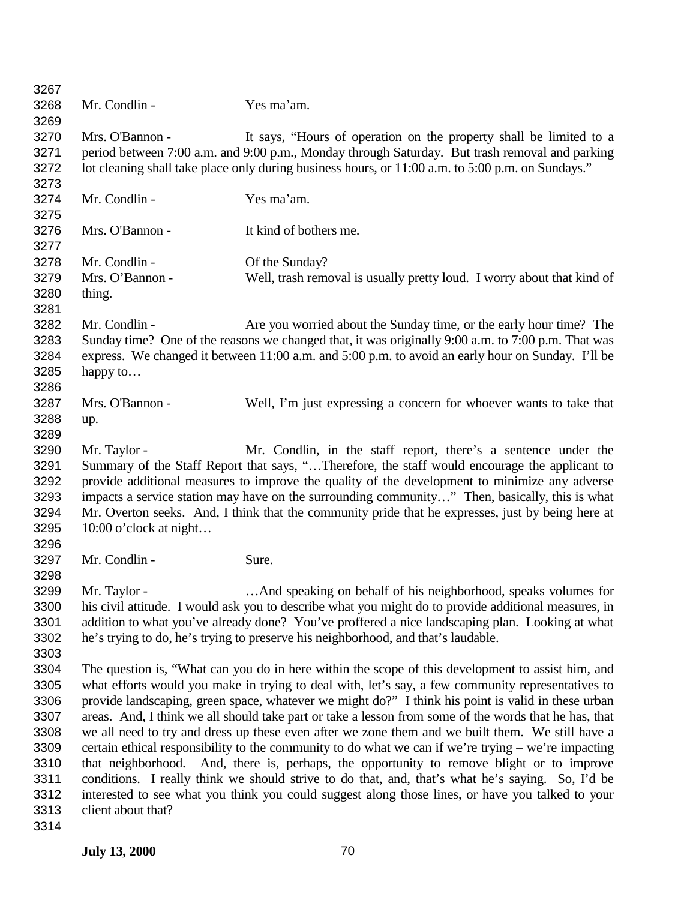| 3267         |                                                                                                       |                                                                                                      |  |
|--------------|-------------------------------------------------------------------------------------------------------|------------------------------------------------------------------------------------------------------|--|
| 3268<br>3269 | Mr. Condlin -                                                                                         | Yes ma'am.                                                                                           |  |
| 3270         | Mrs. O'Bannon -                                                                                       | It says, "Hours of operation on the property shall be limited to a                                   |  |
| 3271         |                                                                                                       | period between 7:00 a.m. and 9:00 p.m., Monday through Saturday. But trash removal and parking       |  |
| 3272<br>3273 |                                                                                                       | lot cleaning shall take place only during business hours, or 11:00 a.m. to 5:00 p.m. on Sundays."    |  |
|              |                                                                                                       |                                                                                                      |  |
| 3274         | Mr. Condlin -                                                                                         | Yes ma'am.                                                                                           |  |
| 3275         |                                                                                                       |                                                                                                      |  |
| 3276         | Mrs. O'Bannon -                                                                                       | It kind of bothers me.                                                                               |  |
| 3277         |                                                                                                       |                                                                                                      |  |
| 3278         | Mr. Condlin -                                                                                         | Of the Sunday?                                                                                       |  |
| 3279         | Mrs. O'Bannon -                                                                                       | Well, trash removal is usually pretty loud. I worry about that kind of                               |  |
| 3280         | thing.                                                                                                |                                                                                                      |  |
| 3281         |                                                                                                       |                                                                                                      |  |
| 3282         | Mr. Condlin -                                                                                         | Are you worried about the Sunday time, or the early hour time? The                                   |  |
| 3283         | Sunday time? One of the reasons we changed that, it was originally 9:00 a.m. to 7:00 p.m. That was    |                                                                                                      |  |
| 3284         | express. We changed it between 11:00 a.m. and 5:00 p.m. to avoid an early hour on Sunday. I'll be     |                                                                                                      |  |
| 3285         | happy to                                                                                              |                                                                                                      |  |
| 3286         |                                                                                                       |                                                                                                      |  |
| 3287         | Mrs. O'Bannon -                                                                                       | Well, I'm just expressing a concern for whoever wants to take that                                   |  |
| 3288         | up.                                                                                                   |                                                                                                      |  |
| 3289         |                                                                                                       |                                                                                                      |  |
| 3290         | Mr. Taylor -                                                                                          | Mr. Condlin, in the staff report, there's a sentence under the                                       |  |
| 3291         | Summary of the Staff Report that says, "Therefore, the staff would encourage the applicant to         |                                                                                                      |  |
| 3292         | provide additional measures to improve the quality of the development to minimize any adverse         |                                                                                                      |  |
| 3293         | impacts a service station may have on the surrounding community" Then, basically, this is what        |                                                                                                      |  |
| 3294         |                                                                                                       | Mr. Overton seeks. And, I think that the community pride that he expresses, just by being here at    |  |
| 3295         | $10:00$ o'clock at night                                                                              |                                                                                                      |  |
| 3296         |                                                                                                       |                                                                                                      |  |
| 3297         | Mr. Condlin -                                                                                         | Sure.                                                                                                |  |
| 3298         |                                                                                                       |                                                                                                      |  |
| 3299         | Mr. Taylor -                                                                                          | . And speaking on behalf of his neighborhood, speaks volumes for                                     |  |
| 3300         |                                                                                                       | his civil attitude. I would ask you to describe what you might do to provide additional measures, in |  |
| 3301         |                                                                                                       | addition to what you've already done? You've proffered a nice landscaping plan. Looking at what      |  |
| 3302         |                                                                                                       | he's trying to do, he's trying to preserve his neighborhood, and that's laudable.                    |  |
| 3303         |                                                                                                       |                                                                                                      |  |
| 3304         |                                                                                                       | The question is, "What can you do in here within the scope of this development to assist him, and    |  |
| 3305         | what efforts would you make in trying to deal with, let's say, a few community representatives to     |                                                                                                      |  |
| 3306         | provide landscaping, green space, whatever we might do?" I think his point is valid in these urban    |                                                                                                      |  |
| 3307         | areas. And, I think we all should take part or take a lesson from some of the words that he has, that |                                                                                                      |  |
| 3308         | we all need to try and dress up these even after we zone them and we built them. We still have a      |                                                                                                      |  |
| 3309         | certain ethical responsibility to the community to do what we can if we're trying – we're impacting   |                                                                                                      |  |
| 3310         | that neighborhood. And, there is, perhaps, the opportunity to remove blight or to improve             |                                                                                                      |  |
| 3311         |                                                                                                       | conditions. I really think we should strive to do that, and, that's what he's saying. So, I'd be     |  |
| 3312         |                                                                                                       | interested to see what you think you could suggest along those lines, or have you talked to your     |  |
| 3313         | client about that?                                                                                    |                                                                                                      |  |
| 3314         |                                                                                                       |                                                                                                      |  |
|              |                                                                                                       |                                                                                                      |  |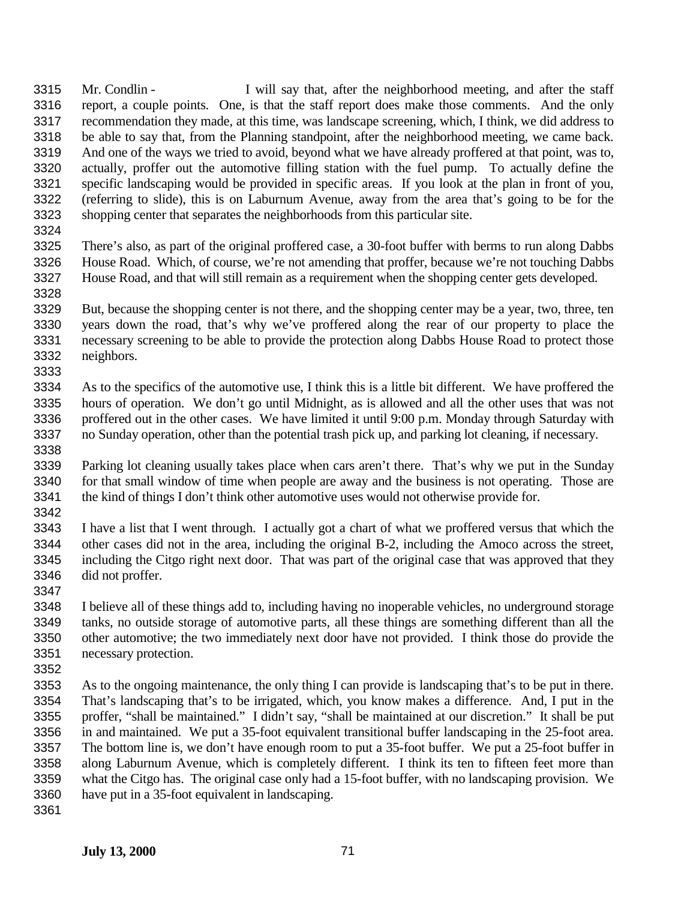Mr. Condlin - I will say that, after the neighborhood meeting, and after the staff report, a couple points. One, is that the staff report does make those comments. And the only recommendation they made, at this time, was landscape screening, which, I think, we did address to be able to say that, from the Planning standpoint, after the neighborhood meeting, we came back. And one of the ways we tried to avoid, beyond what we have already proffered at that point, was to, actually, proffer out the automotive filling station with the fuel pump. To actually define the specific landscaping would be provided in specific areas. If you look at the plan in front of you, (referring to slide), this is on Laburnum Avenue, away from the area that's going to be for the shopping center that separates the neighborhoods from this particular site.

 There's also, as part of the original proffered case, a 30-foot buffer with berms to run along Dabbs House Road. Which, of course, we're not amending that proffer, because we're not touching Dabbs House Road, and that will still remain as a requirement when the shopping center gets developed. 

 But, because the shopping center is not there, and the shopping center may be a year, two, three, ten years down the road, that's why we've proffered along the rear of our property to place the necessary screening to be able to provide the protection along Dabbs House Road to protect those neighbors. 

 As to the specifics of the automotive use, I think this is a little bit different. We have proffered the hours of operation. We don't go until Midnight, as is allowed and all the other uses that was not proffered out in the other cases. We have limited it until 9:00 p.m. Monday through Saturday with no Sunday operation, other than the potential trash pick up, and parking lot cleaning, if necessary. 

 Parking lot cleaning usually takes place when cars aren't there. That's why we put in the Sunday for that small window of time when people are away and the business is not operating. Those are 3341 the kind of things I don't think other automotive uses would not otherwise provide for. 

 I have a list that I went through. I actually got a chart of what we proffered versus that which the other cases did not in the area, including the original B-2, including the Amoco across the street, including the Citgo right next door. That was part of the original case that was approved that they did not proffer.

 I believe all of these things add to, including having no inoperable vehicles, no underground storage tanks, no outside storage of automotive parts, all these things are something different than all the other automotive; the two immediately next door have not provided. I think those do provide the necessary protection.

 As to the ongoing maintenance, the only thing I can provide is landscaping that's to be put in there. That's landscaping that's to be irrigated, which, you know makes a difference. And, I put in the proffer, "shall be maintained." I didn't say, "shall be maintained at our discretion." It shall be put in and maintained. We put a 35-foot equivalent transitional buffer landscaping in the 25-foot area. The bottom line is, we don't have enough room to put a 35-foot buffer. We put a 25-foot buffer in along Laburnum Avenue, which is completely different. I think its ten to fifteen feet more than what the Citgo has. The original case only had a 15-foot buffer, with no landscaping provision. We have put in a 35-foot equivalent in landscaping.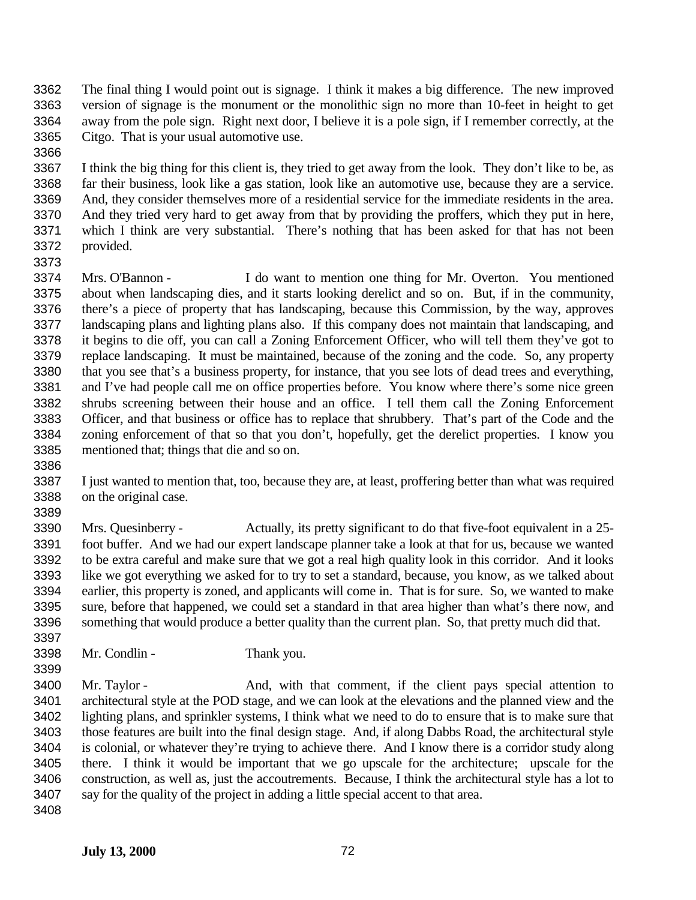- The final thing I would point out is signage. I think it makes a big difference. The new improved version of signage is the monument or the monolithic sign no more than 10-feet in height to get away from the pole sign. Right next door, I believe it is a pole sign, if I remember correctly, at the Citgo. That is your usual automotive use.
- I think the big thing for this client is, they tried to get away from the look. They don't like to be, as far their business, look like a gas station, look like an automotive use, because they are a service. And, they consider themselves more of a residential service for the immediate residents in the area. And they tried very hard to get away from that by providing the proffers, which they put in here, which I think are very substantial. There's nothing that has been asked for that has not been provided.
- 

 Mrs. O'Bannon - I do want to mention one thing for Mr. Overton. You mentioned about when landscaping dies, and it starts looking derelict and so on. But, if in the community, there's a piece of property that has landscaping, because this Commission, by the way, approves landscaping plans and lighting plans also. If this company does not maintain that landscaping, and it begins to die off, you can call a Zoning Enforcement Officer, who will tell them they've got to replace landscaping. It must be maintained, because of the zoning and the code. So, any property that you see that's a business property, for instance, that you see lots of dead trees and everything, and I've had people call me on office properties before. You know where there's some nice green shrubs screening between their house and an office. I tell them call the Zoning Enforcement Officer, and that business or office has to replace that shrubbery. That's part of the Code and the zoning enforcement of that so that you don't, hopefully, get the derelict properties. I know you mentioned that; things that die and so on.

 I just wanted to mention that, too, because they are, at least, proffering better than what was required on the original case.

 Mrs. Quesinberry - Actually, its pretty significant to do that five-foot equivalent in a 25- foot buffer. And we had our expert landscape planner take a look at that for us, because we wanted to be extra careful and make sure that we got a real high quality look in this corridor. And it looks like we got everything we asked for to try to set a standard, because, you know, as we talked about earlier, this property is zoned, and applicants will come in. That is for sure. So, we wanted to make sure, before that happened, we could set a standard in that area higher than what's there now, and something that would produce a better quality than the current plan. So, that pretty much did that.

- Mr. Condlin Thank you.
- Mr. Taylor And, with that comment, if the client pays special attention to architectural style at the POD stage, and we can look at the elevations and the planned view and the lighting plans, and sprinkler systems, I think what we need to do to ensure that is to make sure that those features are built into the final design stage. And, if along Dabbs Road, the architectural style is colonial, or whatever they're trying to achieve there. And I know there is a corridor study along there. I think it would be important that we go upscale for the architecture; upscale for the construction, as well as, just the accoutrements. Because, I think the architectural style has a lot to say for the quality of the project in adding a little special accent to that area.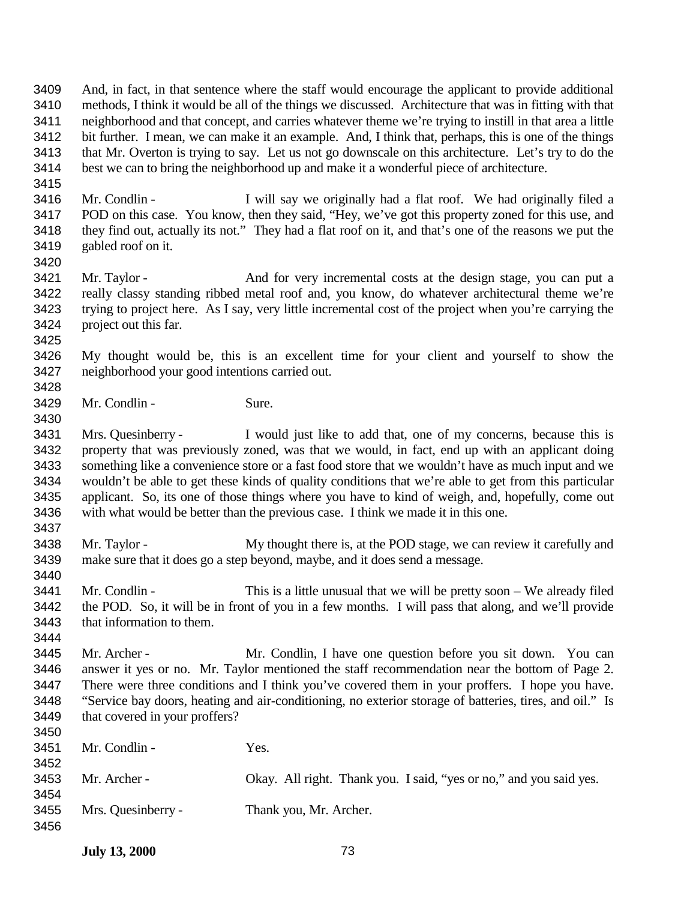And, in fact, in that sentence where the staff would encourage the applicant to provide additional methods, I think it would be all of the things we discussed. Architecture that was in fitting with that neighborhood and that concept, and carries whatever theme we're trying to instill in that area a little bit further. I mean, we can make it an example. And, I think that, perhaps, this is one of the things that Mr. Overton is trying to say. Let us not go downscale on this architecture. Let's try to do the best we can to bring the neighborhood up and make it a wonderful piece of architecture. 

 Mr. Condlin - I will say we originally had a flat roof. We had originally filed a POD on this case. You know, then they said, "Hey, we've got this property zoned for this use, and they find out, actually its not." They had a flat roof on it, and that's one of the reasons we put the gabled roof on it.

 Mr. Taylor - And for very incremental costs at the design stage, you can put a really classy standing ribbed metal roof and, you know, do whatever architectural theme we're trying to project here. As I say, very little incremental cost of the project when you're carrying the project out this far.

 My thought would be, this is an excellent time for your client and yourself to show the neighborhood your good intentions carried out.

Mr. Condlin - Sure.

 Mrs. Quesinberry - I would just like to add that, one of my concerns, because this is property that was previously zoned, was that we would, in fact, end up with an applicant doing something like a convenience store or a fast food store that we wouldn't have as much input and we wouldn't be able to get these kinds of quality conditions that we're able to get from this particular applicant. So, its one of those things where you have to kind of weigh, and, hopefully, come out with what would be better than the previous case. I think we made it in this one.

3438 Mr. Taylor - My thought there is, at the POD stage, we can review it carefully and make sure that it does go a step beyond, maybe, and it does send a message. 

 Mr. Condlin - This is a little unusual that we will be pretty soon – We already filed the POD. So, it will be in front of you in a few months. I will pass that along, and we'll provide that information to them.

 Mr. Archer - Mr. Condlin, I have one question before you sit down. You can answer it yes or no. Mr. Taylor mentioned the staff recommendation near the bottom of Page 2. There were three conditions and I think you've covered them in your proffers. I hope you have. "Service bay doors, heating and air-conditioning, no exterior storage of batteries, tires, and oil." Is 3449 that covered in your proffers? 

| 3451<br>3452 | Mr. Condlin -      | Yes.                                                               |
|--------------|--------------------|--------------------------------------------------------------------|
| 3453<br>3454 | Mr. Archer -       | Okay. All right. Thank you. I said, "yes or no," and you said yes. |
| 3455<br>3456 | Mrs. Quesinberry - | Thank you, Mr. Archer.                                             |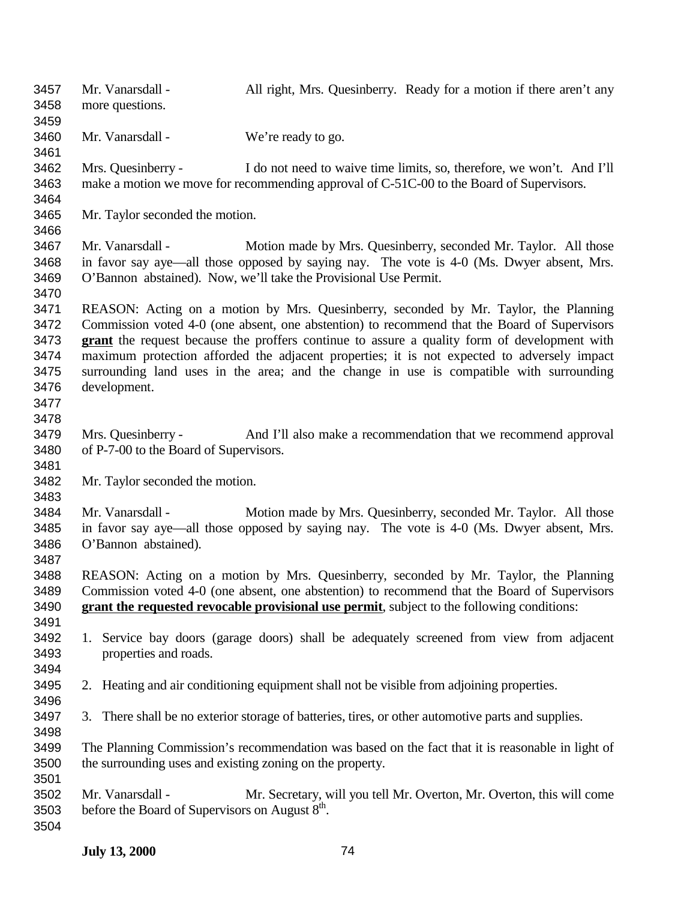| 3457<br>3458<br>3459                                         | Mr. Vanarsdall -<br>more questions.                                             | All right, Mrs. Quesinberry. Ready for a motion if there aren't any                                                                                                                                                                                                                                                                                                                                                                                                            |
|--------------------------------------------------------------|---------------------------------------------------------------------------------|--------------------------------------------------------------------------------------------------------------------------------------------------------------------------------------------------------------------------------------------------------------------------------------------------------------------------------------------------------------------------------------------------------------------------------------------------------------------------------|
| 3460<br>3461                                                 | Mr. Vanarsdall -                                                                | We're ready to go.                                                                                                                                                                                                                                                                                                                                                                                                                                                             |
| 3462<br>3463<br>3464                                         | Mrs. Quesinberry -                                                              | I do not need to waive time limits, so, therefore, we won't. And I'll<br>make a motion we move for recommending approval of C-51C-00 to the Board of Supervisors.                                                                                                                                                                                                                                                                                                              |
| 3465<br>3466                                                 | Mr. Taylor seconded the motion.                                                 |                                                                                                                                                                                                                                                                                                                                                                                                                                                                                |
| 3467<br>3468<br>3469<br>3470                                 | Mr. Vanarsdall -                                                                | Motion made by Mrs. Quesinberry, seconded Mr. Taylor. All those<br>in favor say aye—all those opposed by saying nay. The vote is 4-0 (Ms. Dwyer absent, Mrs.<br>O'Bannon abstained). Now, we'll take the Provisional Use Permit.                                                                                                                                                                                                                                               |
| 3471<br>3472<br>3473<br>3474<br>3475<br>3476<br>3477<br>3478 | development.                                                                    | REASON: Acting on a motion by Mrs. Quesinberry, seconded by Mr. Taylor, the Planning<br>Commission voted 4-0 (one absent, one abstention) to recommend that the Board of Supervisors<br>grant the request because the proffers continue to assure a quality form of development with<br>maximum protection afforded the adjacent properties; it is not expected to adversely impact<br>surrounding land uses in the area; and the change in use is compatible with surrounding |
| 3479<br>3480<br>3481                                         | Mrs. Quesinberry -<br>of P-7-00 to the Board of Supervisors.                    | And I'll also make a recommendation that we recommend approval                                                                                                                                                                                                                                                                                                                                                                                                                 |
| 3482<br>3483                                                 | Mr. Taylor seconded the motion.                                                 |                                                                                                                                                                                                                                                                                                                                                                                                                                                                                |
| 3484<br>3485<br>3486<br>3487                                 | Mr. Vanarsdall -<br>O'Bannon abstained).                                        | Motion made by Mrs. Quesinberry, seconded Mr. Taylor. All those<br>in favor say aye—all those opposed by saying nay. The vote is 4-0 (Ms. Dwyer absent, Mrs.                                                                                                                                                                                                                                                                                                                   |
| 3488<br>3489<br>3490<br>3491                                 |                                                                                 | REASON: Acting on a motion by Mrs. Quesinberry, seconded by Mr. Taylor, the Planning<br>Commission voted 4-0 (one absent, one abstention) to recommend that the Board of Supervisors<br>grant the requested revocable provisional use permit, subject to the following conditions:                                                                                                                                                                                             |
| 3492<br>3493<br>3494                                         | properties and roads.                                                           | 1. Service bay doors (garage doors) shall be adequately screened from view from adjacent                                                                                                                                                                                                                                                                                                                                                                                       |
| 3495<br>3496                                                 |                                                                                 | 2. Heating and air conditioning equipment shall not be visible from adjoining properties.                                                                                                                                                                                                                                                                                                                                                                                      |
| 3497<br>3498                                                 |                                                                                 | 3. There shall be no exterior storage of batteries, tires, or other automotive parts and supplies.                                                                                                                                                                                                                                                                                                                                                                             |
| 3499<br>3500<br>3501                                         | the surrounding uses and existing zoning on the property.                       | The Planning Commission's recommendation was based on the fact that it is reasonable in light of                                                                                                                                                                                                                                                                                                                                                                               |
| 3502<br>3503<br>3504                                         | Mr. Vanarsdall -<br>before the Board of Supervisors on August 8 <sup>th</sup> . | Mr. Secretary, will you tell Mr. Overton, Mr. Overton, this will come                                                                                                                                                                                                                                                                                                                                                                                                          |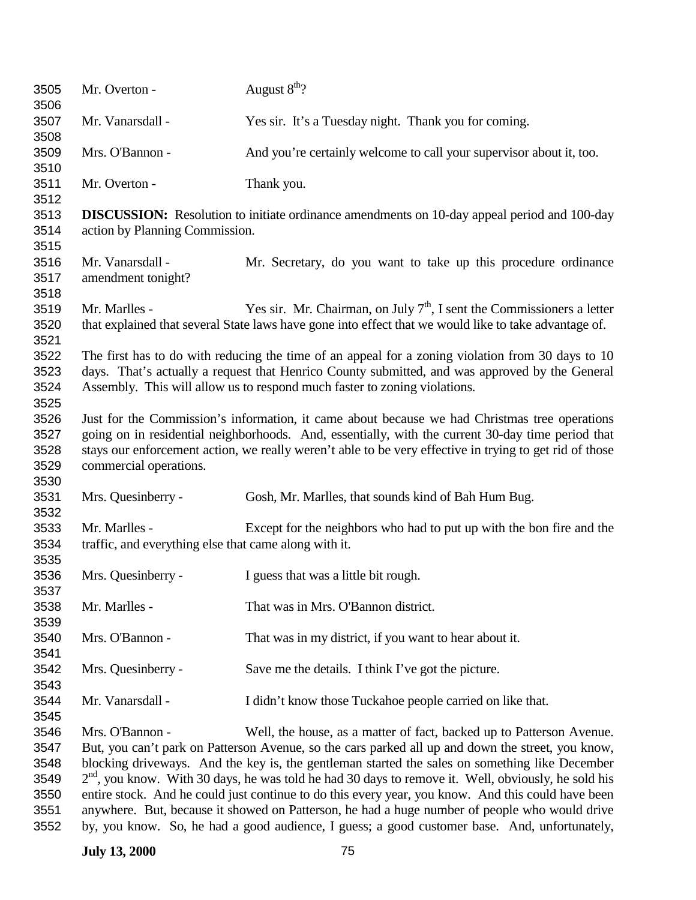| 3505<br>3506                         | Mr. Overton -                                                          | August $8th$ ?                                                                                                                                                                                                                                                                                                |
|--------------------------------------|------------------------------------------------------------------------|---------------------------------------------------------------------------------------------------------------------------------------------------------------------------------------------------------------------------------------------------------------------------------------------------------------|
| 3507<br>3508                         | Mr. Vanarsdall -                                                       | Yes sir. It's a Tuesday night. Thank you for coming.                                                                                                                                                                                                                                                          |
| 3509<br>3510                         | Mrs. O'Bannon -                                                        | And you're certainly welcome to call your supervisor about it, too.                                                                                                                                                                                                                                           |
| 3511<br>3512                         | Mr. Overton -                                                          | Thank you.                                                                                                                                                                                                                                                                                                    |
| 3513<br>3514<br>3515                 | action by Planning Commission.                                         | <b>DISCUSSION:</b> Resolution to initiate ordinance amendments on 10-day appeal period and 100-day                                                                                                                                                                                                            |
| 3516<br>3517<br>3518                 | Mr. Vanarsdall -<br>amendment tonight?                                 | Mr. Secretary, do you want to take up this procedure ordinance                                                                                                                                                                                                                                                |
| 3519<br>3520<br>3521                 | Mr. Marlles -                                                          | Yes sir. Mr. Chairman, on July $7th$ , I sent the Commissioners a letter<br>that explained that several State laws have gone into effect that we would like to take advantage of.                                                                                                                             |
| 3522<br>3523<br>3524<br>3525         |                                                                        | The first has to do with reducing the time of an appeal for a zoning violation from 30 days to 10<br>days. That's actually a request that Henrico County submitted, and was approved by the General<br>Assembly. This will allow us to respond much faster to zoning violations.                              |
| 3526<br>3527<br>3528<br>3529<br>3530 | commercial operations.                                                 | Just for the Commission's information, it came about because we had Christmas tree operations<br>going on in residential neighborhoods. And, essentially, with the current 30-day time period that<br>stays our enforcement action, we really weren't able to be very effective in trying to get rid of those |
| 3531<br>3532                         | Mrs. Quesinberry -                                                     | Gosh, Mr. Marlles, that sounds kind of Bah Hum Bug.                                                                                                                                                                                                                                                           |
| 3533<br>3534<br>3535                 | Mr. Marlles -<br>traffic, and everything else that came along with it. | Except for the neighbors who had to put up with the bon fire and the                                                                                                                                                                                                                                          |
| 3536<br>3537                         | Mrs. Quesinberry -                                                     | I guess that was a little bit rough.                                                                                                                                                                                                                                                                          |
| 3538<br>3539                         | Mr. Marlles -                                                          | That was in Mrs. O'Bannon district.                                                                                                                                                                                                                                                                           |
| 3540<br>3541                         | Mrs. O'Bannon -                                                        | That was in my district, if you want to hear about it.                                                                                                                                                                                                                                                        |
| 3542<br>3543                         | Mrs. Quesinberry -                                                     | Save me the details. I think I've got the picture.                                                                                                                                                                                                                                                            |
| 3544<br>3545                         | Mr. Vanarsdall -                                                       | I didn't know those Tuckahoe people carried on like that.                                                                                                                                                                                                                                                     |
| 3546                                 | Mrs. O'Bannon -                                                        | Well, the house, as a matter of fact, backed up to Patterson Avenue.                                                                                                                                                                                                                                          |
| 3547                                 |                                                                        | But, you can't park on Patterson Avenue, so the cars parked all up and down the street, you know,                                                                                                                                                                                                             |
| 3548                                 |                                                                        | blocking driveways. And the key is, the gentleman started the sales on something like December                                                                                                                                                                                                                |
| 3549                                 |                                                                        | $2nd$ , you know. With 30 days, he was told he had 30 days to remove it. Well, obviously, he sold his                                                                                                                                                                                                         |
| 3550                                 |                                                                        | entire stock. And he could just continue to do this every year, you know. And this could have been                                                                                                                                                                                                            |
| 3551                                 |                                                                        | anywhere. But, because it showed on Patterson, he had a huge number of people who would drive                                                                                                                                                                                                                 |
| 3552                                 |                                                                        | by, you know. So, he had a good audience, I guess; a good customer base. And, unfortunately,                                                                                                                                                                                                                  |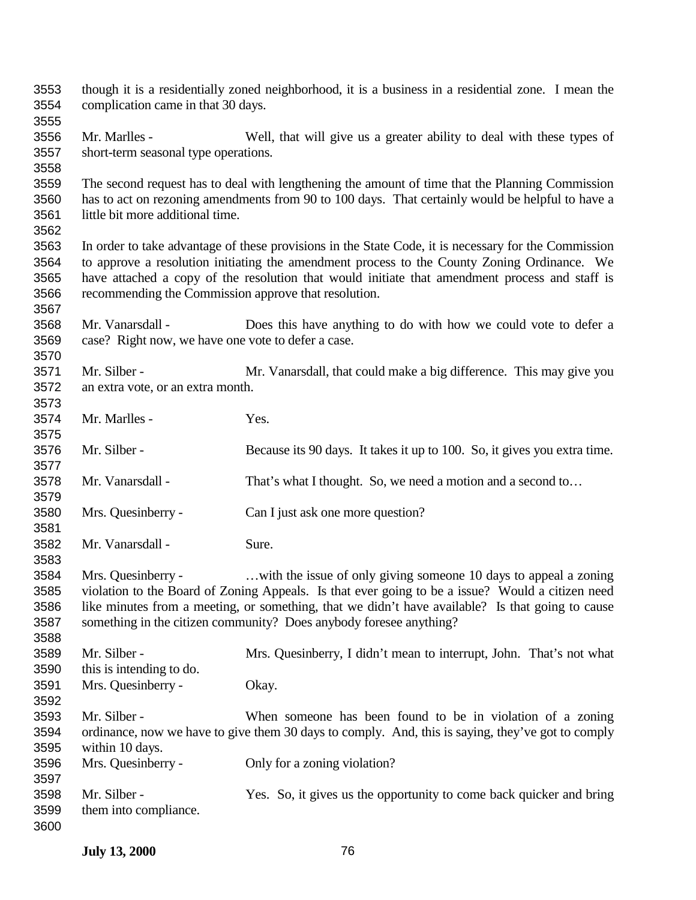| 3553<br>3554<br>3555 | complication came in that 30 days.                   | though it is a residentially zoned neighborhood, it is a business in a residential zone. I mean the  |
|----------------------|------------------------------------------------------|------------------------------------------------------------------------------------------------------|
| 3556                 | Mr. Marlles -                                        | Well, that will give us a greater ability to deal with these types of                                |
| 3557                 |                                                      |                                                                                                      |
| 3558                 | short-term seasonal type operations.                 |                                                                                                      |
| 3559                 |                                                      | The second request has to deal with lengthening the amount of time that the Planning Commission      |
| 3560                 |                                                      | has to act on rezoning amendments from 90 to 100 days. That certainly would be helpful to have a     |
| 3561                 | little bit more additional time.                     |                                                                                                      |
| 3562                 |                                                      |                                                                                                      |
| 3563                 |                                                      | In order to take advantage of these provisions in the State Code, it is necessary for the Commission |
| 3564                 |                                                      | to approve a resolution initiating the amendment process to the County Zoning Ordinance. We          |
| 3565                 |                                                      | have attached a copy of the resolution that would initiate that amendment process and staff is       |
| 3566                 | recommending the Commission approve that resolution. |                                                                                                      |
| 3567                 |                                                      |                                                                                                      |
| 3568                 | Mr. Vanarsdall -                                     | Does this have anything to do with how we could vote to defer a                                      |
| 3569                 | case? Right now, we have one vote to defer a case.   |                                                                                                      |
| 3570                 |                                                      |                                                                                                      |
| 3571                 | Mr. Silber -                                         | Mr. Vanarsdall, that could make a big difference. This may give you                                  |
| 3572                 | an extra vote, or an extra month.                    |                                                                                                      |
| 3573                 |                                                      |                                                                                                      |
| 3574                 | Mr. Marlles -                                        | Yes.                                                                                                 |
| 3575                 |                                                      |                                                                                                      |
| 3576                 | Mr. Silber -                                         | Because its 90 days. It takes it up to 100. So, it gives you extra time.                             |
| 3577                 |                                                      |                                                                                                      |
| 3578                 | Mr. Vanarsdall -                                     | That's what I thought. So, we need a motion and a second to                                          |
| 3579                 |                                                      |                                                                                                      |
| 3580                 | Mrs. Quesinberry -                                   | Can I just ask one more question?                                                                    |
| 3581                 |                                                      |                                                                                                      |
| 3582                 | Mr. Vanarsdall -                                     | Sure.                                                                                                |
| 3583                 |                                                      |                                                                                                      |
| 3584                 | Mrs. Quesinberry -                                   | with the issue of only giving someone 10 days to appeal a zoning                                     |
| 3585                 |                                                      | violation to the Board of Zoning Appeals. Is that ever going to be a issue? Would a citizen need     |
| 3586                 |                                                      | like minutes from a meeting, or something, that we didn't have available? Is that going to cause     |
| 3587                 |                                                      | something in the citizen community? Does anybody foresee anything?                                   |
| 3588                 |                                                      |                                                                                                      |
| 3589                 | Mr. Silber -                                         | Mrs. Quesinberry, I didn't mean to interrupt, John. That's not what                                  |
| 3590                 | this is intending to do.                             |                                                                                                      |
| 3591                 | Mrs. Quesinberry -                                   | Okay.                                                                                                |
| 3592                 |                                                      |                                                                                                      |
| 3593                 | Mr. Silber -                                         | When someone has been found to be in violation of a zoning                                           |
| 3594                 |                                                      | ordinance, now we have to give them 30 days to comply. And, this is saying, they've got to comply    |
| 3595                 | within 10 days.                                      |                                                                                                      |
| 3596                 | Mrs. Quesinberry -                                   | Only for a zoning violation?                                                                         |
| 3597                 |                                                      |                                                                                                      |
| 3598                 | Mr. Silber -                                         | Yes. So, it gives us the opportunity to come back quicker and bring                                  |
| 3599                 | them into compliance.                                |                                                                                                      |
| 3600                 |                                                      |                                                                                                      |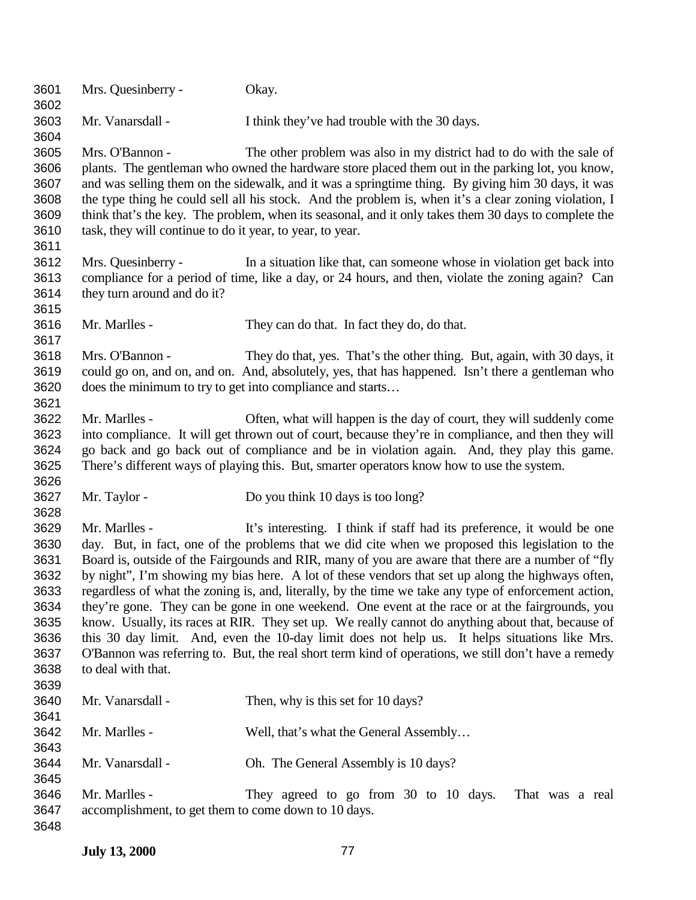| 3601<br>3602                                                                         | Mrs. Quesinberry -                                                           | Okay.                                                                                                                                                                                                                                                                                                                                                                                                                                                                                                                                                                                                                                                                                                                                                                                                                                                                                                           |
|--------------------------------------------------------------------------------------|------------------------------------------------------------------------------|-----------------------------------------------------------------------------------------------------------------------------------------------------------------------------------------------------------------------------------------------------------------------------------------------------------------------------------------------------------------------------------------------------------------------------------------------------------------------------------------------------------------------------------------------------------------------------------------------------------------------------------------------------------------------------------------------------------------------------------------------------------------------------------------------------------------------------------------------------------------------------------------------------------------|
| 3603<br>3604                                                                         | Mr. Vanarsdall -                                                             | I think they've had trouble with the 30 days.                                                                                                                                                                                                                                                                                                                                                                                                                                                                                                                                                                                                                                                                                                                                                                                                                                                                   |
| 3605<br>3606<br>3607<br>3608<br>3609<br>3610<br>3611                                 | Mrs. O'Bannon -<br>task, they will continue to do it year, to year, to year. | The other problem was also in my district had to do with the sale of<br>plants. The gentleman who owned the hardware store placed them out in the parking lot, you know,<br>and was selling them on the sidewalk, and it was a springtime thing. By giving him 30 days, it was<br>the type thing he could sell all his stock. And the problem is, when it's a clear zoning violation, I<br>think that's the key. The problem, when its seasonal, and it only takes them 30 days to complete the                                                                                                                                                                                                                                                                                                                                                                                                                 |
| 3612<br>3613<br>3614<br>3615                                                         | Mrs. Quesinberry -<br>they turn around and do it?                            | In a situation like that, can some one whose in violation get back into<br>compliance for a period of time, like a day, or 24 hours, and then, violate the zoning again? Can                                                                                                                                                                                                                                                                                                                                                                                                                                                                                                                                                                                                                                                                                                                                    |
| 3616<br>3617                                                                         | Mr. Marlles -                                                                | They can do that. In fact they do, do that.                                                                                                                                                                                                                                                                                                                                                                                                                                                                                                                                                                                                                                                                                                                                                                                                                                                                     |
| 3618<br>3619<br>3620<br>3621                                                         | Mrs. O'Bannon -<br>does the minimum to try to get into compliance and starts | They do that, yes. That's the other thing. But, again, with 30 days, it<br>could go on, and on, and on. And, absolutely, yes, that has happened. Isn't there a gentleman who                                                                                                                                                                                                                                                                                                                                                                                                                                                                                                                                                                                                                                                                                                                                    |
| 3622<br>3623<br>3624<br>3625                                                         | Mr. Marlles -                                                                | Often, what will happen is the day of court, they will suddenly come<br>into compliance. It will get thrown out of court, because they're in compliance, and then they will<br>go back and go back out of compliance and be in violation again. And, they play this game.<br>There's different ways of playing this. But, smarter operators know how to use the system.                                                                                                                                                                                                                                                                                                                                                                                                                                                                                                                                         |
| 3626<br>3627                                                                         | Mr. Taylor -                                                                 | Do you think 10 days is too long?                                                                                                                                                                                                                                                                                                                                                                                                                                                                                                                                                                                                                                                                                                                                                                                                                                                                               |
| 3628<br>3629<br>3630<br>3631<br>3632<br>3633<br>3634<br>3635<br>3636<br>3637<br>3638 | Mr. Marlles -<br>to deal with that.                                          | It's interesting. I think if staff had its preference, it would be one<br>day. But, in fact, one of the problems that we did cite when we proposed this legislation to the<br>Board is, outside of the Fairgounds and RIR, many of you are aware that there are a number of "fly<br>by night", I'm showing my bias here. A lot of these vendors that set up along the highways often,<br>regardless of what the zoning is, and, literally, by the time we take any type of enforcement action,<br>they're gone. They can be gone in one weekend. One event at the race or at the fairgrounds, you<br>know. Usually, its races at RIR. They set up. We really cannot do anything about that, because of<br>this 30 day limit. And, even the 10-day limit does not help us. It helps situations like Mrs.<br>O'Bannon was referring to. But, the real short term kind of operations, we still don't have a remedy |
| 3639<br>3640                                                                         | Mr. Vanarsdall -                                                             | Then, why is this set for 10 days?                                                                                                                                                                                                                                                                                                                                                                                                                                                                                                                                                                                                                                                                                                                                                                                                                                                                              |
| 3641<br>3642<br>3643                                                                 | Mr. Marlles -                                                                | Well, that's what the General Assembly                                                                                                                                                                                                                                                                                                                                                                                                                                                                                                                                                                                                                                                                                                                                                                                                                                                                          |
| 3644<br>3645                                                                         | Mr. Vanarsdall -                                                             | Oh. The General Assembly is 10 days?                                                                                                                                                                                                                                                                                                                                                                                                                                                                                                                                                                                                                                                                                                                                                                                                                                                                            |
| 3646<br>3647<br>3648                                                                 | Mr. Marlles -<br>accomplishment, to get them to come down to 10 days.        | They agreed to go from 30 to 10 days.<br>That was a real                                                                                                                                                                                                                                                                                                                                                                                                                                                                                                                                                                                                                                                                                                                                                                                                                                                        |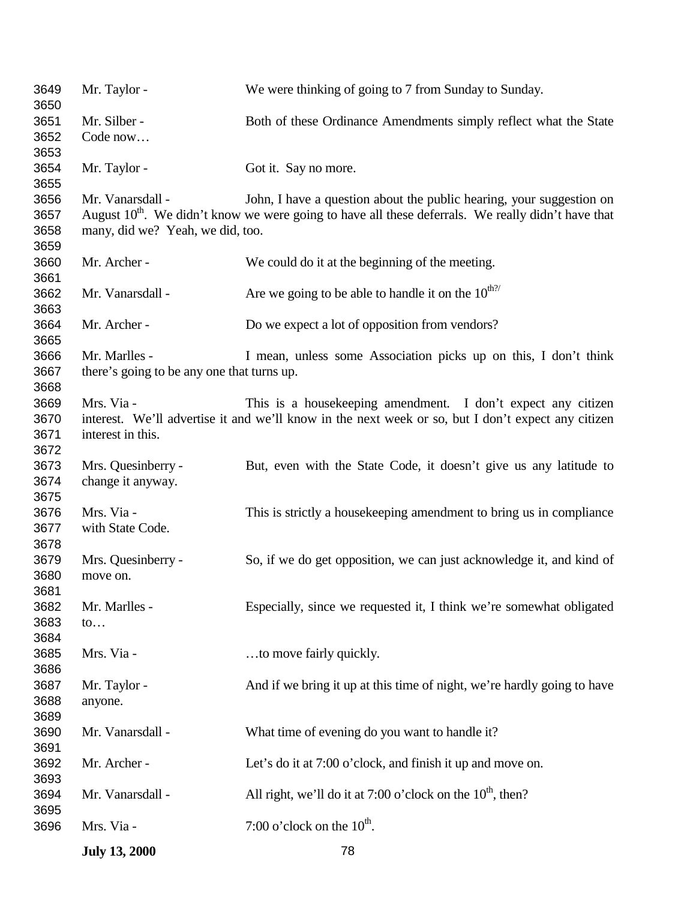|                              | <b>July 13, 2000</b>                       | 78                                                                                                                                                                  |
|------------------------------|--------------------------------------------|---------------------------------------------------------------------------------------------------------------------------------------------------------------------|
| 3696                         | Mrs. Via -                                 | 7:00 o'clock on the $10^{\text{th}}$ .                                                                                                                              |
| 3694<br>3695                 | Mr. Vanarsdall -                           | All right, we'll do it at 7:00 o'clock on the $10^{th}$ , then?                                                                                                     |
| 3692<br>3693                 | Mr. Archer -                               | Let's do it at 7:00 o'clock, and finish it up and move on.                                                                                                          |
| 3689<br>3690<br>3691         | Mr. Vanarsdall -                           | What time of evening do you want to handle it?                                                                                                                      |
| 3688                         | anyone.                                    |                                                                                                                                                                     |
| 3686<br>3687                 | Mr. Taylor -                               | And if we bring it up at this time of night, we're hardly going to have                                                                                             |
| 3683<br>3684<br>3685         | $\mathfrak{to} \dots$<br>Mrs. Via -        | to move fairly quickly.                                                                                                                                             |
| 3681<br>3682                 | Mr. Marlles -                              | Especially, since we requested it, I think we're somewhat obligated                                                                                                 |
| 3678<br>3679<br>3680         | Mrs. Quesinberry -<br>move on.             | So, if we do get opposition, we can just acknowledge it, and kind of                                                                                                |
| 3675<br>3676<br>3677         | Mrs. Via -<br>with State Code.             | This is strictly a house keeping amendment to bring us in compliance                                                                                                |
| 3673<br>3674                 | Mrs. Quesinberry -<br>change it anyway.    | But, even with the State Code, it doesn't give us any latitude to                                                                                                   |
| 3669<br>3670<br>3671<br>3672 | Mrs. Via -<br>interest in this.            | This is a house keeping amendment. I don't expect any citizen<br>interest. We'll advertise it and we'll know in the next week or so, but I don't expect any citizen |
| 3667<br>3668                 | there's going to be any one that turns up. |                                                                                                                                                                     |
| 3665<br>3666                 | Mr. Marlles -                              | I mean, unless some Association picks up on this, I don't think                                                                                                     |
| 3663<br>3664                 | Mr. Archer -                               | Do we expect a lot of opposition from vendors?                                                                                                                      |
| 3661<br>3662                 | Mr. Vanarsdall -                           | Are we going to be able to handle it on the $10^{\text{th}2}$                                                                                                       |
| 3659<br>3660                 | Mr. Archer -                               | We could do it at the beginning of the meeting.                                                                                                                     |
| 3657<br>3658                 | many, did we? Yeah, we did, too.           | August 10 <sup>th</sup> . We didn't know we were going to have all these deferrals. We really didn't have that                                                      |
| 3654<br>3655<br>3656         | Mr. Taylor -<br>Mr. Vanarsdall -           | Got it. Say no more.<br>John, I have a question about the public hearing, your suggestion on                                                                        |
| 3652<br>3653                 | Code now                                   |                                                                                                                                                                     |
| 3649<br>3650<br>3651         | Mr. Taylor -<br>Mr. Silber -               | We were thinking of going to 7 from Sunday to Sunday.<br>Both of these Ordinance Amendments simply reflect what the State                                           |
|                              |                                            |                                                                                                                                                                     |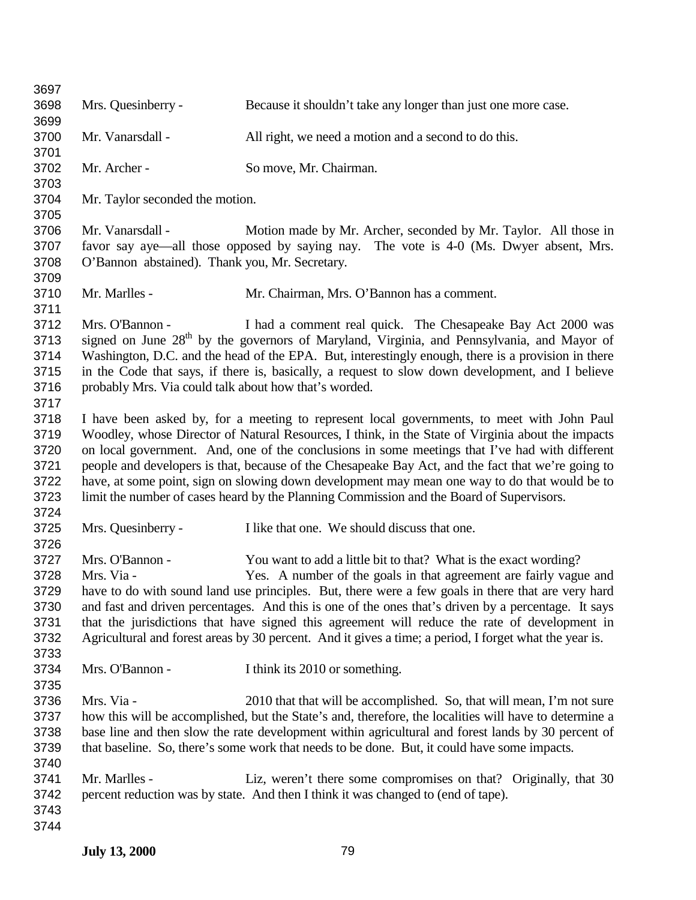| 3697         |                                                       |                                                                                                        |
|--------------|-------------------------------------------------------|--------------------------------------------------------------------------------------------------------|
| 3698<br>3699 | Mrs. Quesinberry -                                    | Because it shouldn't take any longer than just one more case.                                          |
| 3700<br>3701 | Mr. Vanarsdall -                                      | All right, we need a motion and a second to do this.                                                   |
| 3702<br>3703 | Mr. Archer -                                          | So move, Mr. Chairman.                                                                                 |
| 3704<br>3705 | Mr. Taylor seconded the motion.                       |                                                                                                        |
| 3706         | Mr. Vanarsdall -                                      | Motion made by Mr. Archer, seconded by Mr. Taylor. All those in                                        |
| 3707         |                                                       | favor say aye—all those opposed by saying nay. The vote is 4-0 (Ms. Dwyer absent, Mrs.                 |
| 3708<br>3709 | O'Bannon abstained). Thank you, Mr. Secretary.        |                                                                                                        |
| 3710<br>3711 | Mr. Marlles -                                         | Mr. Chairman, Mrs. O'Bannon has a comment.                                                             |
| 3712         | Mrs. O'Bannon -                                       | I had a comment real quick. The Chesapeake Bay Act 2000 was                                            |
| 3713         |                                                       | signed on June 28 <sup>th</sup> by the governors of Maryland, Virginia, and Pennsylvania, and Mayor of |
| 3714         |                                                       | Washington, D.C. and the head of the EPA. But, interestingly enough, there is a provision in there     |
| 3715         |                                                       | in the Code that says, if there is, basically, a request to slow down development, and I believe       |
| 3716         | probably Mrs. Via could talk about how that's worded. |                                                                                                        |
| 3717         |                                                       |                                                                                                        |
| 3718         |                                                       | I have been asked by, for a meeting to represent local governments, to meet with John Paul             |
| 3719         |                                                       | Woodley, whose Director of Natural Resources, I think, in the State of Virginia about the impacts      |
| 3720         |                                                       | on local government. And, one of the conclusions in some meetings that I've had with different         |
| 3721         |                                                       | people and developers is that, because of the Chesapeake Bay Act, and the fact that we're going to     |
| 3722         |                                                       | have, at some point, sign on slowing down development may mean one way to do that would be to          |
| 3723         |                                                       | limit the number of cases heard by the Planning Commission and the Board of Supervisors.               |
| 3724         |                                                       |                                                                                                        |
| 3725         | Mrs. Quesinberry -                                    | I like that one. We should discuss that one.                                                           |
| 3726         |                                                       |                                                                                                        |
| 3727         | Mrs. O'Bannon -                                       | You want to add a little bit to that? What is the exact wording?                                       |
| 3728         | Mrs. Via -                                            | Yes. A number of the goals in that agreement are fairly vague and                                      |
| 3729         |                                                       | have to do with sound land use principles. But, there were a few goals in there that are very hard     |
| 3730         |                                                       | and fast and driven percentages. And this is one of the ones that's driven by a percentage. It says    |
| 3731         |                                                       | that the jurisdictions that have signed this agreement will reduce the rate of development in          |
| 3732         |                                                       | Agricultural and forest areas by 30 percent. And it gives a time; a period, I forget what the year is. |
| 3733         |                                                       |                                                                                                        |
| 3734         | Mrs. O'Bannon -                                       | I think its 2010 or something.                                                                         |
| 3735         |                                                       |                                                                                                        |
| 3736         | Mrs. Via -                                            | 2010 that that will be accomplished. So, that will mean, I'm not sure                                  |
| 3737         |                                                       | how this will be accomplished, but the State's and, therefore, the localities will have to determine a |
| 3738         |                                                       | base line and then slow the rate development within agricultural and forest lands by 30 percent of     |
| 3739         |                                                       | that baseline. So, there's some work that needs to be done. But, it could have some impacts.           |
| 3740         |                                                       |                                                                                                        |
| 3741         | Mr. Marlles -                                         | Liz, weren't there some compromises on that? Originally, that 30                                       |
| 3742         |                                                       | percent reduction was by state. And then I think it was changed to (end of tape).                      |
| 3743         |                                                       |                                                                                                        |
| 3744         |                                                       |                                                                                                        |
|              |                                                       |                                                                                                        |